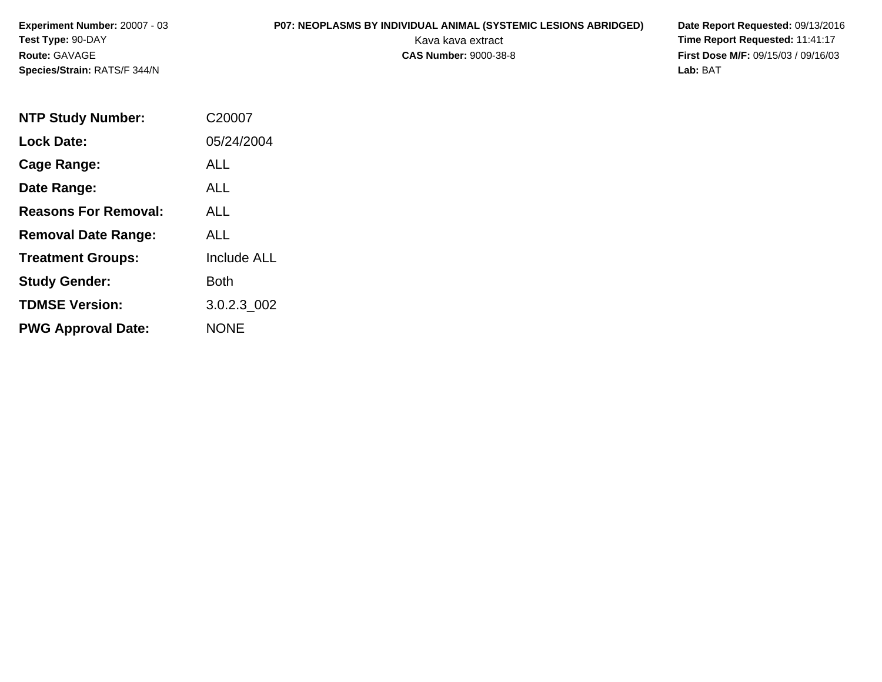# **P07: NEOPLASMS BY INDIVIDUAL ANIMAL (SYSTEMIC LESIONS ABRIDGED) Date Report Requested:** 09/13/2016

| <b>NTP Study Number:</b>    | C20007             |
|-----------------------------|--------------------|
| <b>Lock Date:</b>           | 05/24/2004         |
| Cage Range:                 | <b>ALL</b>         |
| Date Range:                 | <b>ALL</b>         |
| <b>Reasons For Removal:</b> | ALL                |
| <b>Removal Date Range:</b>  | ALL                |
| <b>Treatment Groups:</b>    | <b>Include ALL</b> |
| <b>Study Gender:</b>        | <b>Both</b>        |
| <b>TDMSE Version:</b>       | 3.0.2.3 002        |
| <b>PWG Approval Date:</b>   | <b>NONE</b>        |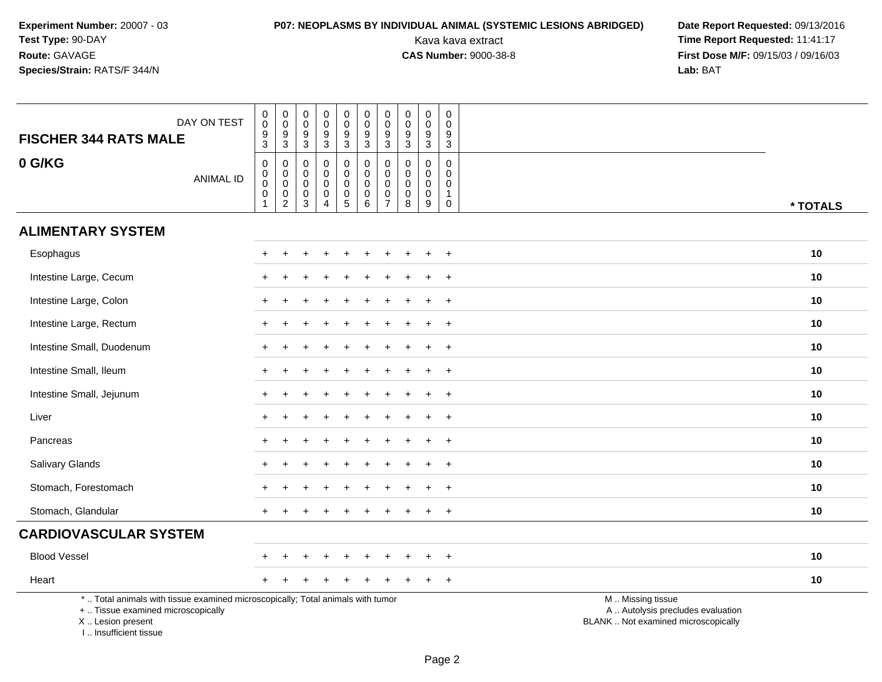# **P07: NEOPLASMS BY INDIVIDUAL ANIMAL (SYSTEMIC LESIONS ABRIDGED) Date Report Requested: 09/13/2016<br>Kava kava extract <b>Time Report Requested:** 11:41:17

| DAY ON TEST<br><b>FISCHER 344 RATS MALE</b>                                                                                                                         | $\begin{smallmatrix}0\0\0\end{smallmatrix}$<br>$\frac{9}{3}$                            | $\begin{smallmatrix} 0\\0 \end{smallmatrix}$<br>$\frac{9}{3}$                          | 0<br>$\mathsf 0$<br>$\frac{9}{3}$                                        | $_{\rm 0}^{\rm 0}$<br>$\frac{9}{3}$                                                | $\mathbf 0$<br>$\overline{0}$<br>$\frac{9}{3}$       | $\pmb{0}$<br>$\overline{0}$<br>$9\,$<br>$\overline{3}$          | $_{\rm 0}^{\rm 0}$<br>$\frac{9}{3}$                  | $\mathbf 0$<br>$\overline{0}$<br>$\boldsymbol{9}$<br>$\overline{3}$ | $\pmb{0}$<br>$\overline{0}$<br>$\frac{9}{3}$          | $\mathbf 0$<br>$\mathbf 0$<br>$\frac{9}{3}$                              |                                                                                               |  |
|---------------------------------------------------------------------------------------------------------------------------------------------------------------------|-----------------------------------------------------------------------------------------|----------------------------------------------------------------------------------------|--------------------------------------------------------------------------|------------------------------------------------------------------------------------|------------------------------------------------------|-----------------------------------------------------------------|------------------------------------------------------|---------------------------------------------------------------------|-------------------------------------------------------|--------------------------------------------------------------------------|-----------------------------------------------------------------------------------------------|--|
| 0 G/KG<br><b>ANIMAL ID</b>                                                                                                                                          | $\mathbf 0$<br>$\begin{smallmatrix}0\0\0\end{smallmatrix}$<br>$\pmb{0}$<br>$\mathbf{1}$ | $\mathsf{O}\xspace$<br>$\pmb{0}$<br>$\mathsf{O}\xspace$<br>$\pmb{0}$<br>$\overline{2}$ | $\mathbf 0$<br>$\mathbf 0$<br>$\mathbf 0$<br>$\mathbf 0$<br>$\mathbf{3}$ | $\mathsf{O}\xspace$<br>$\mathbf 0$<br>$\mathbf 0$<br>$\mathbf 0$<br>$\overline{4}$ | 0<br>$\mathbf 0$<br>0<br>$\pmb{0}$<br>$\overline{5}$ | 0<br>$\mathbf 0$<br>$\mathbf 0$<br>$\pmb{0}$<br>$6\phantom{1}6$ | 0<br>$\mathbf 0$<br>0<br>$\pmb{0}$<br>$\overline{7}$ | $\mathbf 0$<br>$\mathbf{0}$<br>$\mathbf{0}$<br>$\mathbf 0$<br>8     | $\mathbf 0$<br>$\mathbf 0$<br>0<br>$\pmb{0}$<br>$9\,$ | $\mathbf 0$<br>$\mathbf 0$<br>$\mathbf 0$<br>$\mathbf{1}$<br>$\mathbf 0$ | * TOTALS                                                                                      |  |
| <b>ALIMENTARY SYSTEM</b>                                                                                                                                            |                                                                                         |                                                                                        |                                                                          |                                                                                    |                                                      |                                                                 |                                                      |                                                                     |                                                       |                                                                          |                                                                                               |  |
| Esophagus                                                                                                                                                           |                                                                                         |                                                                                        |                                                                          |                                                                                    |                                                      |                                                                 |                                                      |                                                                     |                                                       | $\ddot{}$                                                                | 10                                                                                            |  |
| Intestine Large, Cecum                                                                                                                                              |                                                                                         |                                                                                        |                                                                          |                                                                                    |                                                      |                                                                 |                                                      |                                                                     | $\ddot{}$                                             | $^{+}$                                                                   | 10                                                                                            |  |
| Intestine Large, Colon                                                                                                                                              |                                                                                         |                                                                                        |                                                                          |                                                                                    |                                                      |                                                                 |                                                      |                                                                     |                                                       | $\overline{+}$                                                           | 10                                                                                            |  |
| Intestine Large, Rectum                                                                                                                                             |                                                                                         |                                                                                        |                                                                          |                                                                                    |                                                      |                                                                 |                                                      |                                                                     |                                                       | $\overline{+}$                                                           | 10                                                                                            |  |
| Intestine Small, Duodenum                                                                                                                                           |                                                                                         |                                                                                        |                                                                          |                                                                                    |                                                      |                                                                 |                                                      |                                                                     |                                                       | $\ddot{}$                                                                | 10                                                                                            |  |
| Intestine Small, Ileum                                                                                                                                              |                                                                                         |                                                                                        |                                                                          |                                                                                    |                                                      |                                                                 |                                                      |                                                                     |                                                       | $\ddot{}$                                                                | 10                                                                                            |  |
| Intestine Small, Jejunum                                                                                                                                            |                                                                                         |                                                                                        |                                                                          |                                                                                    |                                                      |                                                                 |                                                      |                                                                     |                                                       | $+$                                                                      | 10                                                                                            |  |
| Liver                                                                                                                                                               |                                                                                         |                                                                                        |                                                                          |                                                                                    |                                                      |                                                                 |                                                      |                                                                     |                                                       | $\overline{ }$                                                           | 10                                                                                            |  |
| Pancreas                                                                                                                                                            |                                                                                         |                                                                                        |                                                                          |                                                                                    |                                                      |                                                                 |                                                      |                                                                     |                                                       | $\overline{ }$                                                           | 10                                                                                            |  |
| Salivary Glands                                                                                                                                                     |                                                                                         |                                                                                        |                                                                          |                                                                                    |                                                      |                                                                 |                                                      |                                                                     | $\div$                                                | $+$                                                                      | 10                                                                                            |  |
| Stomach, Forestomach                                                                                                                                                |                                                                                         |                                                                                        |                                                                          |                                                                                    |                                                      |                                                                 |                                                      |                                                                     |                                                       |                                                                          | 10                                                                                            |  |
| Stomach, Glandular                                                                                                                                                  |                                                                                         |                                                                                        |                                                                          |                                                                                    |                                                      |                                                                 |                                                      |                                                                     | $\ddot{}$                                             | $\ddot{}$                                                                | 10                                                                                            |  |
| <b>CARDIOVASCULAR SYSTEM</b>                                                                                                                                        |                                                                                         |                                                                                        |                                                                          |                                                                                    |                                                      |                                                                 |                                                      |                                                                     |                                                       |                                                                          |                                                                                               |  |
| <b>Blood Vessel</b>                                                                                                                                                 |                                                                                         |                                                                                        |                                                                          |                                                                                    |                                                      |                                                                 |                                                      |                                                                     |                                                       | $\ddot{}$                                                                | 10                                                                                            |  |
| Heart                                                                                                                                                               |                                                                                         |                                                                                        |                                                                          |                                                                                    |                                                      |                                                                 |                                                      |                                                                     |                                                       | $+$                                                                      | 10                                                                                            |  |
| *  Total animals with tissue examined microscopically; Total animals with tumor<br>+  Tissue examined microscopically<br>X  Lesion present<br>I Insufficient tissue |                                                                                         |                                                                                        |                                                                          |                                                                                    |                                                      |                                                                 |                                                      |                                                                     |                                                       |                                                                          | M  Missing tissue<br>A  Autolysis precludes evaluation<br>BLANK  Not examined microscopically |  |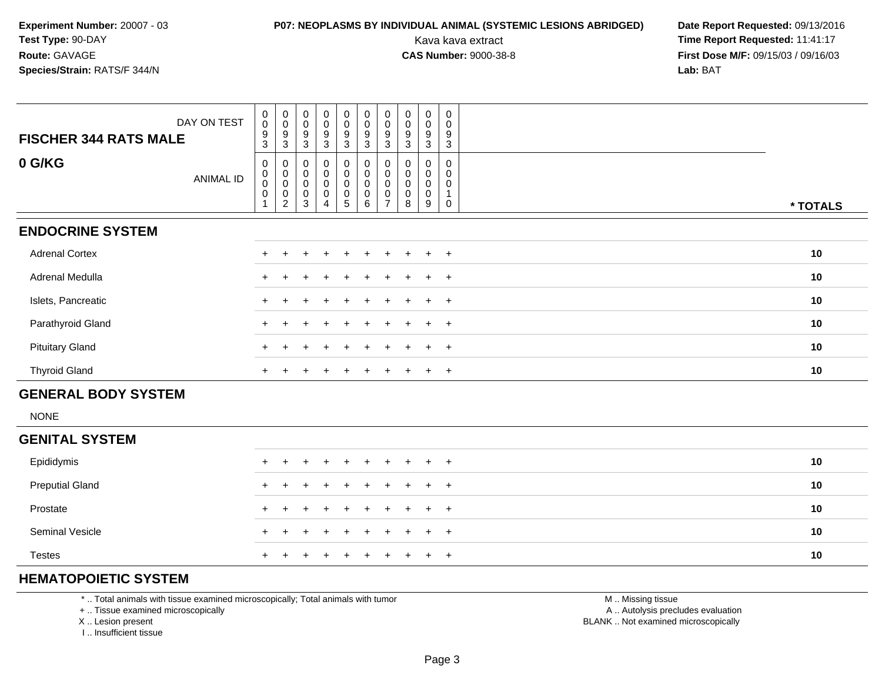## **P07: NEOPLASMS BY INDIVIDUAL ANIMAL (SYSTEMIC LESIONS ABRIDGED) Date Report Requested: 09/13/2016<br>Kava kava extract <b>Time Report Requested:** 11:41:17

Kava kava extract **Time Report Requested:** 11:41:17<br>**CAS Number:** 9000-38-8 **Time Report Requested:** 11:41:17 **First Dose M/F:** 09/15/03 / 09/16/03<br>**Lab:** BAT **Lab:** BAT

| DAY ON TEST<br><b>FISCHER 344 RATS MALE</b> | $\mathbf 0$<br>$\pmb{0}$<br>9<br>3 | $_{\rm 0}^{\rm 0}$<br>9<br>3                       | $_{\rm 0}^{\rm 0}$<br>9<br>3 | $\begin{smallmatrix}0\0\0\end{smallmatrix}$<br>$\boldsymbol{9}$<br>3 | $\begin{smallmatrix} 0\\0 \end{smallmatrix}$<br>$\boldsymbol{9}$ | 9<br>$\mathbf{3}$                        | $\begin{smallmatrix} 0\\0 \end{smallmatrix}$<br>$\mathbf{3}$ | $\begin{smallmatrix} 0\\0 \end{smallmatrix}$<br>9<br>3 | $\begin{smallmatrix} 0\\0 \end{smallmatrix}$<br>9<br>3 | $_0^0$<br>9<br>3      | $\pmb{0}$<br>0<br>9<br>3 |          |
|---------------------------------------------|------------------------------------|----------------------------------------------------|------------------------------|----------------------------------------------------------------------|------------------------------------------------------------------|------------------------------------------|--------------------------------------------------------------|--------------------------------------------------------|--------------------------------------------------------|-----------------------|--------------------------|----------|
| 0 G/KG<br>ANIMAL ID                         | 0<br>$\mathbf 0$<br>0<br>0         | 0<br>$\pmb{0}$<br>$\pmb{0}$<br>0<br>$\overline{c}$ | 0<br>0<br>0<br>$\,0\,$<br>3  | 0<br>0<br>0<br>$\pmb{0}$<br>4                                        | $\begin{smallmatrix} 0\\0 \end{smallmatrix}$<br>$\sqrt{5}$       | $\pmb{0}$<br>$\pmb{0}$<br>$\pmb{0}$<br>6 | 0<br>$\pmb{0}$<br>$\ddot{\mathbf{0}}$                        | 0<br>0<br>0<br>0                                       | 0<br>0<br>0<br>8                                       | 0<br>0<br>0<br>0<br>9 | 0<br>0<br>0<br>0         | * TOTALS |
| <b>ENDOCRINE SYSTEM</b>                     |                                    |                                                    |                              |                                                                      |                                                                  |                                          |                                                              |                                                        |                                                        |                       |                          |          |
| <b>Adrenal Cortex</b>                       |                                    |                                                    |                              | +                                                                    | $\pm$                                                            |                                          | $+$                                                          |                                                        | $+$                                                    | $+$                   | $+$                      | 10       |
| Adrenal Medulla                             |                                    |                                                    |                              | ÷                                                                    |                                                                  | $\pm$                                    |                                                              |                                                        |                                                        | $\pm$                 | $+$                      | 10       |
| Islets, Pancreatic                          | $+$                                |                                                    |                              | $\div$                                                               | $\pm$                                                            | $\pm$                                    |                                                              |                                                        |                                                        | $\pm$                 | $+$                      | 10       |
| Parathyroid Gland                           |                                    |                                                    |                              |                                                                      |                                                                  |                                          |                                                              |                                                        |                                                        | $\pm$                 | $+$                      | 10       |
| <b>Pituitary Gland</b>                      |                                    |                                                    |                              |                                                                      |                                                                  |                                          |                                                              |                                                        |                                                        | $\pm$                 | $+$                      | 10       |
| <b>Thyroid Gland</b>                        | $+$                                |                                                    |                              |                                                                      |                                                                  |                                          |                                                              |                                                        |                                                        | $\pm$                 | $+$                      | 10       |
| <b>GENERAL BODY SYSTEM</b>                  |                                    |                                                    |                              |                                                                      |                                                                  |                                          |                                                              |                                                        |                                                        |                       |                          |          |

NONE

#### **GENITAL SYSTEM**Epididymis <sup>+</sup> <sup>+</sup> <sup>+</sup> <sup>+</sup> <sup>+</sup> <sup>+</sup> <sup>+</sup> <sup>+</sup> <sup>+</sup> <sup>+</sup> **<sup>10</sup>** Preputial Glandd  $+$  <sup>+</sup> <sup>+</sup> <sup>+</sup> <sup>+</sup> <sup>+</sup> <sup>+</sup> <sup>+</sup> <sup>+</sup> <sup>+</sup> **<sup>10</sup>** Prostate $e$  + <sup>+</sup> <sup>+</sup> <sup>+</sup> <sup>+</sup> <sup>+</sup> <sup>+</sup> <sup>+</sup> <sup>+</sup> <sup>+</sup> **<sup>10</sup>** Seminal Vesicle $e$  + <sup>+</sup> <sup>+</sup> <sup>+</sup> <sup>+</sup> <sup>+</sup> <sup>+</sup> <sup>+</sup> <sup>+</sup> <sup>+</sup> **<sup>10</sup>** Testes <sup>+</sup><sup>+</sup> <sup>+</sup> <sup>+</sup> <sup>+</sup> <sup>+</sup> <sup>+</sup> <sup>+</sup> <sup>+</sup> <sup>+</sup> **<sup>10</sup>**

### **HEMATOPOIETIC SYSTEM**

\* .. Total animals with tissue examined microscopically; Total animals with tumor

+ .. Tissue examined microscopically

X .. Lesion present

I .. Insufficient tissue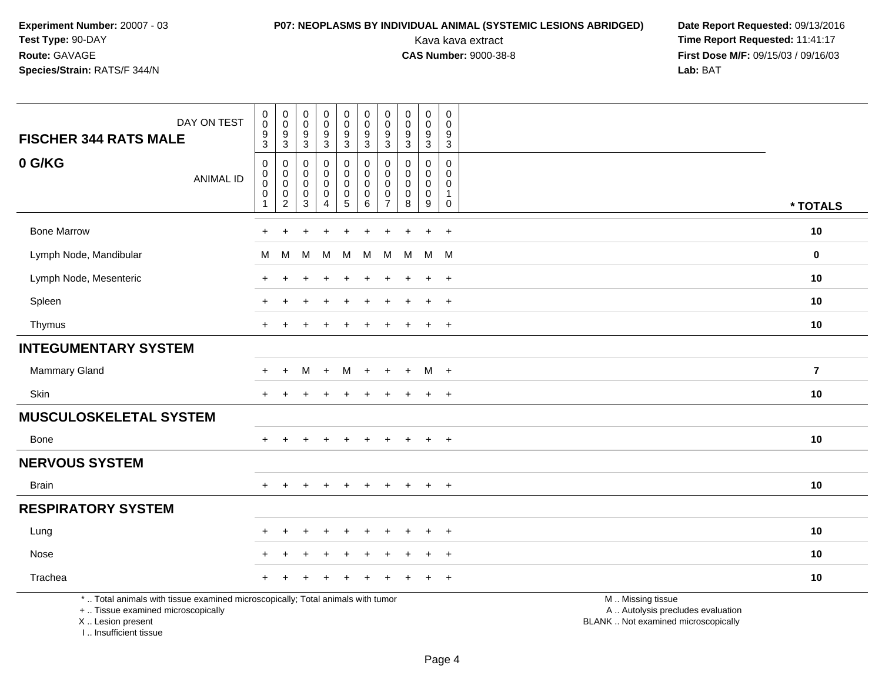## **P07: NEOPLASMS BY INDIVIDUAL ANIMAL (SYSTEMIC LESIONS ABRIDGED) Date Report Requested:** 09/13/2016

| DAY ON TEST<br><b>FISCHER 344 RATS MALE</b>                                                                                                                         | $\pmb{0}$<br>$\overline{0}$<br>$\boldsymbol{9}$<br>$\overline{3}$  | $\pmb{0}$<br>$\pmb{0}$<br>$\boldsymbol{9}$<br>3                        | $\mathbf 0$<br>$\mathbf 0$<br>$\boldsymbol{9}$<br>3 | $\pmb{0}$<br>$\pmb{0}$<br>$\boldsymbol{9}$<br>3      | $\pmb{0}$<br>$\mathbf 0$<br>9<br>$\mathbf{3}$                        | $\pmb{0}$<br>$\pmb{0}$<br>$\boldsymbol{9}$<br>3                 | $\pmb{0}$<br>$\pmb{0}$<br>$\boldsymbol{9}$<br>3      | $\mathbf 0$<br>$\mathbf 0$<br>$^9_3$                     | $\pmb{0}$<br>$\mathbf 0$<br>$\boldsymbol{9}$<br>3  | $\pmb{0}$<br>$\Omega$<br>$\boldsymbol{9}$<br>$\overline{3}$                      |                                                                                               |                         |
|---------------------------------------------------------------------------------------------------------------------------------------------------------------------|--------------------------------------------------------------------|------------------------------------------------------------------------|-----------------------------------------------------|------------------------------------------------------|----------------------------------------------------------------------|-----------------------------------------------------------------|------------------------------------------------------|----------------------------------------------------------|----------------------------------------------------|----------------------------------------------------------------------------------|-----------------------------------------------------------------------------------------------|-------------------------|
| 0 G/KG<br><b>ANIMAL ID</b>                                                                                                                                          | $\pmb{0}$<br>$\mathbf 0$<br>$\pmb{0}$<br>$\pmb{0}$<br>$\mathbf{1}$ | $\mathbf 0$<br>$\pmb{0}$<br>$\mathbf 0$<br>$\pmb{0}$<br>$\overline{c}$ | 0<br>$\Omega$<br>$\mathbf 0$<br>$\mathbf 0$<br>3    | 0<br>0<br>$\mathsf 0$<br>$\pmb{0}$<br>$\overline{4}$ | 0<br>$\mathsf{O}$<br>$\mathbf 0$<br>$\begin{matrix}0\\5\end{matrix}$ | $\mathbf 0$<br>$\pmb{0}$<br>$\mathbf 0$<br>$\pmb{0}$<br>$\,6\,$ | 0<br>0<br>$\mathbf 0$<br>$\pmb{0}$<br>$\overline{7}$ | $\mathbf 0$<br>$\Omega$<br>$\mathbf 0$<br>$\pmb{0}$<br>8 | 0<br>$\mathbf 0$<br>$\mathbf{0}$<br>$\pmb{0}$<br>9 | $\mathbf 0$<br>$\mathbf 0$<br>$\mathbf 0$<br>$\mathbf{1}$<br>$\mathsf{O}\xspace$ |                                                                                               | * TOTALS                |
| <b>Bone Marrow</b>                                                                                                                                                  |                                                                    |                                                                        |                                                     |                                                      |                                                                      |                                                                 |                                                      |                                                          | ÷                                                  | $\overline{+}$                                                                   |                                                                                               | 10                      |
| Lymph Node, Mandibular                                                                                                                                              | м                                                                  | M                                                                      | М                                                   | M                                                    | M                                                                    | M                                                               | M                                                    | М                                                        |                                                    | M M                                                                              |                                                                                               | 0                       |
| Lymph Node, Mesenteric                                                                                                                                              | $\div$                                                             | +                                                                      |                                                     |                                                      | ÷                                                                    |                                                                 |                                                      |                                                          | $\ddot{}$                                          | $+$                                                                              |                                                                                               | 10                      |
| Spleen                                                                                                                                                              |                                                                    |                                                                        |                                                     |                                                      |                                                                      |                                                                 |                                                      |                                                          | $\ddot{}$                                          | $\overline{+}$                                                                   |                                                                                               | 10                      |
| Thymus                                                                                                                                                              |                                                                    |                                                                        |                                                     |                                                      |                                                                      |                                                                 |                                                      |                                                          | $\ddot{}$                                          | $\overline{+}$                                                                   |                                                                                               | 10                      |
| <b>INTEGUMENTARY SYSTEM</b>                                                                                                                                         |                                                                    |                                                                        |                                                     |                                                      |                                                                      |                                                                 |                                                      |                                                          |                                                    |                                                                                  |                                                                                               |                         |
| <b>Mammary Gland</b>                                                                                                                                                | $\ddot{}$                                                          | $\ddot{}$                                                              | м                                                   | $+$                                                  | M                                                                    | $+$                                                             | $\pm$                                                | $+$                                                      |                                                    | $M +$                                                                            |                                                                                               | $\overline{\mathbf{r}}$ |
| Skin                                                                                                                                                                | $+$                                                                | $\pm$                                                                  | ÷                                                   | $\pm$                                                | $\pm$                                                                | $\div$                                                          | +                                                    | $\div$                                                   | $\ddot{}$                                          | $+$                                                                              |                                                                                               | 10                      |
| <b>MUSCULOSKELETAL SYSTEM</b>                                                                                                                                       |                                                                    |                                                                        |                                                     |                                                      |                                                                      |                                                                 |                                                      |                                                          |                                                    |                                                                                  |                                                                                               |                         |
| Bone                                                                                                                                                                |                                                                    |                                                                        |                                                     |                                                      |                                                                      |                                                                 |                                                      |                                                          | $\ddot{}$                                          | $+$                                                                              |                                                                                               | 10                      |
| <b>NERVOUS SYSTEM</b>                                                                                                                                               |                                                                    |                                                                        |                                                     |                                                      |                                                                      |                                                                 |                                                      |                                                          |                                                    |                                                                                  |                                                                                               |                         |
| <b>Brain</b>                                                                                                                                                        | $+$                                                                | $\ddot{}$                                                              |                                                     |                                                      | $\ddot{}$                                                            | $\div$                                                          |                                                      | $\ddot{}$                                                | $+$                                                | $+$                                                                              |                                                                                               | 10                      |
| <b>RESPIRATORY SYSTEM</b>                                                                                                                                           |                                                                    |                                                                        |                                                     |                                                      |                                                                      |                                                                 |                                                      |                                                          |                                                    |                                                                                  |                                                                                               |                         |
| Lung                                                                                                                                                                |                                                                    |                                                                        |                                                     |                                                      |                                                                      |                                                                 |                                                      |                                                          |                                                    | $\ddot{}$                                                                        |                                                                                               | 10                      |
| Nose                                                                                                                                                                |                                                                    |                                                                        |                                                     |                                                      |                                                                      |                                                                 |                                                      |                                                          |                                                    | $\ddot{}$                                                                        |                                                                                               | 10                      |
| Trachea                                                                                                                                                             |                                                                    |                                                                        |                                                     |                                                      |                                                                      |                                                                 |                                                      |                                                          |                                                    | $\ddot{}$                                                                        |                                                                                               | 10                      |
| *  Total animals with tissue examined microscopically; Total animals with tumor<br>+  Tissue examined microscopically<br>X  Lesion present<br>I Insufficient tissue |                                                                    |                                                                        |                                                     |                                                      |                                                                      |                                                                 |                                                      |                                                          |                                                    |                                                                                  | M  Missing tissue<br>A  Autolysis precludes evaluation<br>BLANK  Not examined microscopically |                         |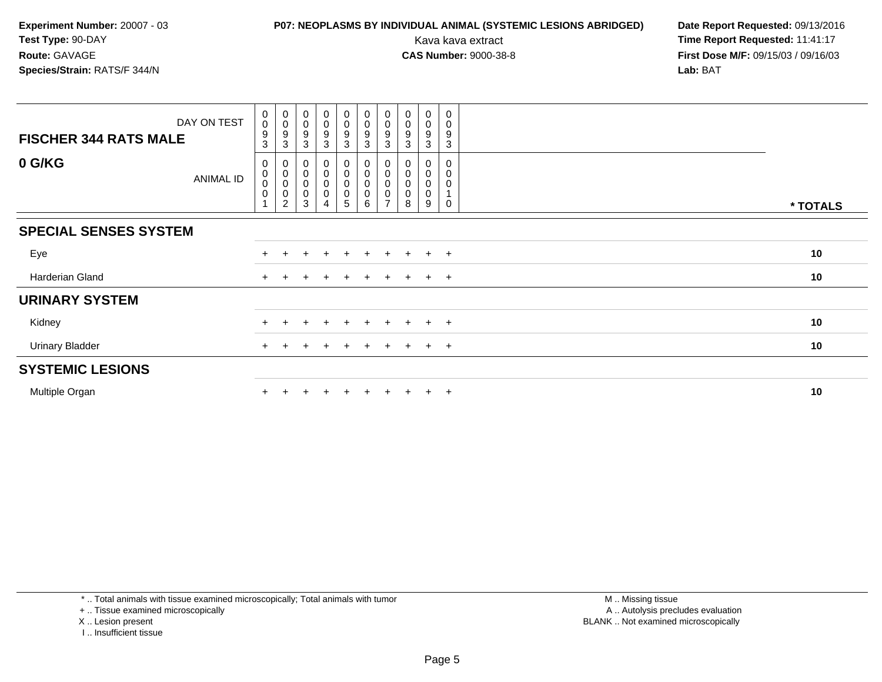## **P07: NEOPLASMS BY INDIVIDUAL ANIMAL (SYSTEMIC LESIONS ABRIDGED) Date Report Requested: 09/13/2016<br>Kava kava extract <b>Time Report Requested:** 11:41:17

Kava kava extract **Time Report Requested:** 11:41:17<br>**CAS Number:** 9000-38-8 **Time Report Requested:** 11:41:17 **First Dose M/F:** 09/15/03 / 09/16/03<br>**Lab:** BAT **Lab:** BAT

| DAY ON TEST<br><b>FISCHER 344 RATS MALE</b> | $\begin{smallmatrix} 0\\0 \end{smallmatrix}$<br>9<br>$\sqrt{3}$ | $_{\rm 0}^{\rm 0}$<br>9<br>3                | $\begin{smallmatrix}0\0\0\end{smallmatrix}$<br>9<br>3 | $_{\rm 0}^{\rm 0}$<br>$\boldsymbol{9}$<br>$\mathbf{3}$ | $\mathbf 0$<br>$\mathsf 0$<br>9<br>3                          | $\pmb{0}$<br>$\pmb{0}$<br>$\boldsymbol{9}$<br>$\mathbf{3}$ | $_{\rm 0}^{\rm 0}$<br>9<br>3 | $_{\rm 0}^{\rm 0}$<br>9<br>3 | 0<br>$\pmb{0}$<br>$\boldsymbol{9}$<br>3 | 0<br>0<br>9<br>3 |          |
|---------------------------------------------|-----------------------------------------------------------------|---------------------------------------------|-------------------------------------------------------|--------------------------------------------------------|---------------------------------------------------------------|------------------------------------------------------------|------------------------------|------------------------------|-----------------------------------------|------------------|----------|
| 0 G/KG<br>ANIMAL ID                         | 0<br>$_{\rm 0}^{\rm 0}$<br>$\pmb{0}$                            | 0<br>$\,0\,$<br>$\mathbf 0$<br>$\,0\,$<br>2 | 0<br>0<br>3                                           | 0<br>$\pmb{0}$<br>$\pmb{0}$<br>0<br>4                  | 0<br>$\boldsymbol{0}$<br>$\boldsymbol{0}$<br>$\mathbf 0$<br>5 | 0<br>$\pmb{0}$<br>$\mathbf 0$<br>$\mathbf 0$<br>6          | 0<br>0<br>0<br>0             | 8                            | 0<br>0<br>0<br>0<br>9                   | 0<br>0<br>0      | * TOTALS |
| <b>SPECIAL SENSES SYSTEM</b>                |                                                                 |                                             |                                                       |                                                        |                                                               |                                                            |                              |                              |                                         |                  |          |
| Eye                                         | $+$                                                             |                                             |                                                       | $\div$                                                 | $\div$                                                        | $\div$                                                     | ÷                            |                              | $+$                                     | $+$              | 10       |
| Harderian Gland                             | $+$                                                             |                                             |                                                       |                                                        | $\pm$                                                         | $\pm$                                                      | $\pm$                        |                              | $+$                                     | $+$              | 10       |
| <b>URINARY SYSTEM</b>                       |                                                                 |                                             |                                                       |                                                        |                                                               |                                                            |                              |                              |                                         |                  |          |
| Kidney                                      |                                                                 |                                             |                                                       |                                                        | ÷                                                             |                                                            |                              |                              | $+$                                     | $+$              | 10       |
| <b>Urinary Bladder</b>                      |                                                                 |                                             |                                                       |                                                        |                                                               |                                                            |                              |                              | $+$                                     | $+$              | 10       |
| <b>SYSTEMIC LESIONS</b>                     |                                                                 |                                             |                                                       |                                                        |                                                               |                                                            |                              |                              |                                         |                  |          |
| Multiple Organ                              |                                                                 |                                             |                                                       |                                                        | $\div$                                                        | $\div$                                                     |                              |                              | $+$                                     | $+$              | 10       |

\* .. Total animals with tissue examined microscopically; Total animals with tumor

+ .. Tissue examined microscopically

X .. Lesion present

I .. Insufficient tissue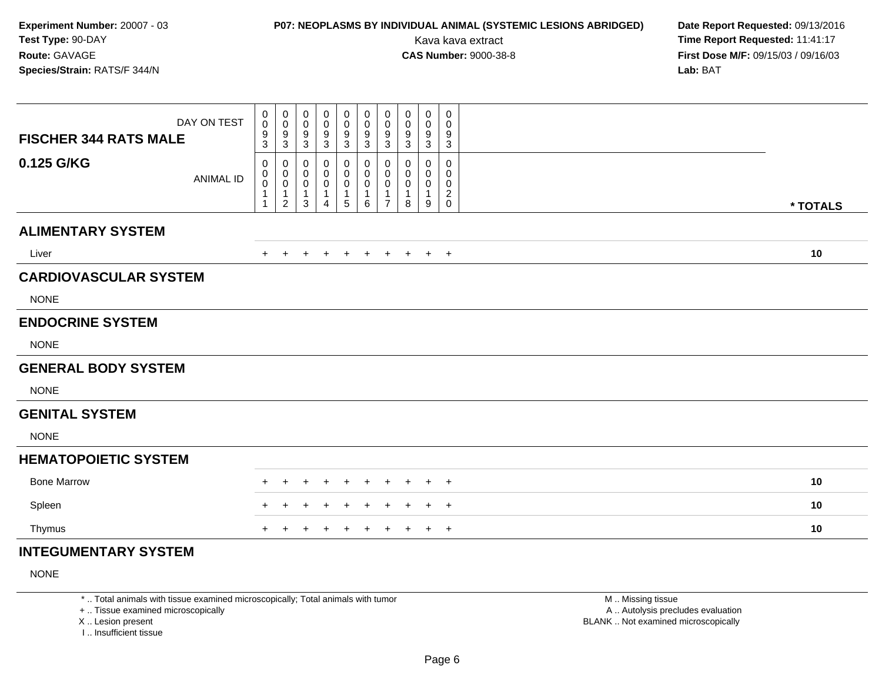## **P07: NEOPLASMS BY INDIVIDUAL ANIMAL (SYSTEMIC LESIONS ABRIDGED) Date Report Requested:** 09/13/2016

Kava kava extract **Time Report Requested:** 11:41:17<br>**CAS Number:** 9000-38-8 **Time Report Requested:** 11:41:17 **First Dose M/F:** 09/15/03 / 09/16/03<br>**Lab:** BAT **Lab:** BAT

| DAY ON TEST<br><b>FISCHER 344 RATS MALE</b> | 0<br>$\pmb{0}$<br>$^9_3$                  | 0<br>$\mathbf 0$<br>9<br>$\mathbf{3}$                             | 0<br>0<br>9<br>3                                      | 0<br>0<br>9<br>3                                          | 0<br>0<br>$\boldsymbol{9}$<br>3 | 0<br>0<br>$\boldsymbol{9}$<br>$\mathbf{3}$ | $\pmb{0}$<br>0<br>9<br>3           | 0<br>0<br>9<br>$\mathbf{3}$                   | 0<br>0<br>9<br>3      | 0<br>0<br>9<br>3                   |          |
|---------------------------------------------|-------------------------------------------|-------------------------------------------------------------------|-------------------------------------------------------|-----------------------------------------------------------|---------------------------------|--------------------------------------------|------------------------------------|-----------------------------------------------|-----------------------|------------------------------------|----------|
| 0.125 G/KG<br><b>ANIMAL ID</b>              | 0<br>$\mathbf 0$<br>$\mathbf 0$<br>1<br>1 | 0<br>$\mathbf 0$<br>$\mathbf 0$<br>$\mathbf{1}$<br>$\overline{2}$ | 0<br>0<br>$\mathbf 0$<br>$\mathbf{1}$<br>$\mathbf{3}$ | 0<br>0<br>$\mathbf 0$<br>$\overline{1}$<br>$\overline{4}$ | 0<br>0<br>$\pmb{0}$<br>1<br>5   | 0<br>0<br>$\mathbf 0$<br>$\mathbf{1}$<br>6 | 0<br>0<br>0<br>1<br>$\overline{7}$ | $\Omega$<br>$\Omega$<br>0<br>$\mathbf 1$<br>8 | 0<br>0<br>0<br>1<br>9 | 0<br>0<br>0<br>$\overline{c}$<br>0 | * TOTALS |
| <b>ALIMENTARY SYSTEM</b>                    |                                           |                                                                   |                                                       |                                                           |                                 |                                            |                                    |                                               |                       |                                    |          |
| Liver                                       | $+$                                       | $+$                                                               | $\ddot{}$                                             | $\ddot{}$                                                 | $+$                             | $+$                                        | $+$                                | $+$                                           | $+$ $+$               |                                    | 10       |
| <b>CARDIOVASCULAR SYSTEM</b>                |                                           |                                                                   |                                                       |                                                           |                                 |                                            |                                    |                                               |                       |                                    |          |
| <b>NONE</b>                                 |                                           |                                                                   |                                                       |                                                           |                                 |                                            |                                    |                                               |                       |                                    |          |
| <b>ENDOCRINE SYSTEM</b>                     |                                           |                                                                   |                                                       |                                                           |                                 |                                            |                                    |                                               |                       |                                    |          |
| <b>NONE</b>                                 |                                           |                                                                   |                                                       |                                                           |                                 |                                            |                                    |                                               |                       |                                    |          |
| <b>GENERAL BODY SYSTEM</b>                  |                                           |                                                                   |                                                       |                                                           |                                 |                                            |                                    |                                               |                       |                                    |          |
| <b>NONE</b>                                 |                                           |                                                                   |                                                       |                                                           |                                 |                                            |                                    |                                               |                       |                                    |          |
| <b>GENITAL SYSTEM</b>                       |                                           |                                                                   |                                                       |                                                           |                                 |                                            |                                    |                                               |                       |                                    |          |
| <b>NONE</b>                                 |                                           |                                                                   |                                                       |                                                           |                                 |                                            |                                    |                                               |                       |                                    |          |
| <b>HEMATOPOIETIC SYSTEM</b>                 |                                           |                                                                   |                                                       |                                                           |                                 |                                            |                                    |                                               |                       |                                    |          |
| <b>Bone Marrow</b>                          |                                           |                                                                   |                                                       |                                                           |                                 |                                            |                                    |                                               |                       | $+$                                | 10       |
| Spleen                                      |                                           |                                                                   |                                                       |                                                           |                                 |                                            |                                    |                                               |                       | $+$                                | 10       |
| Thymus                                      | $+$                                       | $\pm$                                                             | ٠                                                     |                                                           | $\div$                          | $\ddot{}$                                  | $\ddot{}$                          | $\ddot{}$                                     | $+$                   | $+$                                | 10       |
| <b>INTEGUMENTARY SYSTEM</b>                 |                                           |                                                                   |                                                       |                                                           |                                 |                                            |                                    |                                               |                       |                                    |          |

NONE

\* .. Total animals with tissue examined microscopically; Total animals with tumor

+ .. Tissue examined microscopically

X .. Lesion present

I .. Insufficient tissue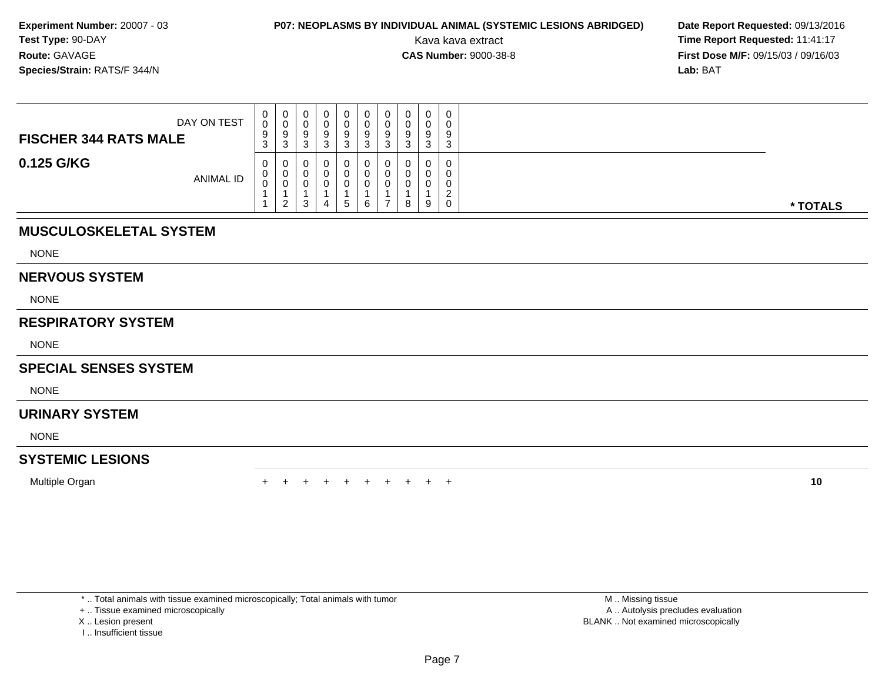## **P07: NEOPLASMS BY INDIVIDUAL ANIMAL (SYSTEMIC LESIONS ABRIDGED) Date Report Requested: 09/13/2016<br>Kava kava extract <b>Time Report Requested:** 11:41:17

Kava kava extract **Time Report Requested:** 11:41:17<br>**CAS Number:** 9000-38-8 **Time Report Requested:** 11:41:17 **First Dose M/F:** 09/15/03 / 09/16/03<br>**Lab:** BAT **Lab:** BAT

| DAY ON TEST<br><b>FISCHER 344 RATS MALE</b> | U<br>U<br>9<br>ు   | U<br>U<br>У<br>っ<br>J.  | 0<br>9<br>3        | 0<br>ν<br>9<br>3 | O | υ<br>υ<br>9<br>◠<br>P | $\mathbf{0}$<br>0<br>9<br>3 | 0<br>0<br>9<br>3 | 9<br>◠<br>ت |          |
|---------------------------------------------|--------------------|-------------------------|--------------------|------------------|---|-----------------------|-----------------------------|------------------|-------------|----------|
| 0.125 G/KG<br><b>ANIMAL ID</b>              | <b>U</b><br>U<br>J | υ<br>U<br>U<br><u>_</u> | 0<br>ົ<br><b>ت</b> | 0<br>U<br>u      |   | υ<br>U<br>U           | 0<br>$\Omega$<br>0<br>8     | 0<br>0<br>0<br>9 |             | * TOTALS |

### **MUSCULOSKELETAL SYSTEM**

NONE

#### **NERVOUS SYSTEM**

NONE

### **RESPIRATORY SYSTEM**

NONE

### **SPECIAL SENSES SYSTEM**

**NONE** 

### **URINARY SYSTEM**

NONE

### **SYSTEMIC LESIONS**

Multiple Organn  $+$ 

<sup>+</sup> <sup>+</sup> <sup>+</sup> <sup>+</sup> <sup>+</sup> <sup>+</sup> <sup>+</sup> <sup>+</sup> <sup>+</sup> **<sup>10</sup>**

\* .. Total animals with tissue examined microscopically; Total animals with tumor

+ .. Tissue examined microscopically

- X .. Lesion present
- I .. Insufficient tissue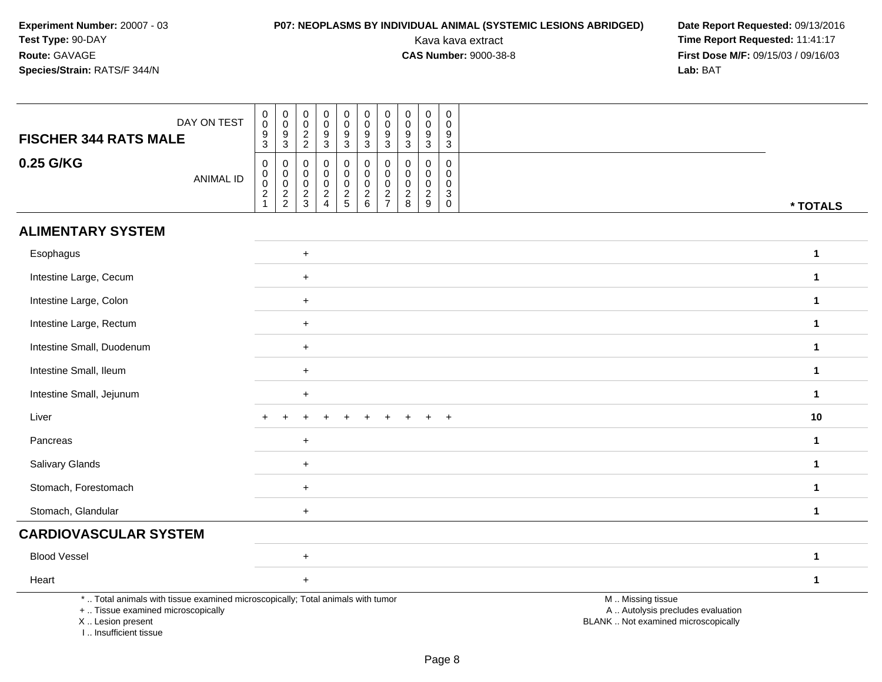# **P07: NEOPLASMS BY INDIVIDUAL ANIMAL (SYSTEMIC LESIONS ABRIDGED) Date Report Requested: 09/13/2016<br>Kava kava extract <b>Time Report Requested:** 11:41:17

| DAY ON TEST<br><b>FISCHER 344 RATS MALE</b>                                                                                                                         | $\begin{array}{c} 0 \\ 0 \\ 9 \\ 3 \end{array}$<br>$_{\rm 0}^{\rm 0}$<br>$\begin{smallmatrix} 0\\0 \end{smallmatrix}$<br>$\mathbf 0$<br>$\mathbf 0$<br>$\begin{smallmatrix}0\\0\end{smallmatrix}$<br>0<br>$\mathbf 0$<br>$_0^0$<br>0<br>$\overline{0}$<br>$\mathbf 0$<br>$\mathbf 0$<br>0<br>$\mathbf 0$<br>$\frac{9}{3}$<br>$\boldsymbol{9}$<br>$9\,$<br>$\frac{2}{2}$<br>$\frac{9}{3}$<br>$\frac{9}{3}$<br>$\frac{9}{3}$<br>$\boldsymbol{9}$<br>9<br>$\overline{3}$<br>$\overline{3}$<br>$\mathbf{3}$<br>3                                                                                        |              |
|---------------------------------------------------------------------------------------------------------------------------------------------------------------------|-----------------------------------------------------------------------------------------------------------------------------------------------------------------------------------------------------------------------------------------------------------------------------------------------------------------------------------------------------------------------------------------------------------------------------------------------------------------------------------------------------------------------------------------------------------------------------------------------------|--------------|
| 0.25 G/KG<br><b>ANIMAL ID</b>                                                                                                                                       | $\mathsf 0$<br>$\pmb{0}$<br>$\mathbf 0$<br>0<br>$\mathbf 0$<br>0<br>0<br>$\mathbf 0$<br>$\mathbf 0$<br>0<br>$\begin{matrix} 0 \\ 0 \\ 2 \\ 2 \end{matrix}$<br>$\mathbf 0$<br>$\mathsf 0$<br>$\mathbf 0$<br>$\pmb{0}$<br>$\mathbf 0$<br>0<br>$\mathbf 0$<br>$\mathbf 0$<br>$\mathbf 0$<br>$\mathbf 0$<br>$\mathbf 0$<br>$\mathbf 0$<br>$\pmb{0}$<br>$\mathbf 0$<br>$\mathbf 0$<br>$\mathbf 0$<br>$\mathbf 0$<br>0<br>$\frac{2}{1}$<br>$\frac{2}{4}$<br>$\frac{2}{5}$<br>$\frac{2}{6}$<br>$\frac{2}{7}$<br>$\frac{2}{9}$<br>$\frac{2}{3}$<br>$_{\rm 8}^2$<br>$\ensuremath{\mathsf{3}}$<br>$\mathbf 0$ | * TOTALS     |
| <b>ALIMENTARY SYSTEM</b>                                                                                                                                            |                                                                                                                                                                                                                                                                                                                                                                                                                                                                                                                                                                                                     |              |
| Esophagus                                                                                                                                                           | $\ddot{}$                                                                                                                                                                                                                                                                                                                                                                                                                                                                                                                                                                                           | $\mathbf{1}$ |
| Intestine Large, Cecum                                                                                                                                              | $\ddot{}$                                                                                                                                                                                                                                                                                                                                                                                                                                                                                                                                                                                           | $\mathbf{1}$ |
| Intestine Large, Colon                                                                                                                                              | $\ddot{}$                                                                                                                                                                                                                                                                                                                                                                                                                                                                                                                                                                                           | $\mathbf{1}$ |
| Intestine Large, Rectum                                                                                                                                             | $\ddot{}$                                                                                                                                                                                                                                                                                                                                                                                                                                                                                                                                                                                           | $\mathbf{1}$ |
| Intestine Small, Duodenum                                                                                                                                           | $\ddot{}$                                                                                                                                                                                                                                                                                                                                                                                                                                                                                                                                                                                           | $\mathbf{1}$ |
| Intestine Small, Ileum                                                                                                                                              | $+$                                                                                                                                                                                                                                                                                                                                                                                                                                                                                                                                                                                                 | $\mathbf{1}$ |
| Intestine Small, Jejunum                                                                                                                                            | $\ddot{}$                                                                                                                                                                                                                                                                                                                                                                                                                                                                                                                                                                                           | $\mathbf{1}$ |
| Liver                                                                                                                                                               | $\ddot{}$                                                                                                                                                                                                                                                                                                                                                                                                                                                                                                                                                                                           | 10           |
| Pancreas                                                                                                                                                            | $+$                                                                                                                                                                                                                                                                                                                                                                                                                                                                                                                                                                                                 | $\mathbf{1}$ |
| Salivary Glands                                                                                                                                                     | $+$                                                                                                                                                                                                                                                                                                                                                                                                                                                                                                                                                                                                 | $\mathbf{1}$ |
| Stomach, Forestomach                                                                                                                                                | $+$                                                                                                                                                                                                                                                                                                                                                                                                                                                                                                                                                                                                 | $\mathbf{1}$ |
| Stomach, Glandular                                                                                                                                                  | $+$                                                                                                                                                                                                                                                                                                                                                                                                                                                                                                                                                                                                 | $\mathbf{1}$ |
| <b>CARDIOVASCULAR SYSTEM</b>                                                                                                                                        |                                                                                                                                                                                                                                                                                                                                                                                                                                                                                                                                                                                                     |              |
| <b>Blood Vessel</b>                                                                                                                                                 | $\ddot{}$                                                                                                                                                                                                                                                                                                                                                                                                                                                                                                                                                                                           | $\mathbf 1$  |
| Heart                                                                                                                                                               | $\ddot{}$                                                                                                                                                                                                                                                                                                                                                                                                                                                                                                                                                                                           | $\mathbf{1}$ |
| *  Total animals with tissue examined microscopically; Total animals with tumor<br>+  Tissue examined microscopically<br>X  Lesion present<br>I Insufficient tissue | M  Missing tissue<br>A  Autolysis precludes evaluation<br>BLANK  Not examined microscopically                                                                                                                                                                                                                                                                                                                                                                                                                                                                                                       |              |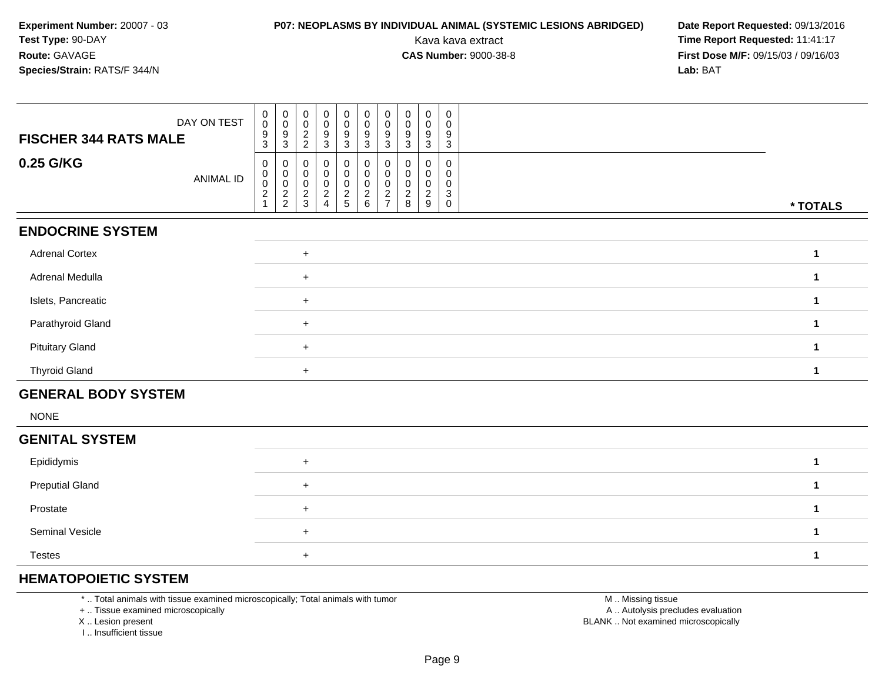## **P07: NEOPLASMS BY INDIVIDUAL ANIMAL (SYSTEMIC LESIONS ABRIDGED) Date Report Requested: 09/13/2016<br>Kava kava extract <b>Time Report Requested:** 11:41:17

Kava kava extract **Time Report Requested:** 11:41:17<br>**CAS Number:** 9000-38-8 **Time Report Requested:** 11:41:17 **First Dose M/F:** 09/15/03 / 09/16/03<br>**Lab:** BAT **Lab:** BAT

| DAY ON TEST<br><b>FISCHER 344 RATS MALE</b> | 0<br>$\mathbf 0$<br>$\boldsymbol{9}$<br>3                                       | 0<br>$\ddot{\mathbf{0}}$<br>9<br>3                                | $\mathbf 0$<br>0<br>$\overline{c}$<br>$\overline{2}$ | $\pmb{0}$<br>0<br>9<br>$\mathbf{3}$                     | $_{\rm 0}^{\rm 0}$<br>$\boldsymbol{9}$<br>$\mathbf{3}$ | $\pmb{0}$<br>$\overline{0}$<br>$\boldsymbol{9}$<br>3             | $\boldsymbol{0}$<br>$\pmb{0}$<br>$\boldsymbol{9}$<br>$\mathbf{3}$ | $\pmb{0}$<br>0<br>9<br>3     | $\mathbf 0$<br>$\pmb{0}$<br>9<br>$\mathbf{3}$         | $\pmb{0}$<br>0<br>9<br>3                             |                      |
|---------------------------------------------|---------------------------------------------------------------------------------|-------------------------------------------------------------------|------------------------------------------------------|---------------------------------------------------------|--------------------------------------------------------|------------------------------------------------------------------|-------------------------------------------------------------------|------------------------------|-------------------------------------------------------|------------------------------------------------------|----------------------|
| 0.25 G/KG<br><b>ANIMAL ID</b>               | 0<br>$\begin{smallmatrix}0\\0\end{smallmatrix}$<br>$\overline{\mathbf{c}}$<br>1 | 0<br>$\begin{smallmatrix}0\0\0\end{smallmatrix}$<br>$\frac{2}{2}$ | 0<br>0<br>$\mathbf 0$<br>$\frac{2}{3}$               | 0<br>0<br>$\pmb{0}$<br>$\overline{c}$<br>$\overline{4}$ | $\mathsf 0$<br>$\pmb{0}$<br>$\pmb{0}$<br>$\frac{2}{5}$ | $\mathbf 0$<br>$\pmb{0}$<br>$\mathsf{O}\xspace$<br>$\frac{2}{6}$ | $\pmb{0}$<br>$\pmb{0}$<br>$\mathbf 0$<br>$\frac{2}{7}$            | 0<br>0<br>0<br>$\frac{2}{8}$ | $\mathbf 0$<br>0<br>0<br>$\overline{\mathbf{c}}$<br>9 | $\mathbf 0$<br>0<br>0<br>$\mathbf{3}$<br>$\mathbf 0$ | * TOTALS             |
| <b>ENDOCRINE SYSTEM</b>                     |                                                                                 |                                                                   |                                                      |                                                         |                                                        |                                                                  |                                                                   |                              |                                                       |                                                      |                      |
| <b>Adrenal Cortex</b>                       |                                                                                 |                                                                   | $+$                                                  |                                                         |                                                        |                                                                  |                                                                   |                              |                                                       |                                                      | $\mathbf{1}$         |
| Adrenal Medulla                             |                                                                                 |                                                                   | $+$                                                  |                                                         |                                                        |                                                                  |                                                                   |                              |                                                       |                                                      | $\mathbf{1}$         |
| Islets, Pancreatic                          |                                                                                 |                                                                   | $+$                                                  |                                                         |                                                        |                                                                  |                                                                   |                              |                                                       |                                                      | $\mathbf{1}$         |
| Parathyroid Gland                           |                                                                                 |                                                                   | $\ddot{}$                                            |                                                         |                                                        |                                                                  |                                                                   |                              |                                                       |                                                      | $\mathbf{1}$         |
| <b>Pituitary Gland</b>                      |                                                                                 |                                                                   | $+$                                                  |                                                         |                                                        |                                                                  |                                                                   |                              |                                                       |                                                      | $\mathbf{1}$         |
| <b>Thyroid Gland</b>                        |                                                                                 |                                                                   | $+$                                                  |                                                         |                                                        |                                                                  |                                                                   |                              |                                                       |                                                      | $\mathbf{1}$         |
| <b>GENERAL BODY SYSTEM</b>                  |                                                                                 |                                                                   |                                                      |                                                         |                                                        |                                                                  |                                                                   |                              |                                                       |                                                      |                      |
| <b>NONE</b>                                 |                                                                                 |                                                                   |                                                      |                                                         |                                                        |                                                                  |                                                                   |                              |                                                       |                                                      |                      |
| <b>GENITAL SYSTEM</b>                       |                                                                                 |                                                                   |                                                      |                                                         |                                                        |                                                                  |                                                                   |                              |                                                       |                                                      |                      |
| Epididymis                                  |                                                                                 |                                                                   | $+$                                                  |                                                         |                                                        |                                                                  |                                                                   |                              |                                                       |                                                      | $\mathbf{1}$         |
| <b>Preputial Gland</b>                      |                                                                                 |                                                                   | $\ddot{}$                                            |                                                         |                                                        |                                                                  |                                                                   |                              |                                                       |                                                      | $\blacktriangleleft$ |
| Prostate                                    |                                                                                 |                                                                   | $\ddot{}$                                            |                                                         |                                                        |                                                                  |                                                                   |                              |                                                       |                                                      | $\blacktriangleleft$ |
| Seminal Vesicle                             |                                                                                 |                                                                   | $\ddot{}$                                            |                                                         |                                                        |                                                                  |                                                                   |                              |                                                       |                                                      | $\blacktriangleleft$ |

Testes<sup>+</sup>

### **HEMATOPOIETIC SYSTEM**

\* .. Total animals with tissue examined microscopically; Total animals with tumor

+ .. Tissue examined microscopically

X .. Lesion present

I .. Insufficient tissue

 M .. Missing tissuey the contract of the contract of the contract of the contract of the contract of the contract of the contract of  $A$ . Autolysis precludes evaluation Lesion present BLANK .. Not examined microscopically

**<sup>1</sup>**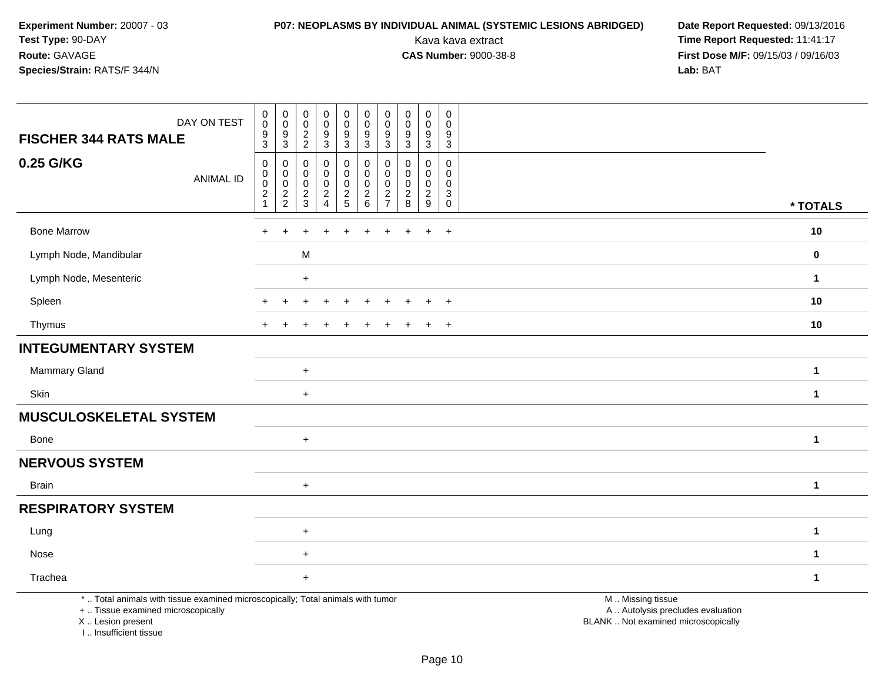# **P07: NEOPLASMS BY INDIVIDUAL ANIMAL (SYSTEMIC LESIONS ABRIDGED) Date Report Requested: 09/13/2016<br>Kava kava extract <b>Time Report Requested:** 11:41:17

| DAY ON TEST<br><b>FISCHER 344 RATS MALE</b>                                                                                                                         | ${\bf 0}$<br>$\pmb{0}$<br>$\boldsymbol{9}$<br>$\sqrt{3}$                               | $\begin{smallmatrix} 0\\0 \end{smallmatrix}$<br>$\boldsymbol{9}$<br>$\mathbf{3}$ | $\pmb{0}$<br>$\mathbf 0$<br>$\sqrt{2}$<br>$\sqrt{2}$ | $\begin{smallmatrix} 0\\0 \end{smallmatrix}$<br>$\boldsymbol{9}$<br>3 | $\pmb{0}$<br>$\mathbf 0$<br>$\boldsymbol{9}$<br>$\overline{3}$ | $\pmb{0}$<br>$\mathsf{O}\xspace$<br>$\boldsymbol{9}$<br>3              | $\mathbf 0$<br>0<br>9<br>$\mathbf{3}$                  | $_{\rm 0}^{\rm 0}$<br>$\boldsymbol{9}$<br>$\mathbf{3}$ | $\pmb{0}$<br>$\mathbf 0$<br>9<br>$\mathbf{3}$ | $\mathbf 0$<br>$\mathbf 0$<br>9<br>$\mathbf{3}$                          |                                                                                               |              |
|---------------------------------------------------------------------------------------------------------------------------------------------------------------------|----------------------------------------------------------------------------------------|----------------------------------------------------------------------------------|------------------------------------------------------|-----------------------------------------------------------------------|----------------------------------------------------------------|------------------------------------------------------------------------|--------------------------------------------------------|--------------------------------------------------------|-----------------------------------------------|--------------------------------------------------------------------------|-----------------------------------------------------------------------------------------------|--------------|
| 0.25 G/KG<br><b>ANIMAL ID</b>                                                                                                                                       | $\pmb{0}$<br>$\pmb{0}$<br>$\begin{smallmatrix} 0\\2 \end{smallmatrix}$<br>$\mathbf{1}$ | 0<br>$\mathbf 0$<br>$\frac{0}{2}$                                                | $\mathbf 0$<br>0<br>$\mathsf 0$<br>$\frac{2}{3}$     | 0<br>$\mathbf 0$<br>$\pmb{0}$<br>$\overline{2}$<br>$\overline{4}$     | $\pmb{0}$<br>$\pmb{0}$<br>$\frac{0}{2}$                        | $\mathbf 0$<br>$\mathbf 0$<br>$\mathbf 0$<br>$\overline{2}$<br>$\,6\,$ | $\Omega$<br>0<br>0<br>$\overline{c}$<br>$\overline{7}$ | $\mathbf 0$<br>$\mathbf 0$<br>$\frac{0}{2}$            | 0<br>0<br>$\mathbf 0$<br>$\frac{2}{9}$        | $\mathbf 0$<br>$\mathbf 0$<br>$\mathbf 0$<br>$\mathbf{3}$<br>$\mathbf 0$ |                                                                                               | * TOTALS     |
| <b>Bone Marrow</b>                                                                                                                                                  | ÷                                                                                      |                                                                                  |                                                      |                                                                       |                                                                | $\div$                                                                 | +                                                      |                                                        | $+$                                           | $+$                                                                      |                                                                                               | 10           |
| Lymph Node, Mandibular                                                                                                                                              |                                                                                        |                                                                                  | M                                                    |                                                                       |                                                                |                                                                        |                                                        |                                                        |                                               |                                                                          |                                                                                               | 0            |
| Lymph Node, Mesenteric                                                                                                                                              |                                                                                        |                                                                                  | $\ddot{}$                                            |                                                                       |                                                                |                                                                        |                                                        |                                                        |                                               |                                                                          |                                                                                               | $\mathbf{1}$ |
| Spleen                                                                                                                                                              |                                                                                        |                                                                                  |                                                      |                                                                       |                                                                |                                                                        |                                                        |                                                        |                                               | $\overline{+}$                                                           |                                                                                               | 10           |
| Thymus                                                                                                                                                              |                                                                                        |                                                                                  |                                                      |                                                                       |                                                                |                                                                        |                                                        |                                                        | $\ddot{}$                                     | $+$                                                                      |                                                                                               | 10           |
| <b>INTEGUMENTARY SYSTEM</b>                                                                                                                                         |                                                                                        |                                                                                  |                                                      |                                                                       |                                                                |                                                                        |                                                        |                                                        |                                               |                                                                          |                                                                                               |              |
| Mammary Gland                                                                                                                                                       |                                                                                        |                                                                                  | $+$                                                  |                                                                       |                                                                |                                                                        |                                                        |                                                        |                                               |                                                                          |                                                                                               | $\mathbf 1$  |
| Skin                                                                                                                                                                |                                                                                        |                                                                                  | $\ddot{}$                                            |                                                                       |                                                                |                                                                        |                                                        |                                                        |                                               |                                                                          |                                                                                               | $\mathbf{1}$ |
| <b>MUSCULOSKELETAL SYSTEM</b>                                                                                                                                       |                                                                                        |                                                                                  |                                                      |                                                                       |                                                                |                                                                        |                                                        |                                                        |                                               |                                                                          |                                                                                               |              |
| <b>Bone</b>                                                                                                                                                         |                                                                                        |                                                                                  | $\ddot{}$                                            |                                                                       |                                                                |                                                                        |                                                        |                                                        |                                               |                                                                          |                                                                                               | $\mathbf{1}$ |
| <b>NERVOUS SYSTEM</b>                                                                                                                                               |                                                                                        |                                                                                  |                                                      |                                                                       |                                                                |                                                                        |                                                        |                                                        |                                               |                                                                          |                                                                                               |              |
| <b>Brain</b>                                                                                                                                                        |                                                                                        |                                                                                  | $\ddot{}$                                            |                                                                       |                                                                |                                                                        |                                                        |                                                        |                                               |                                                                          |                                                                                               | $\mathbf{1}$ |
| <b>RESPIRATORY SYSTEM</b>                                                                                                                                           |                                                                                        |                                                                                  |                                                      |                                                                       |                                                                |                                                                        |                                                        |                                                        |                                               |                                                                          |                                                                                               |              |
| Lung                                                                                                                                                                |                                                                                        |                                                                                  | $\ddot{}$                                            |                                                                       |                                                                |                                                                        |                                                        |                                                        |                                               |                                                                          |                                                                                               | 1            |
| Nose                                                                                                                                                                |                                                                                        |                                                                                  | $\ddot{}$                                            |                                                                       |                                                                |                                                                        |                                                        |                                                        |                                               |                                                                          |                                                                                               | 1            |
| Trachea                                                                                                                                                             |                                                                                        |                                                                                  | $\ddot{}$                                            |                                                                       |                                                                |                                                                        |                                                        |                                                        |                                               |                                                                          |                                                                                               | $\mathbf 1$  |
| *  Total animals with tissue examined microscopically; Total animals with tumor<br>+  Tissue examined microscopically<br>X  Lesion present<br>I Insufficient tissue |                                                                                        |                                                                                  |                                                      |                                                                       |                                                                |                                                                        |                                                        |                                                        |                                               |                                                                          | M  Missing tissue<br>A  Autolysis precludes evaluation<br>BLANK  Not examined microscopically |              |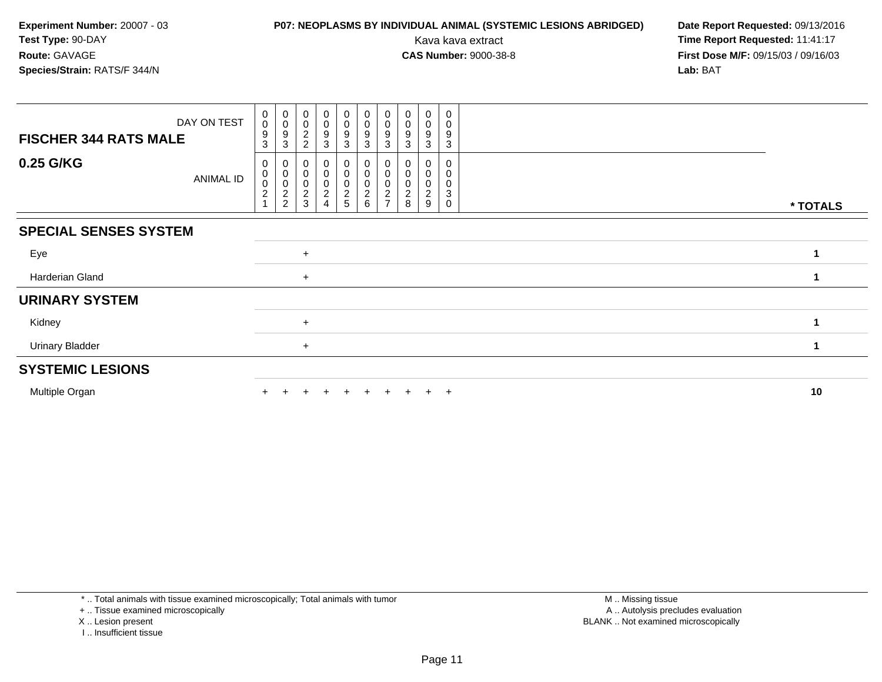## **P07: NEOPLASMS BY INDIVIDUAL ANIMAL (SYSTEMIC LESIONS ABRIDGED) Date Report Requested: 09/13/2016<br>Kava kava extract <b>Time Report Requested:** 11:41:17

Kava kava extract **Time Report Requested:** 11:41:17<br>**CAS Number:** 9000-38-8 **Time Report Requested:** 11:41:17 **First Dose M/F:** 09/15/03 / 09/16/03<br>**Lab:** BAT **Lab:** BAT

| DAY ON TEST                  | $\pmb{0}$<br>$\pmb{0}$     | $_{\rm 0}^{\rm 0}$                                  | $_{\rm 0}^{\rm 0}$                             | $\begin{smallmatrix} 0\\0 \end{smallmatrix}$ | $\begin{array}{c} 0 \\ 0 \\ 9 \\ 3 \end{array}$ | $\begin{smallmatrix}0\\0\\9\end{smallmatrix}$          | 0<br>$\mathbf 0$ | $\pmb{0}$<br>$\boldsymbol{0}$ | 0<br>$\pmb{0}$                     | 0<br>0                |          |
|------------------------------|----------------------------|-----------------------------------------------------|------------------------------------------------|----------------------------------------------|-------------------------------------------------|--------------------------------------------------------|------------------|-------------------------------|------------------------------------|-----------------------|----------|
| <b>FISCHER 344 RATS MALE</b> | 9<br>3                     | 9<br>3                                              | $\frac{2}{2}$                                  | $\boldsymbol{9}$<br>3                        |                                                 | $\mathbf{3}$                                           | 9<br>3           | 9<br>3                        | 9<br>3                             | 9<br>3                |          |
| 0.25 G/KG<br>ANIMAL ID       | 0<br>0<br>$\mathbf 0$<br>2 | 0<br>0<br>$\overline{\mathbf{c}}$<br>$\overline{c}$ | 0<br>0<br>$\mathbf 0$<br>$\boldsymbol{2}$<br>3 | 0<br>$\pmb{0}$<br>0<br>$\overline{c}$<br>4   | 0<br>$\pmb{0}$<br>$\pmb{0}$<br>$\frac{2}{5}$    | 0<br>$\pmb{0}$<br>$\mathbf 0$<br>$\boldsymbol{2}$<br>6 | 0<br>0<br>0<br>2 | 8                             | 0<br>0<br>0<br>$\overline{c}$<br>9 | 0<br>0<br>0<br>3<br>0 | * TOTALS |
| <b>SPECIAL SENSES SYSTEM</b> |                            |                                                     |                                                |                                              |                                                 |                                                        |                  |                               |                                    |                       |          |
| Eye                          |                            |                                                     | $+$                                            |                                              |                                                 |                                                        |                  |                               |                                    |                       |          |
| Harderian Gland              |                            |                                                     | $+$                                            |                                              |                                                 |                                                        |                  |                               |                                    |                       |          |
| <b>URINARY SYSTEM</b>        |                            |                                                     |                                                |                                              |                                                 |                                                        |                  |                               |                                    |                       |          |
| Kidney                       |                            |                                                     | $+$                                            |                                              |                                                 |                                                        |                  |                               |                                    |                       |          |
| <b>Urinary Bladder</b>       |                            |                                                     | $+$                                            |                                              |                                                 |                                                        |                  |                               |                                    |                       |          |
| <b>SYSTEMIC LESIONS</b>      |                            |                                                     |                                                |                                              |                                                 |                                                        |                  |                               |                                    |                       |          |
| Multiple Organ               |                            |                                                     |                                                | $\div$                                       | $+$                                             | $+$                                                    | $+$              | $+$                           | $+$ $+$                            |                       | 10       |

\* .. Total animals with tissue examined microscopically; Total animals with tumor

+ .. Tissue examined microscopically

X .. Lesion present

I .. Insufficient tissue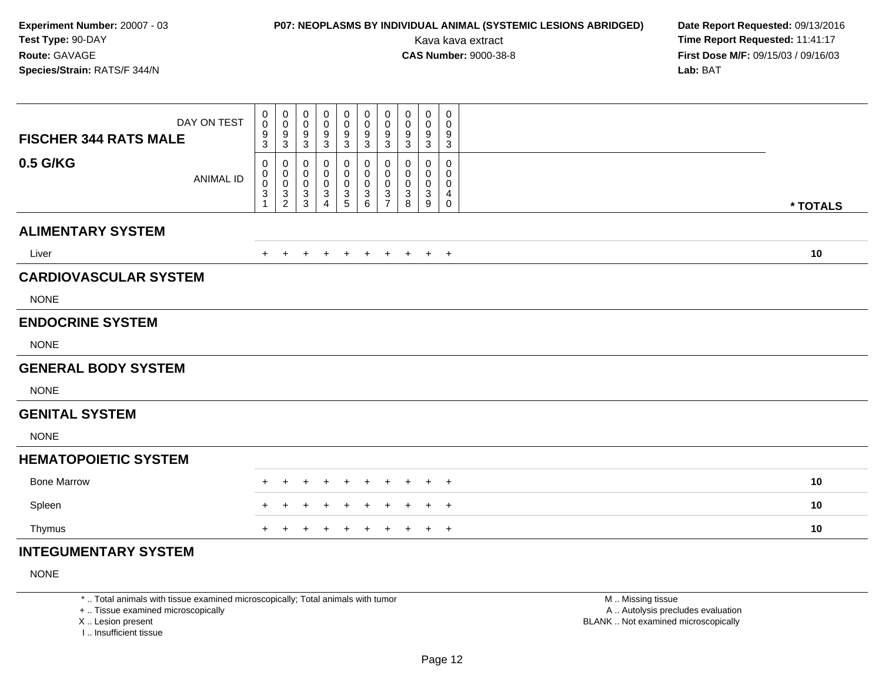## **P07: NEOPLASMS BY INDIVIDUAL ANIMAL (SYSTEMIC LESIONS ABRIDGED) Date Report Requested:** 09/13/2016

Kava kava extract **Time Report Requested:** 11:41:17<br>**CAS Number:** 9000-38-8 **Time Report Requested:** 11:41:17 **First Dose M/F:** 09/15/03 / 09/16/03<br>Lab: BAT **Lab:** BAT

| DAY ON TEST<br><b>FISCHER 344 RATS MALE</b> | 0<br>0<br>9<br>3                        | 0<br>$\mathbf 0$<br>$9\,$<br>$\sqrt{3}$                         | 0<br>0<br>9<br>3      | 0<br>0<br>9<br>3                                           | 0<br>0<br>$\boldsymbol{9}$<br>3 | 0<br>$\pmb{0}$<br>$\frac{9}{3}$            | 0<br>0<br>$\boldsymbol{9}$<br>$\mathbf{3}$             | 0<br>0<br>9<br>3      | $\mathbf 0$<br>0<br>9<br>$\mathbf{3}$      | 0<br>0<br>9<br>3                                     |          |
|---------------------------------------------|-----------------------------------------|-----------------------------------------------------------------|-----------------------|------------------------------------------------------------|---------------------------------|--------------------------------------------|--------------------------------------------------------|-----------------------|--------------------------------------------|------------------------------------------------------|----------|
| 0.5 G/KG<br><b>ANIMAL ID</b>                | 0<br>$\boldsymbol{0}$<br>$\pmb{0}$<br>3 | $\mathbf 0$<br>$\mathbf 0$<br>$\boldsymbol{0}$<br>$\frac{3}{2}$ | 0<br>0<br>0<br>3<br>3 | 0<br>0<br>0<br>$\ensuremath{\mathsf{3}}$<br>$\overline{4}$ | 0<br>0<br>0<br>3<br>5           | 0<br>0<br>$\mathbf 0$<br>$\mathbf{3}$<br>6 | 0<br>$\mathbf 0$<br>$\mathbf 0$<br>3<br>$\overline{7}$ | 0<br>0<br>0<br>3<br>8 | 0<br>0<br>$\mathbf 0$<br>$\mathbf{3}$<br>9 | $\mathbf 0$<br>0<br>0<br>$\overline{4}$<br>$\pmb{0}$ | * TOTALS |
| <b>ALIMENTARY SYSTEM</b>                    |                                         |                                                                 |                       |                                                            |                                 |                                            |                                                        |                       |                                            |                                                      |          |
| Liver                                       | $+$                                     | $+$                                                             | $\ddot{}$             | $+$                                                        | $+$                             | $+$                                        | $+$                                                    |                       | $+$ $+$ $+$                                |                                                      | 10       |
| <b>CARDIOVASCULAR SYSTEM</b>                |                                         |                                                                 |                       |                                                            |                                 |                                            |                                                        |                       |                                            |                                                      |          |
| <b>NONE</b>                                 |                                         |                                                                 |                       |                                                            |                                 |                                            |                                                        |                       |                                            |                                                      |          |
| <b>ENDOCRINE SYSTEM</b>                     |                                         |                                                                 |                       |                                                            |                                 |                                            |                                                        |                       |                                            |                                                      |          |
| <b>NONE</b>                                 |                                         |                                                                 |                       |                                                            |                                 |                                            |                                                        |                       |                                            |                                                      |          |
| <b>GENERAL BODY SYSTEM</b>                  |                                         |                                                                 |                       |                                                            |                                 |                                            |                                                        |                       |                                            |                                                      |          |
| <b>NONE</b>                                 |                                         |                                                                 |                       |                                                            |                                 |                                            |                                                        |                       |                                            |                                                      |          |
| <b>GENITAL SYSTEM</b>                       |                                         |                                                                 |                       |                                                            |                                 |                                            |                                                        |                       |                                            |                                                      |          |
| <b>NONE</b>                                 |                                         |                                                                 |                       |                                                            |                                 |                                            |                                                        |                       |                                            |                                                      |          |
| <b>HEMATOPOIETIC SYSTEM</b>                 |                                         |                                                                 |                       |                                                            |                                 |                                            |                                                        |                       |                                            |                                                      |          |
| <b>Bone Marrow</b>                          | $+$                                     |                                                                 | ٠                     |                                                            | $\ddot{}$                       | $\ddot{}$                                  | $\div$                                                 | +                     | $\pm$                                      | $+$                                                  | 10       |
| Spleen                                      |                                         |                                                                 |                       |                                                            |                                 |                                            |                                                        |                       | ÷                                          | $^{+}$                                               | 10       |
| Thymus                                      | $+$                                     | $\pm$                                                           | ٠                     |                                                            | $\ddot{}$                       | $+$                                        | $\ddot{}$                                              | $\ddot{}$             |                                            | $+$ $+$                                              | 10       |
| <b>INTEGUMENTARY SYSTEM</b>                 |                                         |                                                                 |                       |                                                            |                                 |                                            |                                                        |                       |                                            |                                                      |          |

NONE

\* .. Total animals with tissue examined microscopically; Total animals with tumor

+ .. Tissue examined microscopically

X .. Lesion present

I .. Insufficient tissue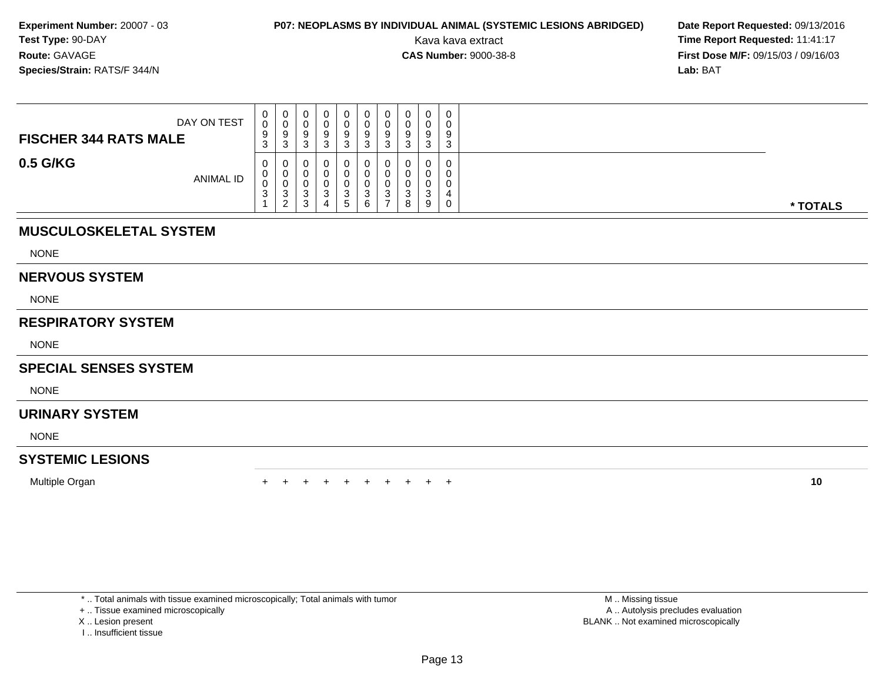## **P07: NEOPLASMS BY INDIVIDUAL ANIMAL (SYSTEMIC LESIONS ABRIDGED) Date Report Requested: 09/13/2016<br>Kava kava extract <b>Time Report Requested:** 11:41:17

Kava kava extract **Time Report Requested:** 11:41:17<br>**CAS Number:** 9000-38-8 **Time Report Requested:** 11:41:17 **First Dose M/F:** 09/15/03 / 09/16/03<br>**Lab:** BAT **Lab:** BAT

| DAY ON TEST<br><b>FISCHER 344 RATS MALE</b> | 0<br>$\Omega$<br>v<br>9<br>3 | 0<br>0<br>9<br>3                  | U<br>◡<br>У<br>ົ<br>J      | 0<br>υ<br>a<br>v<br>ີ<br>J |   | ν<br>ν<br>9<br>J | ◡<br>v<br>9<br>-3 | ◡<br>J.     | 0<br>0<br>a<br>◡<br>3 | ◡<br>9<br>$\sim$ |          |
|---------------------------------------------|------------------------------|-----------------------------------|----------------------------|----------------------------|---|------------------|-------------------|-------------|-----------------------|------------------|----------|
| 0.5 G/KG<br>ANIMAL ID                       | $\mathbf 0$<br>U<br>v<br>3   | 0<br>0<br>0<br>3<br>ົ<br><u>_</u> | ◡<br>◡<br>◡<br>ົ<br>ັ<br>3 | 0<br>0<br>ົ<br>J           | - | ν<br>u<br>u<br>J | U<br>3            | ົ<br>ບ<br>8 | 0<br>0<br>0<br>ັ<br>9 |                  | * TOTALS |

### **MUSCULOSKELETAL SYSTEM**

NONE

#### **NERVOUS SYSTEM**

NONE

### **RESPIRATORY SYSTEM**

NONE

### **SPECIAL SENSES SYSTEM**

**NONE** 

### **URINARY SYSTEM**

NONE

### **SYSTEMIC LESIONS**

Multiple Organn  $+$ 

<sup>+</sup> <sup>+</sup> <sup>+</sup> <sup>+</sup> <sup>+</sup> <sup>+</sup> <sup>+</sup> <sup>+</sup> <sup>+</sup> **<sup>10</sup>**

\* .. Total animals with tissue examined microscopically; Total animals with tumor

+ .. Tissue examined microscopically

- X .. Lesion present
- I .. Insufficient tissue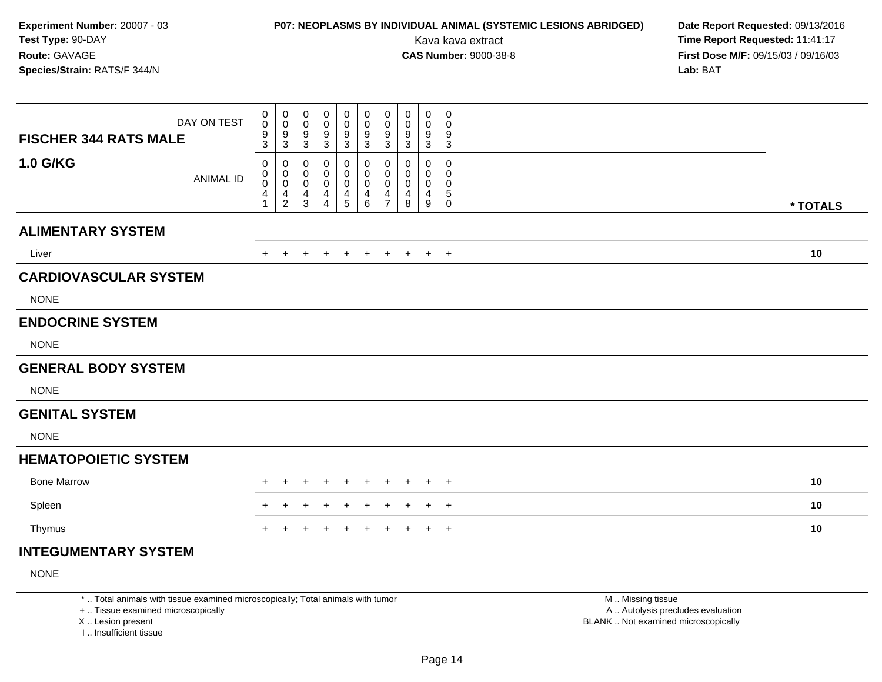## **P07: NEOPLASMS BY INDIVIDUAL ANIMAL (SYSTEMIC LESIONS ABRIDGED) Date Report Requested:** 09/13/2016

Kava kava extract **Time Report Requested:** 11:41:17<br>**CAS Number:** 9000-38-8 **Time Report Requested:** 11:41:17 **First Dose M/F:** 09/15/03 / 09/16/03<br>Lab: BAT **Lab:** BAT

| DAY ON TEST<br><b>FISCHER 344 RATS MALE</b> | 0<br>$\pmb{0}$<br>$^9_3$                                          | 0<br>$\mathbf 0$<br>9<br>$\sqrt{3}$              | 0<br>0<br>9<br>3                          | 0<br>0<br>9<br>3      | 0<br>0<br>9<br>$\sqrt{3}$            | 0<br>0<br>9<br>$\mathbf{3}$     | 0<br>0<br>9<br>3                   | 0<br>$\mathbf 0$<br>9<br>$\mathbf{3}$     | 0<br>$\mathbf 0$<br>9<br>3 | 0<br>0<br>9<br>3      |          |
|---------------------------------------------|-------------------------------------------------------------------|--------------------------------------------------|-------------------------------------------|-----------------------|--------------------------------------|---------------------------------|------------------------------------|-------------------------------------------|----------------------------|-----------------------|----------|
| 1.0 G/KG<br><b>ANIMAL ID</b>                | 0<br>$\mathbf 0$<br>$\mathbf 0$<br>$\overline{4}$<br>$\mathbf{1}$ | 0<br>$\mathbf 0$<br>$\mathbf 0$<br>$\frac{4}{2}$ | 0<br>$\mathbf 0$<br>$\mathbf 0$<br>4<br>3 | 0<br>0<br>0<br>4<br>4 | 0<br>0<br>$\pmb{0}$<br>$\frac{4}{5}$ | 0<br>0<br>$\mathbf 0$<br>4<br>6 | 0<br>0<br>0<br>4<br>$\overline{7}$ | $\mathbf 0$<br>$\mathbf 0$<br>0<br>4<br>8 | 0<br>0<br>0<br>4<br>9      | 0<br>0<br>0<br>5<br>0 | * TOTALS |
| <b>ALIMENTARY SYSTEM</b>                    |                                                                   |                                                  |                                           |                       |                                      |                                 |                                    |                                           |                            |                       |          |
| Liver                                       | $+$                                                               | $\overline{+}$                                   | $\ddot{}$                                 | $\ddot{}$             | $+$                                  | $+$                             | $+$                                | $+$                                       | $+$ $+$                    |                       | 10       |
| <b>CARDIOVASCULAR SYSTEM</b>                |                                                                   |                                                  |                                           |                       |                                      |                                 |                                    |                                           |                            |                       |          |
| <b>NONE</b>                                 |                                                                   |                                                  |                                           |                       |                                      |                                 |                                    |                                           |                            |                       |          |
| <b>ENDOCRINE SYSTEM</b>                     |                                                                   |                                                  |                                           |                       |                                      |                                 |                                    |                                           |                            |                       |          |
| <b>NONE</b>                                 |                                                                   |                                                  |                                           |                       |                                      |                                 |                                    |                                           |                            |                       |          |
| <b>GENERAL BODY SYSTEM</b>                  |                                                                   |                                                  |                                           |                       |                                      |                                 |                                    |                                           |                            |                       |          |
| <b>NONE</b>                                 |                                                                   |                                                  |                                           |                       |                                      |                                 |                                    |                                           |                            |                       |          |
| <b>GENITAL SYSTEM</b>                       |                                                                   |                                                  |                                           |                       |                                      |                                 |                                    |                                           |                            |                       |          |
| <b>NONE</b>                                 |                                                                   |                                                  |                                           |                       |                                      |                                 |                                    |                                           |                            |                       |          |
| <b>HEMATOPOIETIC SYSTEM</b>                 |                                                                   |                                                  |                                           |                       |                                      |                                 |                                    |                                           |                            |                       |          |
| <b>Bone Marrow</b>                          |                                                                   |                                                  |                                           |                       |                                      |                                 |                                    |                                           |                            | $+$                   | 10       |
| Spleen                                      |                                                                   |                                                  |                                           |                       |                                      |                                 |                                    |                                           |                            | $+$                   | 10       |
| Thymus                                      |                                                                   |                                                  |                                           |                       | ÷                                    | $\ddot{}$                       | $\ddot{}$                          | ٠                                         | $\ddot{}$                  | $+$                   | 10       |
| <b>INTEGUMENTARY SYSTEM</b>                 |                                                                   |                                                  |                                           |                       |                                      |                                 |                                    |                                           |                            |                       |          |

NONE

\* .. Total animals with tissue examined microscopically; Total animals with tumor

+ .. Tissue examined microscopically

X .. Lesion present

I .. Insufficient tissue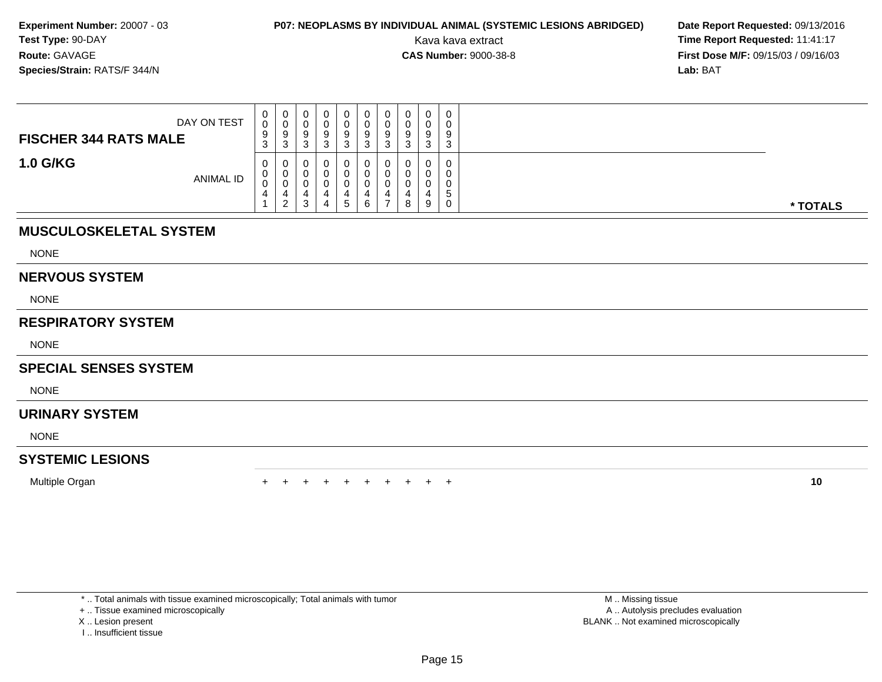## **P07: NEOPLASMS BY INDIVIDUAL ANIMAL (SYSTEMIC LESIONS ABRIDGED) Date Report Requested: 09/13/2016<br>Kava kava extract <b>Time Report Requested:** 11:41:17

Kava kava extract **Time Report Requested:** 11:41:17<br>**CAS Number:** 9000-38-8 **Time Report Requested:** 11:41:17 **First Dose M/F:** 09/15/03 / 09/16/03<br>**Lab:** BAT **Lab:** BAT

| DAY ON TEST<br><b>FISCHER 344 RATS MALE</b> | 0<br>v<br>9<br>3 | 0<br>U<br>9<br>3                  | U<br>ັ<br>У<br>J. | 0<br>◡<br>a<br>v<br>-2<br>ت | ت | υ<br>u<br>9<br>J | υ<br>v<br>-9<br>3 | U<br>J. | 0<br>0<br>a<br>÷<br>3      | 9<br>⌒<br>ັ |          |
|---------------------------------------------|------------------|-----------------------------------|-------------------|-----------------------------|---|------------------|-------------------|---------|----------------------------|-------------|----------|
| <b>1.0 G/KG</b><br><b>ANIMAL ID</b>         | 0<br>U<br>◡<br>4 | 0<br>0<br>U<br>4<br>◠<br><u>_</u> | v<br>v<br>ັ<br>J. | 0<br>0<br>4                 |   | J<br>J           | υ                 | 4<br>ပ  | $\mathbf 0$<br>0<br>0<br>9 | G           | * TOTALS |

### **MUSCULOSKELETAL SYSTEM**

NONE

#### **NERVOUS SYSTEM**

NONE

### **RESPIRATORY SYSTEM**

NONE

### **SPECIAL SENSES SYSTEM**

**NONE** 

### **URINARY SYSTEM**

NONE

### **SYSTEMIC LESIONS**

Multiple Organn  $+$ 

<sup>+</sup> <sup>+</sup> <sup>+</sup> <sup>+</sup> <sup>+</sup> <sup>+</sup> <sup>+</sup> <sup>+</sup> <sup>+</sup> **<sup>10</sup>**

\* .. Total animals with tissue examined microscopically; Total animals with tumor

+ .. Tissue examined microscopically

- X .. Lesion present
- I .. Insufficient tissue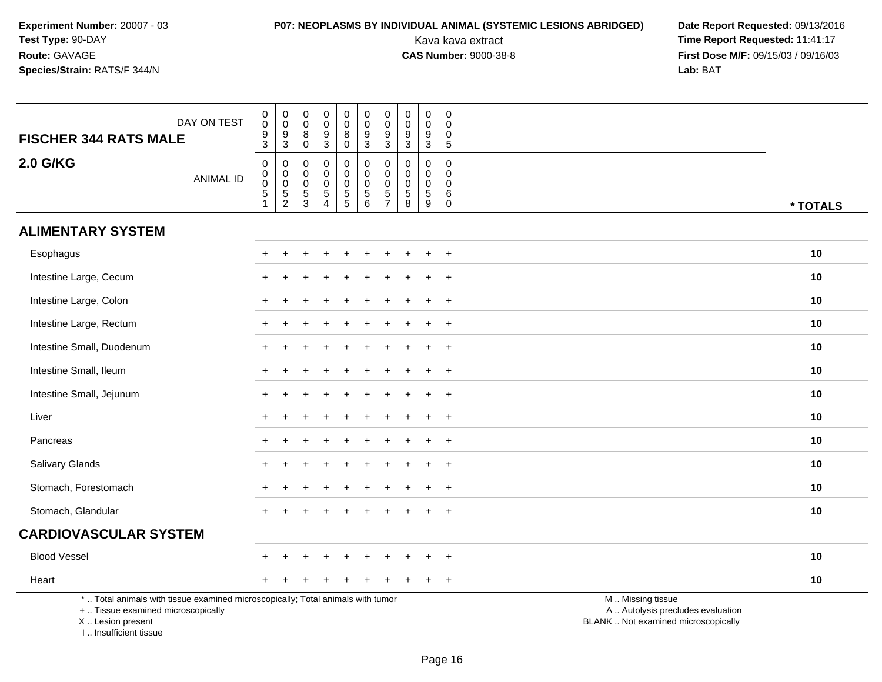# **P07: NEOPLASMS BY INDIVIDUAL ANIMAL (SYSTEMIC LESIONS ABRIDGED) Date Report Requested: 09/13/2016<br>Kava kava extract <b>Time Report Requested:** 11:41:17

| DAY ON TEST<br><b>FISCHER 344 RATS MALE</b>                                                                                                                         | $\pmb{0}$<br>$\ddot{\mathbf{0}}$<br>$\frac{9}{3}$ | $_{\rm 0}^{\rm 0}$<br>$\frac{9}{3}$ | $\boldsymbol{0}$<br>$\ddot{\mathbf{0}}$<br>$\bf8$ | $\pmb{0}$<br>$\mathbf 0$<br>9    | $\pmb{0}$<br>$\mathbf 0$<br>8      | $\pmb{0}$<br>$\ddot{\mathbf{0}}$<br>$\frac{9}{3}$ | $\pmb{0}$<br>$\mathbf 0$<br>9 | $\pmb{0}$<br>0<br>9 | $\begin{smallmatrix} 0\\0 \end{smallmatrix}$<br>$\boldsymbol{9}$ | $\mathbf 0$<br>$\Omega$<br>0 |                                                                                               |  |
|---------------------------------------------------------------------------------------------------------------------------------------------------------------------|---------------------------------------------------|-------------------------------------|---------------------------------------------------|----------------------------------|------------------------------------|---------------------------------------------------|-------------------------------|---------------------|------------------------------------------------------------------|------------------------------|-----------------------------------------------------------------------------------------------|--|
| <b>2.0 G/KG</b>                                                                                                                                                     | $\pmb{0}$                                         | $\pmb{0}$                           | $\mathbf 0$<br>$\boldsymbol{0}$                   | $\mathbf{3}$<br>$\mathbf 0$      | $\mathbf 0$<br>$\mathbf 0$         | $\pmb{0}$                                         | 3<br>$\mathbf 0$              | 3<br>$\mathbf 0$    | $\mathbf{3}$<br>$\pmb{0}$                                        | 5<br>$\Omega$                |                                                                                               |  |
| <b>ANIMAL ID</b>                                                                                                                                                    | $\begin{smallmatrix}0\0\0\5\end{smallmatrix}$     | $\mathsf 0$<br>$\ddot{\mathbf{0}}$  | $\mathbf 0$<br>$\mathbf 0$                        | $\mathbf 0$<br>$\mathbf 0$       | $\mathbf 0$<br>$\mathsf{O}\xspace$ | $\pmb{0}$<br>$\ddot{\mathbf{0}}$                  | $\mathbf 0$<br>$\mathbf 0$    | $\mathbf 0$<br>0    | $\mathbf 0$<br>$\pmb{0}$                                         | $\mathbf 0$<br>$\mathbf 0$   |                                                                                               |  |
|                                                                                                                                                                     | $\overline{1}$                                    | $\overline{5}$<br>$\overline{c}$    | $\frac{5}{3}$                                     | $\overline{5}$<br>$\overline{4}$ | $\overline{5}$                     | $\overline{5}$ 6                                  | $\sqrt{5}$<br>$\overline{7}$  | $\sqrt{5}$<br>8     | $\overline{5}$<br>9                                              | $\,6$<br>$\mathsf{O}\xspace$ | * TOTALS                                                                                      |  |
| <b>ALIMENTARY SYSTEM</b>                                                                                                                                            |                                                   |                                     |                                                   |                                  |                                    |                                                   |                               |                     |                                                                  |                              |                                                                                               |  |
| Esophagus                                                                                                                                                           | $+$                                               | $\div$                              |                                                   |                                  | $\ddot{}$                          |                                                   |                               |                     |                                                                  | $+$                          | 10                                                                                            |  |
| Intestine Large, Cecum                                                                                                                                              |                                                   |                                     |                                                   |                                  |                                    |                                                   |                               |                     |                                                                  | $\overline{ }$               | 10                                                                                            |  |
| Intestine Large, Colon                                                                                                                                              |                                                   |                                     |                                                   |                                  |                                    |                                                   |                               |                     |                                                                  | $\div$                       | 10                                                                                            |  |
| Intestine Large, Rectum                                                                                                                                             |                                                   |                                     |                                                   |                                  |                                    |                                                   |                               |                     |                                                                  | $\overline{+}$               | 10                                                                                            |  |
| Intestine Small, Duodenum                                                                                                                                           |                                                   |                                     |                                                   |                                  |                                    |                                                   |                               |                     |                                                                  | $\ddot{}$                    | 10                                                                                            |  |
| Intestine Small, Ileum                                                                                                                                              |                                                   |                                     |                                                   |                                  |                                    |                                                   |                               |                     |                                                                  | $\ddot{}$                    | 10                                                                                            |  |
| Intestine Small, Jejunum                                                                                                                                            | $+$                                               |                                     |                                                   |                                  |                                    |                                                   |                               |                     | $\div$                                                           | $+$                          | 10                                                                                            |  |
| Liver                                                                                                                                                               |                                                   |                                     |                                                   |                                  |                                    |                                                   |                               |                     |                                                                  | $+$                          | 10                                                                                            |  |
| Pancreas                                                                                                                                                            |                                                   |                                     |                                                   |                                  |                                    |                                                   |                               |                     |                                                                  | $\ddot{}$                    | 10                                                                                            |  |
| Salivary Glands                                                                                                                                                     |                                                   |                                     |                                                   |                                  |                                    |                                                   |                               |                     |                                                                  | $\overline{+}$               | 10                                                                                            |  |
| Stomach, Forestomach                                                                                                                                                |                                                   |                                     |                                                   |                                  |                                    |                                                   |                               |                     |                                                                  | $\overline{+}$               | 10                                                                                            |  |
| Stomach, Glandular                                                                                                                                                  |                                                   |                                     |                                                   |                                  |                                    |                                                   |                               |                     |                                                                  | $+$                          | 10                                                                                            |  |
| <b>CARDIOVASCULAR SYSTEM</b>                                                                                                                                        |                                                   |                                     |                                                   |                                  |                                    |                                                   |                               |                     |                                                                  |                              |                                                                                               |  |
| <b>Blood Vessel</b>                                                                                                                                                 |                                                   |                                     |                                                   |                                  |                                    |                                                   |                               |                     |                                                                  | $\overline{ }$               | 10                                                                                            |  |
| Heart                                                                                                                                                               |                                                   |                                     |                                                   |                                  |                                    |                                                   |                               |                     |                                                                  | $+$                          | 10                                                                                            |  |
| *  Total animals with tissue examined microscopically; Total animals with tumor<br>+  Tissue examined microscopically<br>X  Lesion present<br>I Insufficient tissue |                                                   |                                     |                                                   |                                  |                                    |                                                   |                               |                     |                                                                  |                              | M  Missing tissue<br>A  Autolysis precludes evaluation<br>BLANK  Not examined microscopically |  |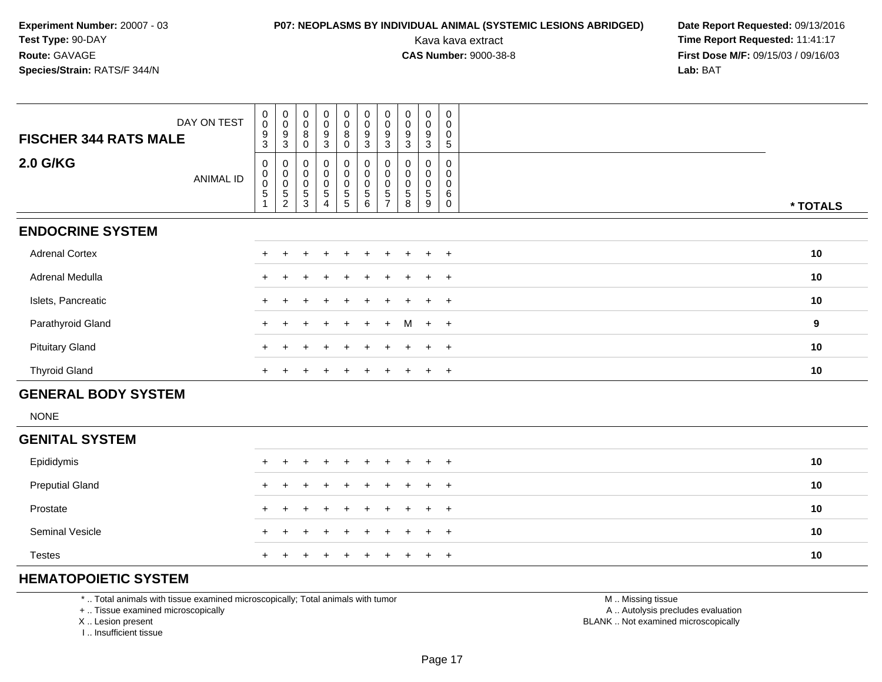## **P07: NEOPLASMS BY INDIVIDUAL ANIMAL (SYSTEMIC LESIONS ABRIDGED) Date Report Requested: 09/13/2016<br>Kava kava extract <b>Time Report Requested:** 11:41:17

Kava kava extract **Time Report Requested:** 11:41:17<br>**CAS Number:** 9000-38-8 **Time Report Requested:** 11:41:17 **First Dose M/F:** 09/15/03 / 09/16/03<br>**Lab:** BAT **Lab:** BAT

| DAY ON TEST<br><b>FISCHER 344 RATS MALE</b> | $_{\rm 0}^{\rm 0}$<br>$\boldsymbol{9}$ | $_{\rm 0}^{\rm 0}$<br>9                            | $\begin{smallmatrix}0\0\0\end{smallmatrix}$<br>8 | $_0^0$<br>$\boldsymbol{9}$     | $_{\rm 0}^{\rm 0}$<br>8 | $\begin{smallmatrix} 0\\0 \end{smallmatrix}$<br>$\boldsymbol{9}$         | $_{\rm 0}^{\rm 0}$<br>9                      | $\begin{smallmatrix} 0\\0 \end{smallmatrix}$<br>9 | 0<br>$\mathsf 0$<br>9 | $\boldsymbol{0}$<br>$\mathbf 0$<br>0 |          |
|---------------------------------------------|----------------------------------------|----------------------------------------------------|--------------------------------------------------|--------------------------------|-------------------------|--------------------------------------------------------------------------|----------------------------------------------|---------------------------------------------------|-----------------------|--------------------------------------|----------|
|                                             | $\sqrt{3}$                             | 3                                                  | 0                                                | 3                              | 0                       | $\mathbf{3}$                                                             | 3                                            | 3                                                 | 3                     | 5                                    |          |
| 2.0 G/KG<br>ANIMAL ID                       | 0<br>$_{\rm 0}^{\rm 0}$<br>5           | 0<br>$\pmb{0}$<br>$\pmb{0}$<br>5<br>$\overline{2}$ | 0<br>0<br>5<br>3                                 | 0<br>0<br>0<br>$\sqrt{5}$<br>4 | 0<br>0<br>$\frac{0}{5}$ | $_{\rm 0}^{\rm 0}$<br>$\pmb{0}$<br>$\begin{array}{c} 5 \\ 6 \end{array}$ | 0<br>0<br>0<br>$\mathbf 5$<br>$\overline{ }$ | 0<br>5<br>8                                       | 0<br>0<br>0<br>5<br>9 | 0<br>6<br>$\Omega$                   | * TOTALS |
| <b>ENDOCRINE SYSTEM</b>                     |                                        |                                                    |                                                  |                                |                         |                                                                          |                                              |                                                   |                       |                                      |          |
| <b>Adrenal Cortex</b>                       |                                        |                                                    |                                                  | $\div$                         | $+$                     | $+$                                                                      | $+$                                          | $+$                                               | $\ddot{}$             | $+$                                  | 10       |
| Adrenal Medulla                             |                                        |                                                    |                                                  | $\div$                         | $+$                     | $+$                                                                      | $+$                                          | $+$                                               | $\ddot{}$             | $+$                                  | 10       |
| Islets, Pancreatic                          |                                        |                                                    |                                                  |                                | +                       |                                                                          |                                              |                                                   | $\ddot{}$             | $+$                                  | 10       |
| Parathyroid Gland                           | $+$                                    |                                                    | $\pm$                                            | $+$                            | $+$                     | $+$                                                                      | $+$                                          | M                                                 | $+$ $+$               |                                      | 9        |
| <b>Pituitary Gland</b>                      | $+$                                    |                                                    |                                                  | ٠                              | $\div$                  |                                                                          | $\pm$                                        | $\pm$                                             | $\ddot{}$             | $+$                                  | 10       |
| <b>Thyroid Gland</b>                        | $+$                                    |                                                    |                                                  | $\pm$                          | $+$                     | $\pm$                                                                    | $\pm$                                        | $+$                                               | $\pm$                 | $+$                                  | 10       |
| <b>GENERAL BODY SYSTEM</b>                  |                                        |                                                    |                                                  |                                |                         |                                                                          |                                              |                                                   |                       |                                      |          |

NONE

| <b>GENITAL SYSTEM</b>  |  |                     |  |  |  |  |    |
|------------------------|--|---------------------|--|--|--|--|----|
| Epididymis             |  | + + + + + + + + + + |  |  |  |  | 10 |
| <b>Preputial Gland</b> |  | + + + + + + + + + + |  |  |  |  | 10 |
| Prostate               |  | + + + + + + + + + + |  |  |  |  | 10 |
| <b>Seminal Vesicle</b> |  | + + + + + + + + + + |  |  |  |  | 10 |
| <b>Testes</b>          |  | + + + + + + + + + + |  |  |  |  | 10 |

### **HEMATOPOIETIC SYSTEM**

\* .. Total animals with tissue examined microscopically; Total animals with tumor

+ .. Tissue examined microscopically

X .. Lesion present

I .. Insufficient tissue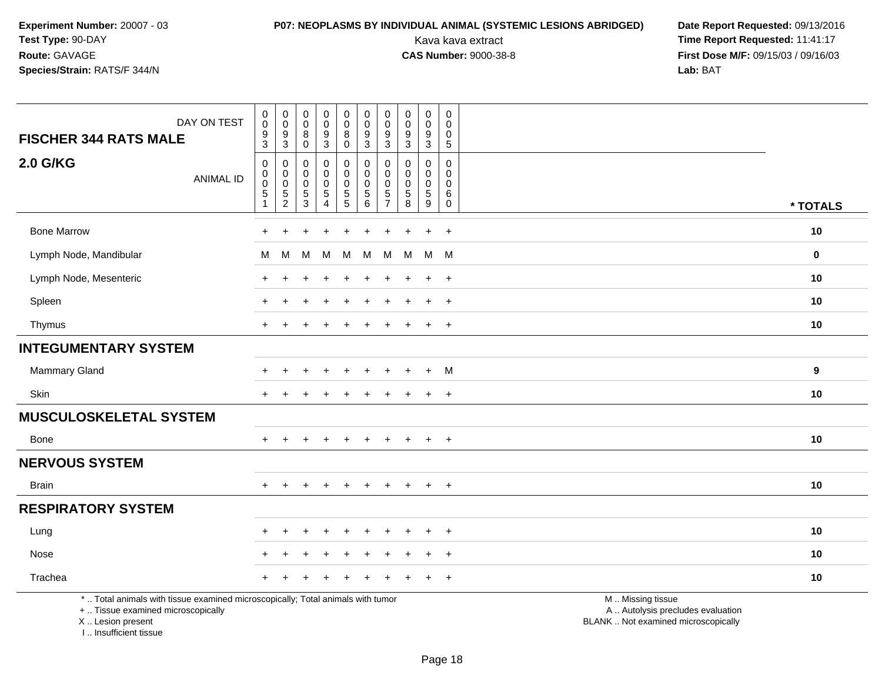## **P07: NEOPLASMS BY INDIVIDUAL ANIMAL (SYSTEMIC LESIONS ABRIDGED) Date Report Requested:** 09/13/2016

Kava kava extract **Time Report Requested:** 11:41:17<br>**CAS Number:** 9000-38-8 **Time Report Requested:** 11:41:17 **First Dose M/F:** 09/15/03 / 09/16/03<br>Lab: BAT **Lab:** BAT

| DAY ON TEST<br><b>FISCHER 344 RATS MALE</b>                                                                                                | $_{\rm 0}^{\rm 0}$<br>$\boldsymbol{9}$ | $\pmb{0}$<br>0<br>9   | 0<br>$\mathbf 0$<br>8     | $\pmb{0}$<br>$\mathsf 0$<br>$\boldsymbol{9}$ | $\pmb{0}$<br>$\mathbf 0$<br>8                | $\pmb{0}$<br>$\pmb{0}$<br>$\boldsymbol{9}$ | $\pmb{0}$<br>$\mathbf 0$<br>$\boldsymbol{9}$ | $\mathbf 0$<br>$\mathbf 0$<br>$\boldsymbol{9}$ | 0<br>$\mathbf 0$<br>9           | $\mathbf 0$<br>$\Omega$<br>$\mathbf 0$ |                                                                                               |             |
|--------------------------------------------------------------------------------------------------------------------------------------------|----------------------------------------|-----------------------|---------------------------|----------------------------------------------|----------------------------------------------|--------------------------------------------|----------------------------------------------|------------------------------------------------|---------------------------------|----------------------------------------|-----------------------------------------------------------------------------------------------|-------------|
|                                                                                                                                            | $\mathbf{3}$                           | $\sqrt{3}$            | $\mathsf{O}\xspace$       | $\mathbf{3}$                                 | $\mathbf 0$                                  | $\mathbf{3}$                               | $\mathfrak{Z}$                               | $\sqrt{3}$                                     | $\mathbf{3}$                    | $\overline{5}$                         |                                                                                               |             |
| <b>2.0 G/KG</b><br><b>ANIMAL ID</b>                                                                                                        | $\boldsymbol{0}$<br>0<br>$\mathbf 0$   | $\mathbf 0$<br>0<br>0 | 0<br>$\Omega$<br>$\Omega$ | 0<br>$\mathbf 0$<br>$\mathbf 0$              | $\mathbf 0$<br>$\overline{0}$<br>$\mathbf 0$ | $\mathbf 0$<br>$\mathbf 0$<br>$\mathbf 0$  | $\mathbf 0$<br>0<br>$\mathbf 0$              | $\mathbf 0$<br>$\mathbf{0}$<br>$\mathbf 0$     | 0<br>$\mathbf 0$<br>$\mathbf 0$ | $\mathbf 0$<br>$\Omega$<br>$\Omega$    |                                                                                               |             |
|                                                                                                                                            | $\,$ 5 $\,$<br>$\overline{1}$          | $\frac{5}{2}$         | 5<br>$\mathbf{3}$         | $\frac{5}{4}$                                | $\frac{5}{5}$                                | $\begin{array}{c} 5 \\ 6 \end{array}$      | $\frac{5}{7}$                                | $\begin{array}{c} 5 \\ 8 \end{array}$          | $\frac{5}{9}$                   | 6<br>$\mathbf 0$                       |                                                                                               | * TOTALS    |
| <b>Bone Marrow</b>                                                                                                                         |                                        |                       |                           |                                              |                                              |                                            |                                              |                                                | $\ddot{}$                       | $\overline{+}$                         |                                                                                               | 10          |
| Lymph Node, Mandibular                                                                                                                     | М                                      | M                     | М                         | M                                            | M                                            | м                                          | м                                            | м                                              | M M                             |                                        |                                                                                               | $\mathbf 0$ |
| Lymph Node, Mesenteric                                                                                                                     |                                        |                       |                           |                                              |                                              |                                            |                                              |                                                | $\div$                          | $\overline{+}$                         |                                                                                               | 10          |
| Spleen                                                                                                                                     |                                        |                       |                           |                                              |                                              |                                            |                                              |                                                | $\ddot{}$                       | $\ddot{}$                              |                                                                                               | 10          |
| Thymus                                                                                                                                     | $+$                                    |                       |                           |                                              |                                              |                                            |                                              |                                                | $\pm$                           | $+$                                    |                                                                                               | 10          |
| <b>INTEGUMENTARY SYSTEM</b>                                                                                                                |                                        |                       |                           |                                              |                                              |                                            |                                              |                                                |                                 |                                        |                                                                                               |             |
| <b>Mammary Gland</b>                                                                                                                       |                                        |                       |                           |                                              |                                              |                                            |                                              |                                                | $\ddot{}$                       | M                                      |                                                                                               | 9           |
| Skin                                                                                                                                       | $+$                                    | $\div$                |                           |                                              | $\ddot{}$                                    | $\ddot{}$                                  |                                              | $\ddot{}$                                      | $+$                             | $+$                                    |                                                                                               | 10          |
| <b>MUSCULOSKELETAL SYSTEM</b>                                                                                                              |                                        |                       |                           |                                              |                                              |                                            |                                              |                                                |                                 |                                        |                                                                                               |             |
| Bone                                                                                                                                       |                                        |                       |                           |                                              | $\div$                                       | $\ddot{}$                                  |                                              | ÷.                                             | $\overline{+}$                  | $+$                                    |                                                                                               | 10          |
| <b>NERVOUS SYSTEM</b>                                                                                                                      |                                        |                       |                           |                                              |                                              |                                            |                                              |                                                |                                 |                                        |                                                                                               |             |
| <b>Brain</b>                                                                                                                               | $+$                                    | $+$                   | $\ddot{}$                 | $\ddot{}$                                    | $+$                                          | $+$                                        | $+$                                          | $\ddot{}$                                      | $+$                             | $+$                                    |                                                                                               | 10          |
| <b>RESPIRATORY SYSTEM</b>                                                                                                                  |                                        |                       |                           |                                              |                                              |                                            |                                              |                                                |                                 |                                        |                                                                                               |             |
| Lung                                                                                                                                       |                                        |                       |                           |                                              |                                              |                                            |                                              |                                                |                                 |                                        |                                                                                               | 10          |
| Nose                                                                                                                                       |                                        |                       |                           |                                              |                                              |                                            |                                              |                                                | $\ddot{}$                       | $+$                                    |                                                                                               | 10          |
| Trachea                                                                                                                                    |                                        |                       |                           |                                              |                                              |                                            |                                              |                                                |                                 | $\ddot{}$                              |                                                                                               | 10          |
| *  Total animals with tissue examined microscopically; Total animals with tumor<br>+  Tissue examined microscopically<br>X  Lesion present |                                        |                       |                           |                                              |                                              |                                            |                                              |                                                |                                 |                                        | M  Missing tissue<br>A  Autolysis precludes evaluation<br>BLANK  Not examined microscopically |             |

I .. Insufficient tissue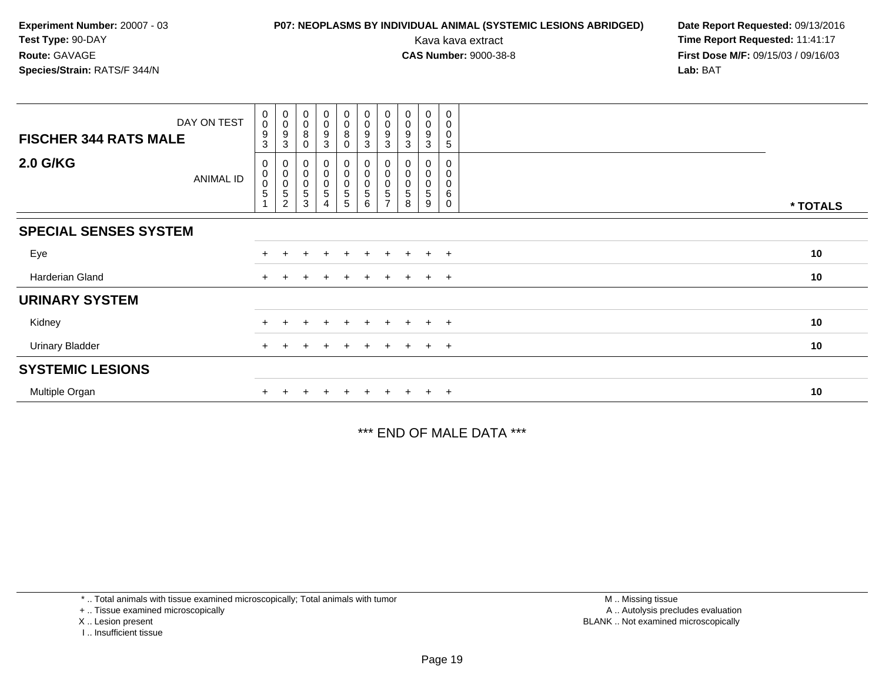## **P07: NEOPLASMS BY INDIVIDUAL ANIMAL (SYSTEMIC LESIONS ABRIDGED) Date Report Requested: 09/13/2016<br>Kava kava extract <b>Time Report Requested:** 11:41:17

Kava kava extract **Time Report Requested:** 11:41:17<br>**CAS Number:** 9000-38-8 **Time Report Requested:** 11:41:17 **First Dose M/F:** 09/15/03 / 09/16/03<br>**Lab:** BAT **Lab:** BAT

| DAY ON TEST<br><b>FISCHER 344 RATS MALE</b> | $\begin{smallmatrix} 0\\0 \end{smallmatrix}$<br>$\boldsymbol{9}$<br>3 | $\begin{smallmatrix} 0\\0 \end{smallmatrix}$<br>9<br>3 | $_{\rm 0}^{\rm 0}$<br>8<br>0                   | $_0^0$<br>9<br>3                                      | $\begin{smallmatrix}0\0\0\8\end{smallmatrix}$<br>0 | $\begin{smallmatrix}0\\0\\9\end{smallmatrix}$<br>3     | $_{\rm 0}^{\rm 0}$<br>9<br>3 | $\begin{smallmatrix}0\\0\end{smallmatrix}$<br>9<br>3 | $\begin{smallmatrix}0\0\0\end{smallmatrix}$<br>9<br>3 | 0<br>0<br>0<br>5           |          |
|---------------------------------------------|-----------------------------------------------------------------------|--------------------------------------------------------|------------------------------------------------|-------------------------------------------------------|----------------------------------------------------|--------------------------------------------------------|------------------------------|------------------------------------------------------|-------------------------------------------------------|----------------------------|----------|
| <b>2.0 G/KG</b><br><b>ANIMAL ID</b>         | 0<br>$\mathbf 0$<br>$\mathbf 0$<br>5                                  | $\pmb{0}$<br>$_{\rm 0}^{\rm 0}$<br>5<br>$\overline{2}$ | $\boldsymbol{0}$<br>$\boldsymbol{0}$<br>5<br>3 | 0<br>$\begin{smallmatrix}0\0\0\end{smallmatrix}$<br>5 | 0<br>0<br>0<br>$\overline{5}$<br>5                 | $\pmb{0}$<br>$\pmb{0}$<br>$\pmb{0}$<br>$\sqrt{5}$<br>6 | 0<br>0<br>5<br>$\rightarrow$ | 0<br>0<br>5<br>8                                     | 0<br>0<br>5<br>9                                      | 0<br>0<br>6<br>$\mathbf 0$ | * TOTALS |
| <b>SPECIAL SENSES SYSTEM</b>                |                                                                       |                                                        |                                                |                                                       |                                                    |                                                        |                              |                                                      |                                                       |                            |          |
| Eye                                         |                                                                       |                                                        |                                                | $\div$                                                | $\pm$                                              |                                                        | $\pm$                        | $+$                                                  | $\ddot{}$                                             | $+$                        | 10       |
| Harderian Gland                             | $+$                                                                   |                                                        |                                                |                                                       | $\pm$                                              | $+$                                                    | $+$                          | $+$                                                  | $+$                                                   | $+$                        | 10       |
| <b>URINARY SYSTEM</b>                       |                                                                       |                                                        |                                                |                                                       |                                                    |                                                        |                              |                                                      |                                                       |                            |          |
| Kidney                                      |                                                                       |                                                        |                                                |                                                       | $+$                                                |                                                        |                              | $\pm$                                                | $\pm$                                                 | $+$                        | 10       |
| <b>Urinary Bladder</b>                      |                                                                       |                                                        |                                                |                                                       | $^+$                                               |                                                        |                              | $+$                                                  | $\ddot{}$                                             | $+$                        | 10       |
| <b>SYSTEMIC LESIONS</b>                     |                                                                       |                                                        |                                                |                                                       |                                                    |                                                        |                              |                                                      |                                                       |                            |          |
| Multiple Organ                              |                                                                       |                                                        |                                                |                                                       | $+$                                                |                                                        |                              |                                                      | $\pm$                                                 | $+$                        | 10       |

\*\*\* END OF MALE DATA \*\*\*

\* .. Total animals with tissue examined microscopically; Total animals with tumor

+ .. Tissue examined microscopically

X .. Lesion present

I .. Insufficient tissue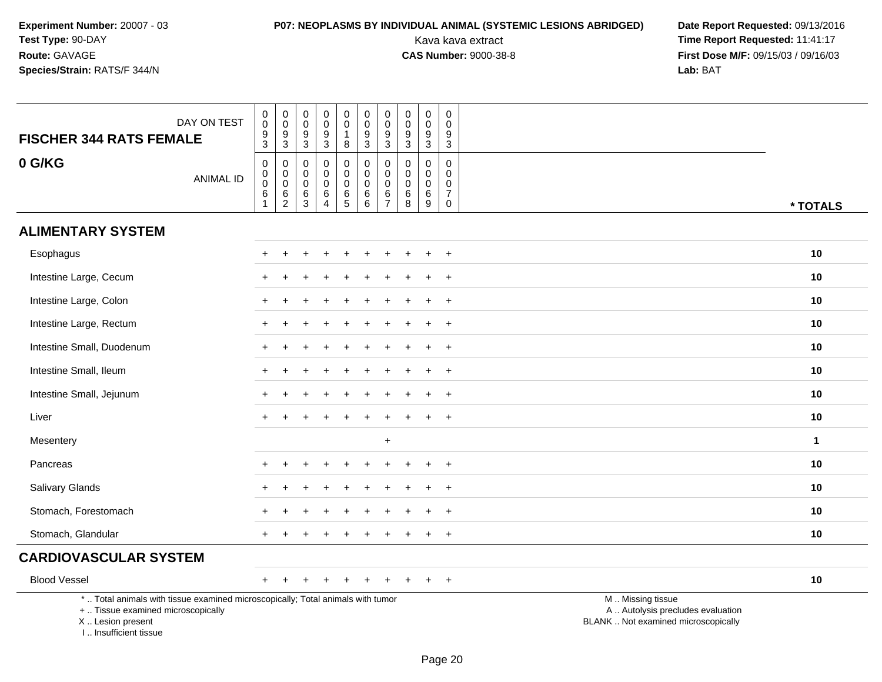# **P07: NEOPLASMS BY INDIVIDUAL ANIMAL (SYSTEMIC LESIONS ABRIDGED) Date Report Requested: 09/13/2016<br>Kava kava extract <b>Time Report Requested:** 11:41:17

| <b>FISCHER 344 RATS FEMALE</b>                                                                                                                                     | DAY ON TEST      | $\begin{smallmatrix}0\0\0\9\end{smallmatrix}$<br>$\mathbf{3}$   | $\begin{smallmatrix} 0\\0 \end{smallmatrix}$<br>9<br>$\overline{3}$ | $\pmb{0}$<br>$\pmb{0}$<br>9<br>$\mathbf{3}$ | $\mathbf 0$<br>$\overline{0}$<br>9<br>$\sqrt{3}$                       | $\mathbf 0$<br>$\overline{0}$<br>$\mathbf{1}$<br>8 | $\pmb{0}$<br>$\boldsymbol{0}$<br>$\boldsymbol{9}$<br>$\sqrt{3}$ | 0<br>$\pmb{0}$<br>9<br>$\mathbf{3}$          | $\mathsf 0$<br>$\mathbf 0$<br>$\boldsymbol{9}$<br>3                    | $\pmb{0}$<br>$\pmb{0}$<br>$\boldsymbol{9}$<br>$\mathbf{3}$ | $\mathbf 0$<br>$\mathbf 0$<br>9<br>$\mathbf{3}$                                    |                                                                                               |              |
|--------------------------------------------------------------------------------------------------------------------------------------------------------------------|------------------|-----------------------------------------------------------------|---------------------------------------------------------------------|---------------------------------------------|------------------------------------------------------------------------|----------------------------------------------------|-----------------------------------------------------------------|----------------------------------------------|------------------------------------------------------------------------|------------------------------------------------------------|------------------------------------------------------------------------------------|-----------------------------------------------------------------------------------------------|--------------|
| 0 G/KG                                                                                                                                                             | <b>ANIMAL ID</b> | $\pmb{0}$<br>$\overline{0}$<br>$\overline{6}$<br>$\overline{1}$ | $\mathbf 0$<br>$\mathbf 0$<br>$\mathbf 0$<br>$^6_2$                 | $\mathbf 0$<br>0<br>$\mathbf 0$<br>$^6_3$   | $\mathbf 0$<br>$\mathbf 0$<br>$\mathbf 0$<br>$\,6\,$<br>$\overline{4}$ | 0<br>$\mathsf 0$<br>$\mathbf 0$<br>$6\over 5$      | $\mathbf 0$<br>$\mathbf 0$<br>$\mathbf 0$<br>$\,6\,$<br>6       | 0<br>0<br>$\mathbf 0$<br>6<br>$\overline{7}$ | $\mathbf 0$<br>$\mathbf 0$<br>$\mathbf 0$<br>$\,6\,$<br>$\overline{8}$ | 0<br>0<br>$\mathbf 0$<br>6<br>$9\,$                        | $\mathbf 0$<br>$\mathbf 0$<br>$\mathbf 0$<br>$\overline{7}$<br>$\mathsf{O}\xspace$ |                                                                                               | * TOTALS     |
| <b>ALIMENTARY SYSTEM</b>                                                                                                                                           |                  |                                                                 |                                                                     |                                             |                                                                        |                                                    |                                                                 |                                              |                                                                        |                                                            |                                                                                    |                                                                                               |              |
| Esophagus                                                                                                                                                          |                  |                                                                 |                                                                     |                                             |                                                                        |                                                    |                                                                 |                                              |                                                                        |                                                            |                                                                                    |                                                                                               | 10           |
| Intestine Large, Cecum                                                                                                                                             |                  |                                                                 |                                                                     |                                             |                                                                        |                                                    |                                                                 |                                              |                                                                        |                                                            | $\ddot{}$                                                                          |                                                                                               | 10           |
| Intestine Large, Colon                                                                                                                                             |                  |                                                                 |                                                                     |                                             |                                                                        |                                                    |                                                                 |                                              |                                                                        |                                                            | $+$                                                                                |                                                                                               | 10           |
| Intestine Large, Rectum                                                                                                                                            |                  |                                                                 |                                                                     |                                             |                                                                        |                                                    |                                                                 |                                              |                                                                        |                                                            | $+$                                                                                |                                                                                               | 10           |
| Intestine Small, Duodenum                                                                                                                                          |                  |                                                                 |                                                                     |                                             |                                                                        |                                                    |                                                                 |                                              |                                                                        |                                                            | $\ddot{}$                                                                          |                                                                                               | 10           |
| Intestine Small, Ileum                                                                                                                                             |                  |                                                                 |                                                                     |                                             |                                                                        |                                                    |                                                                 |                                              |                                                                        |                                                            | $\overline{+}$                                                                     |                                                                                               | 10           |
| Intestine Small, Jejunum                                                                                                                                           |                  |                                                                 |                                                                     |                                             |                                                                        |                                                    |                                                                 |                                              |                                                                        |                                                            | $+$                                                                                |                                                                                               | 10           |
| Liver                                                                                                                                                              |                  |                                                                 |                                                                     |                                             |                                                                        |                                                    |                                                                 |                                              |                                                                        |                                                            | $\overline{+}$                                                                     |                                                                                               | 10           |
| Mesentery                                                                                                                                                          |                  |                                                                 |                                                                     |                                             |                                                                        |                                                    |                                                                 | $\ddot{}$                                    |                                                                        |                                                            |                                                                                    |                                                                                               | $\mathbf{1}$ |
| Pancreas                                                                                                                                                           |                  |                                                                 |                                                                     |                                             |                                                                        |                                                    |                                                                 |                                              |                                                                        |                                                            | $\overline{+}$                                                                     |                                                                                               | 10           |
| Salivary Glands                                                                                                                                                    |                  |                                                                 |                                                                     |                                             |                                                                        |                                                    |                                                                 |                                              |                                                                        |                                                            | $\overline{+}$                                                                     |                                                                                               | 10           |
| Stomach, Forestomach                                                                                                                                               |                  |                                                                 |                                                                     |                                             |                                                                        |                                                    |                                                                 |                                              |                                                                        |                                                            | $\overline{ }$                                                                     |                                                                                               | 10           |
| Stomach, Glandular                                                                                                                                                 |                  |                                                                 |                                                                     |                                             |                                                                        |                                                    |                                                                 |                                              |                                                                        |                                                            | $\overline{+}$                                                                     |                                                                                               | 10           |
| <b>CARDIOVASCULAR SYSTEM</b>                                                                                                                                       |                  |                                                                 |                                                                     |                                             |                                                                        |                                                    |                                                                 |                                              |                                                                        |                                                            |                                                                                    |                                                                                               |              |
| <b>Blood Vessel</b>                                                                                                                                                |                  |                                                                 |                                                                     |                                             |                                                                        |                                                    |                                                                 |                                              |                                                                        |                                                            | $+$                                                                                |                                                                                               | 10           |
| *  Total animals with tissue examined microscopically; Total animals with tumor<br>+  Tissue examined microscopically<br>X Lesion present<br>I Insufficient tissue |                  |                                                                 |                                                                     |                                             |                                                                        |                                                    |                                                                 |                                              |                                                                        |                                                            |                                                                                    | M  Missing tissue<br>A  Autolysis precludes evaluation<br>BLANK  Not examined microscopically |              |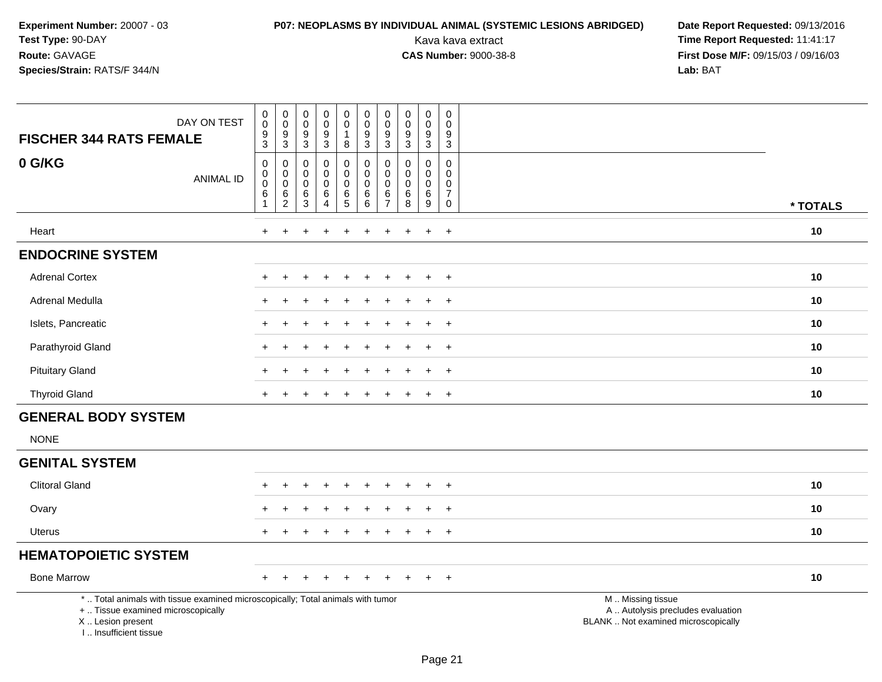# **P07: NEOPLASMS BY INDIVIDUAL ANIMAL (SYSTEMIC LESIONS ABRIDGED) Date Report Requested: 09/13/2016<br>Kava kava extract <b>Time Report Requested:** 11:41:17

| DAY ON TEST<br><b>FISCHER 344 RATS FEMALE</b>                                                                                                                       | $\begin{smallmatrix} 0\\0 \end{smallmatrix}$<br>$\frac{9}{3}$                        | $_{\rm 0}^{\rm 0}$<br>$\frac{9}{3}$                    | $_{\rm 0}^{\rm 0}$<br>$\boldsymbol{9}$<br>$\mathbf{3}$ | $\begin{smallmatrix} 0\\0 \end{smallmatrix}$<br>$\frac{9}{3}$ | $\begin{smallmatrix}0\0\0\end{smallmatrix}$<br>$\mathbf{1}$<br>8       | $_{\rm 0}^{\rm 0}$<br>$\boldsymbol{9}$<br>$\overline{3}$ | $\pmb{0}$<br>$\pmb{0}$<br>$9$<br>3                               | $\begin{smallmatrix} 0\\0 \end{smallmatrix}$<br>$\frac{9}{3}$    | $\begin{smallmatrix} 0\\0 \end{smallmatrix}$<br>$\frac{9}{3}$                 | $\pmb{0}$<br>$\Omega$<br>$\frac{9}{3}$                            |                                                                                               |          |
|---------------------------------------------------------------------------------------------------------------------------------------------------------------------|--------------------------------------------------------------------------------------|--------------------------------------------------------|--------------------------------------------------------|---------------------------------------------------------------|------------------------------------------------------------------------|----------------------------------------------------------|------------------------------------------------------------------|------------------------------------------------------------------|-------------------------------------------------------------------------------|-------------------------------------------------------------------|-----------------------------------------------------------------------------------------------|----------|
| 0 G/KG<br><b>ANIMAL ID</b>                                                                                                                                          | $\boldsymbol{0}$<br>$\pmb{0}$<br>$\boldsymbol{0}$<br>$6\phantom{1}6$<br>$\mathbf{1}$ | 0<br>$\mathbf 0$<br>$\mathsf 0$<br>6<br>$\overline{2}$ | 0<br>$\mathbf 0$<br>$\mathbf 0$<br>6<br>3              | 0<br>0<br>$\pmb{0}$<br>6<br>$\overline{4}$                    | $\mathbf 0$<br>$\mathbf 0$<br>$\mathbf 0$<br>$\,6\,$<br>$\overline{5}$ | $\mathbf 0$<br>0<br>$\mathbf 0$<br>6<br>6                | $\mathbf 0$<br>$\mathbf 0$<br>$\mathbf 0$<br>6<br>$\overline{7}$ | $\mathbf 0$<br>$\mathbf 0$<br>$\mathbf 0$<br>$\overline{6}$<br>8 | $\mathbf 0$<br>$\mathbf 0$<br>$\mathbf 0$<br>$6\phantom{a}$<br>$\overline{9}$ | 0<br>$\mathbf{0}$<br>$\mathbf 0$<br>$\overline{7}$<br>$\mathbf 0$ |                                                                                               | * TOTALS |
| Heart                                                                                                                                                               | $\ddot{}$                                                                            | $\ddot{}$                                              |                                                        | $\ddot{}$                                                     | $\ddot{}$                                                              | +                                                        | $\ddot{}$                                                        | $\pm$                                                            | $\ddot{}$                                                                     | $+$                                                               |                                                                                               | 10       |
| <b>ENDOCRINE SYSTEM</b>                                                                                                                                             |                                                                                      |                                                        |                                                        |                                                               |                                                                        |                                                          |                                                                  |                                                                  |                                                                               |                                                                   |                                                                                               |          |
| <b>Adrenal Cortex</b>                                                                                                                                               |                                                                                      |                                                        |                                                        |                                                               |                                                                        |                                                          |                                                                  |                                                                  | $\div$                                                                        | $\overline{+}$                                                    |                                                                                               | 10       |
| Adrenal Medulla                                                                                                                                                     |                                                                                      |                                                        |                                                        |                                                               |                                                                        |                                                          |                                                                  |                                                                  |                                                                               | $\ddot{}$                                                         |                                                                                               | 10       |
| Islets, Pancreatic                                                                                                                                                  |                                                                                      |                                                        |                                                        |                                                               |                                                                        |                                                          |                                                                  |                                                                  |                                                                               | $\ddot{}$                                                         |                                                                                               | 10       |
| Parathyroid Gland                                                                                                                                                   |                                                                                      |                                                        |                                                        |                                                               |                                                                        |                                                          |                                                                  |                                                                  | $\overline{ }$                                                                | $\overline{+}$                                                    |                                                                                               | 10       |
| <b>Pituitary Gland</b>                                                                                                                                              |                                                                                      |                                                        |                                                        |                                                               |                                                                        |                                                          |                                                                  |                                                                  | $\ddot{}$                                                                     | $+$                                                               |                                                                                               | 10       |
| <b>Thyroid Gland</b>                                                                                                                                                |                                                                                      |                                                        |                                                        |                                                               |                                                                        |                                                          |                                                                  |                                                                  | $\overline{+}$                                                                | $\overline{+}$                                                    |                                                                                               | 10       |
| <b>GENERAL BODY SYSTEM</b>                                                                                                                                          |                                                                                      |                                                        |                                                        |                                                               |                                                                        |                                                          |                                                                  |                                                                  |                                                                               |                                                                   |                                                                                               |          |
| <b>NONE</b>                                                                                                                                                         |                                                                                      |                                                        |                                                        |                                                               |                                                                        |                                                          |                                                                  |                                                                  |                                                                               |                                                                   |                                                                                               |          |
| <b>GENITAL SYSTEM</b>                                                                                                                                               |                                                                                      |                                                        |                                                        |                                                               |                                                                        |                                                          |                                                                  |                                                                  |                                                                               |                                                                   |                                                                                               |          |
| <b>Clitoral Gland</b>                                                                                                                                               |                                                                                      |                                                        |                                                        |                                                               |                                                                        |                                                          |                                                                  |                                                                  | $\ddot{}$                                                                     | $+$                                                               |                                                                                               | 10       |
| Ovary                                                                                                                                                               |                                                                                      |                                                        |                                                        |                                                               |                                                                        |                                                          |                                                                  |                                                                  |                                                                               | $\ddot{}$                                                         |                                                                                               | 10       |
| <b>Uterus</b>                                                                                                                                                       |                                                                                      |                                                        |                                                        |                                                               |                                                                        |                                                          |                                                                  |                                                                  | $\div$                                                                        | $\overline{+}$                                                    |                                                                                               | 10       |
| <b>HEMATOPOIETIC SYSTEM</b>                                                                                                                                         |                                                                                      |                                                        |                                                        |                                                               |                                                                        |                                                          |                                                                  |                                                                  |                                                                               |                                                                   |                                                                                               |          |
| <b>Bone Marrow</b>                                                                                                                                                  |                                                                                      |                                                        |                                                        |                                                               |                                                                        |                                                          |                                                                  |                                                                  |                                                                               | $\overline{+}$                                                    |                                                                                               | 10       |
| *  Total animals with tissue examined microscopically; Total animals with tumor<br>+  Tissue examined microscopically<br>X  Lesion present<br>I Insufficient tissue |                                                                                      |                                                        |                                                        |                                                               |                                                                        |                                                          |                                                                  |                                                                  |                                                                               |                                                                   | M  Missing tissue<br>A  Autolysis precludes evaluation<br>BLANK  Not examined microscopically |          |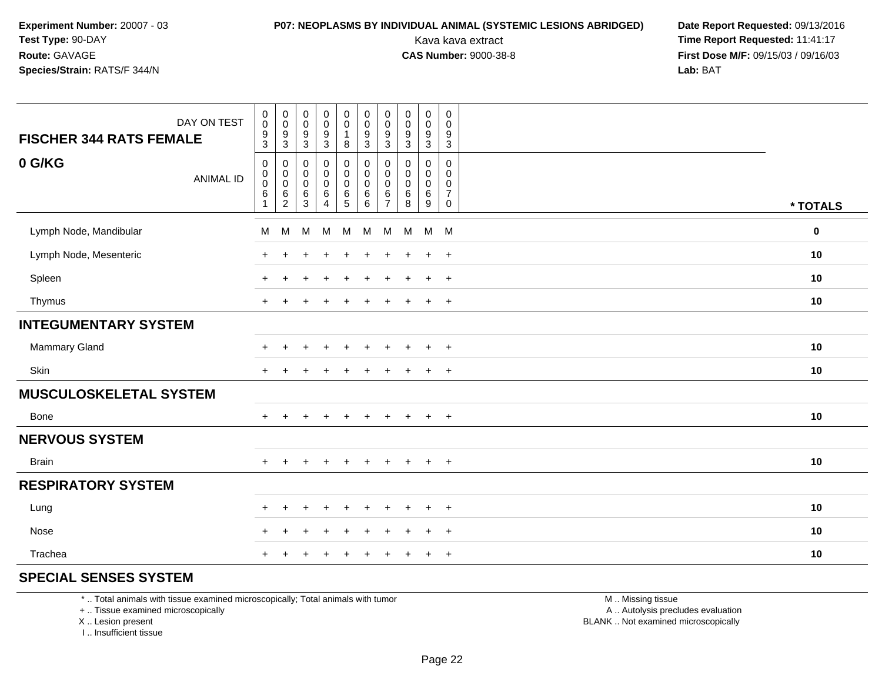## **P07: NEOPLASMS BY INDIVIDUAL ANIMAL (SYSTEMIC LESIONS ABRIDGED) Date Report Requested: 09/13/2016<br>Kava kava extract <b>Time Report Requested:** 11:41:17

Kava kava extract **Time Report Requested:** 11:41:17<br>**CAS Number:** 9000-38-8 **Time Report Requested:** 11:41:17 **First Dose M/F:** 09/15/03 / 09/16/03<br>**Lab:** BAT **Lab:** BAT

| DAY ON TEST<br><b>FISCHER 344 RATS FEMALE</b> | $\begin{smallmatrix} 0\\0 \end{smallmatrix}$<br>$\frac{9}{3}$ | $_{\rm 0}^{\rm 0}$<br>$\frac{9}{3}$                                          | $\begin{smallmatrix} 0\\0 \end{smallmatrix}$<br>$\boldsymbol{9}$<br>$\mathbf{3}$ | 0<br>$\pmb{0}$<br>$\boldsymbol{9}$<br>3                 | $\begin{smallmatrix} 0\\0 \end{smallmatrix}$<br>$\mathbf{1}$<br>8 | $\pmb{0}$<br>$\pmb{0}$<br>$\frac{9}{3}$           | $\mathbf 0$<br>$\mathbf 0$<br>9<br>3                   | $\pmb{0}$<br>$\mathbf 0$<br>$\boldsymbol{9}$<br>$\mathbf{3}$ | $\pmb{0}$<br>$\pmb{0}$<br>$\boldsymbol{9}$<br>$\sqrt{3}$     | $\,0\,$<br>$\mathsf 0$<br>$\boldsymbol{9}$<br>$\sqrt{3}$         |          |
|-----------------------------------------------|---------------------------------------------------------------|------------------------------------------------------------------------------|----------------------------------------------------------------------------------|---------------------------------------------------------|-------------------------------------------------------------------|---------------------------------------------------|--------------------------------------------------------|--------------------------------------------------------------|--------------------------------------------------------------|------------------------------------------------------------------|----------|
| 0 G/KG<br><b>ANIMAL ID</b>                    | $\mathbf 0$<br>$_{\rm 0}^{\rm 0}$<br>$\,6$<br>1               | $\mathbf 0$<br>$\begin{smallmatrix} 0\\0 \end{smallmatrix}$<br>$\frac{6}{2}$ | 0<br>$\mathbf 0$<br>$\mathsf 0$<br>$\,6$<br>3                                    | 0<br>$\mathsf{O}\xspace$<br>$\mathbf 0$<br>$\,6\,$<br>4 | $\pmb{0}$<br>$\pmb{0}$<br>$\ddot{\mathbf{0}}$<br>$\frac{6}{5}$    | $\pmb{0}$<br>$\pmb{0}$<br>$\pmb{0}$<br>$\,6$<br>6 | $\mathbf 0$<br>0<br>$\mathbf 0$<br>6<br>$\overline{7}$ | $\mathbf 0$<br>$\mathbf 0$<br>$\mathbf 0$<br>6<br>8          | 0<br>$\mathbf 0$<br>$\mathbf 0$<br>$\,6$<br>$\boldsymbol{9}$ | 0<br>$\mathbf 0$<br>$\mathbf 0$<br>$\overline{7}$<br>$\mathbf 0$ | * TOTALS |
| Lymph Node, Mandibular                        | M                                                             | M                                                                            | M                                                                                | M                                                       | M                                                                 | M                                                 | M                                                      | M                                                            |                                                              | $M$ M                                                            | $\bf{0}$ |
| Lymph Node, Mesenteric                        | $\ddot{}$                                                     |                                                                              |                                                                                  |                                                         |                                                                   | ٠                                                 |                                                        |                                                              | $\ddot{}$                                                    | $+$                                                              | 10       |
| Spleen                                        | $\ddot{}$                                                     | $\ddot{}$                                                                    |                                                                                  | $\ddot{}$                                               |                                                                   | $\ddot{}$                                         | $\pm$                                                  | $\div$                                                       | $\ddot{}$                                                    | $+$                                                              | 10       |
| Thymus                                        | $+$                                                           |                                                                              |                                                                                  |                                                         |                                                                   | ÷                                                 |                                                        |                                                              | $\ddot{}$                                                    | $+$                                                              | 10       |
| <b>INTEGUMENTARY SYSTEM</b>                   |                                                               |                                                                              |                                                                                  |                                                         |                                                                   |                                                   |                                                        |                                                              |                                                              |                                                                  |          |
| <b>Mammary Gland</b>                          | $\div$                                                        |                                                                              |                                                                                  |                                                         |                                                                   |                                                   |                                                        |                                                              | $\ddot{}$                                                    | $+$                                                              | 10       |
| Skin                                          | $\ddot{}$                                                     |                                                                              |                                                                                  |                                                         |                                                                   |                                                   |                                                        |                                                              | $\ddot{}$                                                    | $+$                                                              | 10       |
| <b>MUSCULOSKELETAL SYSTEM</b>                 |                                                               |                                                                              |                                                                                  |                                                         |                                                                   |                                                   |                                                        |                                                              |                                                              |                                                                  |          |
| Bone                                          | $+$                                                           | $+$                                                                          | $+$                                                                              | $+$                                                     | $+$                                                               | $+$                                               | $+$                                                    | $+$                                                          | $+$                                                          | $+$                                                              | 10       |
| <b>NERVOUS SYSTEM</b>                         |                                                               |                                                                              |                                                                                  |                                                         |                                                                   |                                                   |                                                        |                                                              |                                                              |                                                                  |          |
| <b>Brain</b>                                  | $+$                                                           |                                                                              |                                                                                  | $\ddot{}$                                               |                                                                   | $\ddot{}$                                         | ÷                                                      | $\div$                                                       | $\ddot{}$                                                    | $+$                                                              | 10       |
| <b>RESPIRATORY SYSTEM</b>                     |                                                               |                                                                              |                                                                                  |                                                         |                                                                   |                                                   |                                                        |                                                              |                                                              |                                                                  |          |
| Lung                                          | $\pm$                                                         | +                                                                            |                                                                                  |                                                         |                                                                   |                                                   |                                                        |                                                              | $\ddot{}$                                                    | $^{+}$                                                           | 10       |
| Nose                                          | +                                                             |                                                                              |                                                                                  |                                                         |                                                                   |                                                   |                                                        |                                                              | $\ddot{}$                                                    | $\ddot{}$                                                        | 10       |
| Trachea                                       | $\pm$                                                         |                                                                              |                                                                                  |                                                         |                                                                   |                                                   |                                                        |                                                              | ÷                                                            | $\ddot{}$                                                        | 10       |

### **SPECIAL SENSES SYSTEM**

\* .. Total animals with tissue examined microscopically; Total animals with tumor

+ .. Tissue examined microscopically

X .. Lesion present

I .. Insufficient tissue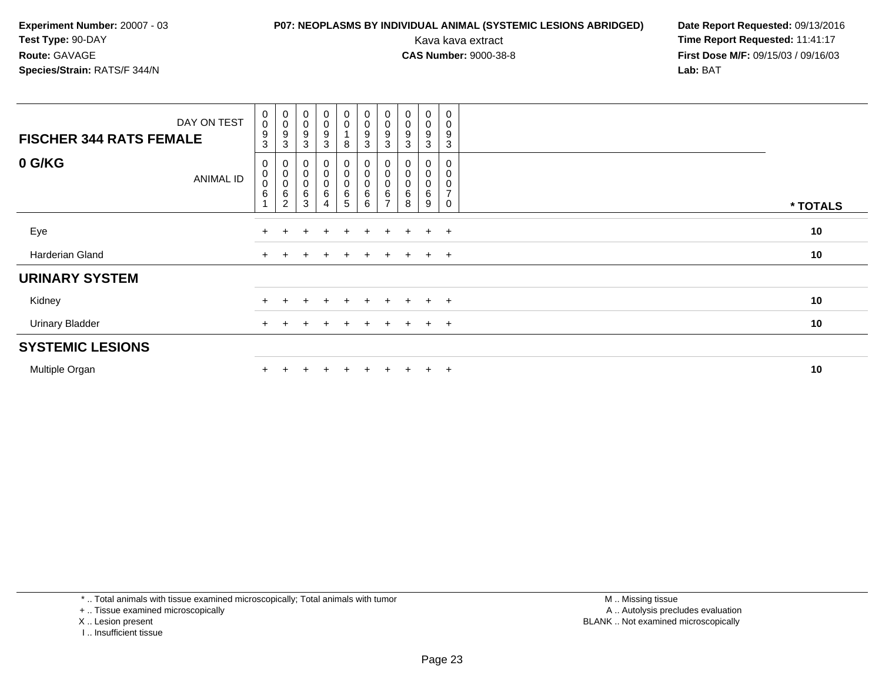## **P07: NEOPLASMS BY INDIVIDUAL ANIMAL (SYSTEMIC LESIONS ABRIDGED) Date Report Requested: 09/13/2016<br>Kava kava extract <b>Time Report Requested:** 11:41:17

Kava kava extract **Time Report Requested:** 11:41:17<br>**CAS Number:** 9000-38-8 **Time Report Requested:** 11:41:17 **First Dose M/F:** 09/15/03 / 09/16/03<br>**Lab:** BAT **Lab:** BAT

| DAY ON TEST<br><b>FISCHER 344 RATS FEMALE</b> | $_{\rm 0}^{\rm 0}$<br>9<br>$\mathbf{3}$ | $\begin{smallmatrix}0\\0\\9\end{smallmatrix}$<br>$\mathbf{3}$     | $\begin{smallmatrix}0\\0\\9\end{smallmatrix}$<br>3  | $\begin{smallmatrix}0\0\0\end{smallmatrix}$<br>9<br>3 | $_{\rm 0}^{\rm 0}$<br>8                       | $\begin{smallmatrix} 0\\0 \end{smallmatrix}$<br>$\boldsymbol{9}$<br>$\mathfrak{S}$ | $_{\rm 0}^{\rm 0}$<br>9<br>3 | $\begin{smallmatrix} 0\\0 \end{smallmatrix}$<br>$\boldsymbol{9}$<br>3 | $_{\rm 0}^{\rm 0}$<br>9<br>3 | $\overline{0}$<br>$\pmb{0}$<br>9<br>3               |          |
|-----------------------------------------------|-----------------------------------------|-------------------------------------------------------------------|-----------------------------------------------------|-------------------------------------------------------|-----------------------------------------------|------------------------------------------------------------------------------------|------------------------------|-----------------------------------------------------------------------|------------------------------|-----------------------------------------------------|----------|
| 0 G/KG<br><b>ANIMAL ID</b>                    | 0<br>$\,0\,$<br>$\pmb{0}$<br>$\,6$      | $\begin{smallmatrix}0\0\0\0\0\end{smallmatrix}$<br>$\overline{2}$ | $\begin{matrix} 0 \\ 0 \\ 0 \end{matrix}$<br>6<br>3 | 0<br>$\begin{matrix} 0 \\ 0 \end{matrix}$<br>6<br>4   | $\begin{matrix}0\\0\\0\end{matrix}$<br>6<br>5 | $\begin{matrix}0\0\0\end{matrix}$<br>$\,6$<br>6                                    | 0<br>0<br>6                  | 0<br>$_{\rm 0}^{\rm 0}$<br>6<br>8                                     | 0<br>0<br>0<br>6<br>9        | 0<br>0<br>$\mathbf 0$<br>$\overline{7}$<br>$\Omega$ | * TOTALS |
| Eye                                           | $\pm$                                   |                                                                   |                                                     | $\pm$                                                 | $+$                                           | $+$                                                                                | $\pm$                        |                                                                       | $+$                          | $+$                                                 | 10       |
| Harderian Gland                               | $\ddot{}$                               |                                                                   |                                                     | $\ddot{}$                                             | $+$                                           | $+$                                                                                | $\pm$                        |                                                                       | $+$                          | $+$                                                 | 10       |
| <b>URINARY SYSTEM</b>                         |                                         |                                                                   |                                                     |                                                       |                                               |                                                                                    |                              |                                                                       |                              |                                                     |          |
| Kidney                                        | $\ddot{}$                               |                                                                   |                                                     | $\div$                                                |                                               |                                                                                    | ÷.                           |                                                                       | $\ddot{}$                    | $+$                                                 | 10       |
| <b>Urinary Bladder</b>                        | $+$                                     |                                                                   | $\pm$                                               | $+$                                                   | $+$                                           | $+$                                                                                | $+$                          | $+$                                                                   | $+$                          | $+$                                                 | 10       |
| <b>SYSTEMIC LESIONS</b>                       |                                         |                                                                   |                                                     |                                                       |                                               |                                                                                    |                              |                                                                       |                              |                                                     |          |
| Multiple Organ                                |                                         |                                                                   |                                                     | $\ddot{}$                                             |                                               | $+$                                                                                | ÷.                           |                                                                       | $\pm$                        | $+$                                                 | 10       |

\* .. Total animals with tissue examined microscopically; Total animals with tumor

+ .. Tissue examined microscopically

- X .. Lesion present
- I .. Insufficient tissue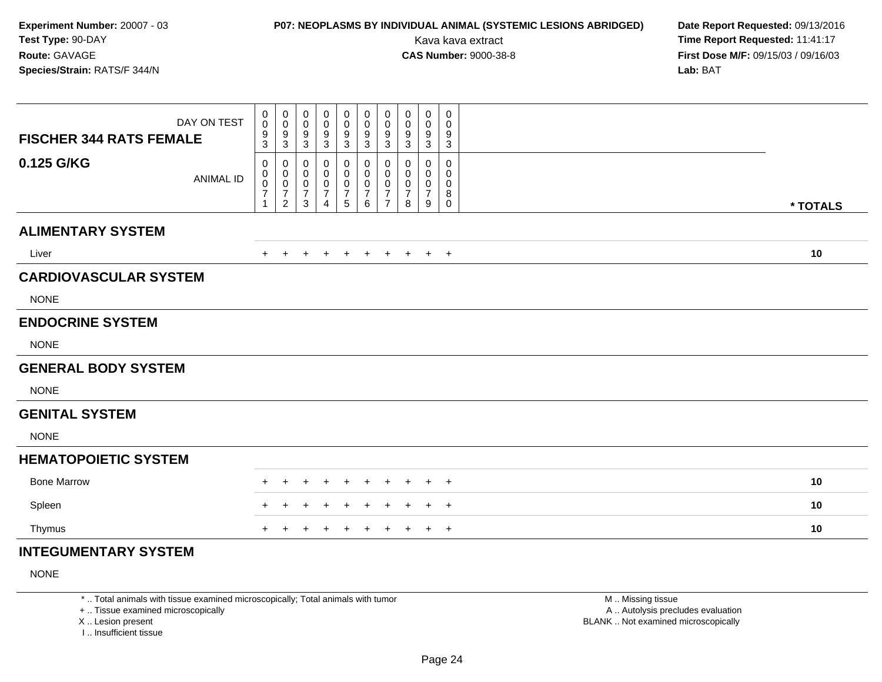## **P07: NEOPLASMS BY INDIVIDUAL ANIMAL (SYSTEMIC LESIONS ABRIDGED) Date Report Requested: 09/13/2016<br>Kava kava extract <b>Time Report Requested:** 11:41:17

Kava kava extract **Time Report Requested:** 11:41:17<br>**CAS Number:** 9000-38-8 **Time Report Requested:** 11:41:17 **First Dose M/F:** 09/15/03 / 09/16/03<br>Lab: BAT **Lab:** BAT

| <b>FISCHER 344 RATS FEMALE</b> | DAY ON TEST      | 0<br>0<br>9<br>3                                                  | $\mathbf 0$<br>$\mathbf 0$<br>9<br>$\mathbf{3}$                     | $\mathbf 0$<br>$\mathbf 0$<br>9<br>3 | 0<br>0<br>9<br>$\mathbf{3}$                     | 0<br>0<br>9<br>$\ensuremath{\mathsf{3}}$                          | $\mathbf 0$<br>0<br>9<br>3                                             | 0<br>$\mathbf 0$<br>9<br>$\mathbf{3}$                     | 0<br>0<br>9<br>$\mathbf{3}$               | 0<br>0<br>9<br>$\sqrt{3}$          | 0<br>0<br>9<br>3                |          |
|--------------------------------|------------------|-------------------------------------------------------------------|---------------------------------------------------------------------|--------------------------------------|-------------------------------------------------|-------------------------------------------------------------------|------------------------------------------------------------------------|-----------------------------------------------------------|-------------------------------------------|------------------------------------|---------------------------------|----------|
| 0.125 G/KG                     | <b>ANIMAL ID</b> | 0<br>0<br>$\mathbf 0$<br>$\overline{\mathcal{I}}$<br>$\mathbf{1}$ | $\mathbf 0$<br>0<br>$\pmb{0}$<br>$\boldsymbol{7}$<br>$\overline{2}$ | 0<br>0<br>0<br>$\overline{7}$<br>3   | 0<br>0<br>0<br>$\overline{7}$<br>$\overline{4}$ | 0<br>0<br>$\pmb{0}$<br>$\overline{\mathcal{I}}$<br>$\overline{5}$ | $\mathbf{0}$<br>0<br>$\mathbf 0$<br>$\boldsymbol{7}$<br>$6\phantom{1}$ | 0<br>$\mathbf 0$<br>0<br>$\overline{7}$<br>$\overline{7}$ | 0<br>$\Omega$<br>0<br>$\overline{7}$<br>8 | 0<br>0<br>0<br>$\overline{7}$<br>9 | 0<br>0<br>0<br>8<br>$\mathbf 0$ | * TOTALS |
| <b>ALIMENTARY SYSTEM</b>       |                  |                                                                   |                                                                     |                                      |                                                 |                                                                   |                                                                        |                                                           |                                           |                                    |                                 |          |
| Liver                          |                  | $+$                                                               | $\pm$                                                               | $+$                                  | $+$                                             | $+$                                                               | $+$                                                                    | $+$                                                       | $+$                                       |                                    | $+$ $+$                         | 10       |
| <b>CARDIOVASCULAR SYSTEM</b>   |                  |                                                                   |                                                                     |                                      |                                                 |                                                                   |                                                                        |                                                           |                                           |                                    |                                 |          |
| <b>NONE</b>                    |                  |                                                                   |                                                                     |                                      |                                                 |                                                                   |                                                                        |                                                           |                                           |                                    |                                 |          |
| <b>ENDOCRINE SYSTEM</b>        |                  |                                                                   |                                                                     |                                      |                                                 |                                                                   |                                                                        |                                                           |                                           |                                    |                                 |          |
| <b>NONE</b>                    |                  |                                                                   |                                                                     |                                      |                                                 |                                                                   |                                                                        |                                                           |                                           |                                    |                                 |          |
| <b>GENERAL BODY SYSTEM</b>     |                  |                                                                   |                                                                     |                                      |                                                 |                                                                   |                                                                        |                                                           |                                           |                                    |                                 |          |
| <b>NONE</b>                    |                  |                                                                   |                                                                     |                                      |                                                 |                                                                   |                                                                        |                                                           |                                           |                                    |                                 |          |
| <b>GENITAL SYSTEM</b>          |                  |                                                                   |                                                                     |                                      |                                                 |                                                                   |                                                                        |                                                           |                                           |                                    |                                 |          |
| <b>NONE</b>                    |                  |                                                                   |                                                                     |                                      |                                                 |                                                                   |                                                                        |                                                           |                                           |                                    |                                 |          |
| <b>HEMATOPOIETIC SYSTEM</b>    |                  |                                                                   |                                                                     |                                      |                                                 |                                                                   |                                                                        |                                                           |                                           |                                    |                                 |          |
| <b>Bone Marrow</b>             |                  | ÷                                                                 |                                                                     |                                      |                                                 | +                                                                 |                                                                        |                                                           | $\pm$                                     | $\pm$                              | $^{+}$                          | 10       |
| Spleen                         |                  | $+$                                                               | $\pm$                                                               | $\pm$                                | ٠                                               | $\div$                                                            | $\pm$                                                                  | ÷                                                         | $\pm$                                     | $\pm$                              | $+$                             | 10       |
| Thymus                         |                  | $+$                                                               |                                                                     |                                      |                                                 | $\ddot{}$                                                         | $\ddot{}$                                                              | $\pm$                                                     | $\ddot{}$                                 | $+$                                | $+$                             | 10       |
| <b>INTEGUMENTARY SYSTEM</b>    |                  |                                                                   |                                                                     |                                      |                                                 |                                                                   |                                                                        |                                                           |                                           |                                    |                                 |          |

NONE

\* .. Total animals with tissue examined microscopically; Total animals with tumor

+ .. Tissue examined microscopically

X .. Lesion present

I .. Insufficient tissue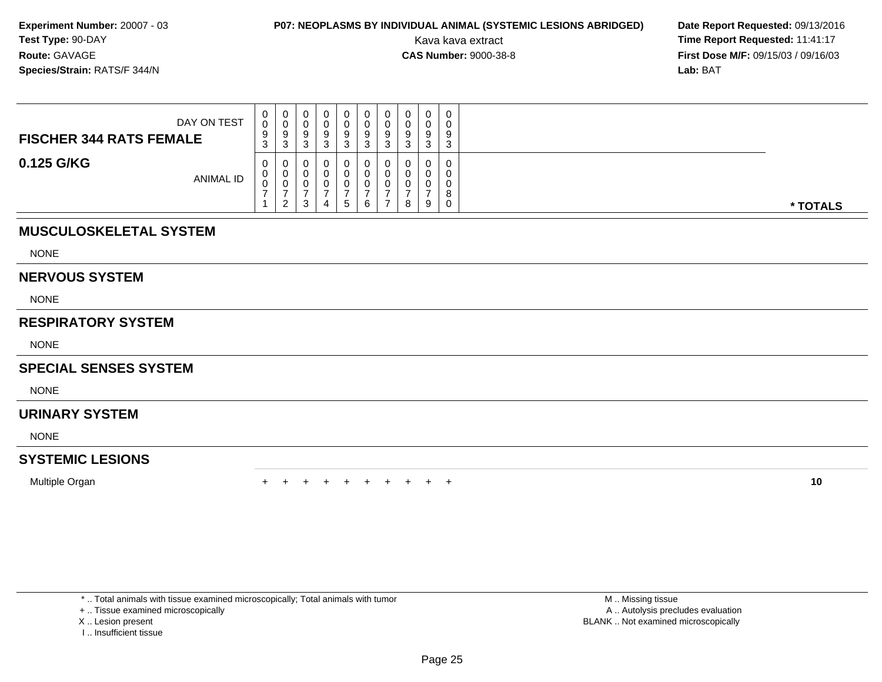## **P07: NEOPLASMS BY INDIVIDUAL ANIMAL (SYSTEMIC LESIONS ABRIDGED) Date Report Requested: 09/13/2016<br>Kava kava extract <b>Time Report Requested:** 11:41:17

Kava kava extract **Time Report Requested:** 11:41:17<br>**CAS Number:** 9000-38-8 **Time Report Requested:** 11:41:17 **First Dose M/F:** 09/15/03 / 09/16/03<br>**Lab:** BAT **Lab:** BAT

| DAY ON TEST<br><b>FISCHER 344 RATS FEMALE</b> | U<br>0<br>9<br>3 | 0<br>◡<br>-9<br>-3       | 0<br>U<br>9<br>ົ<br>ت | u | v      | U<br>U<br>9<br>J | 9<br>3 | ν<br>a<br>◡ | $\mathbf 0$<br>0<br>9<br>3 | ◡<br>9<br>⌒ |          |
|-----------------------------------------------|------------------|--------------------------|-----------------------|---|--------|------------------|--------|-------------|----------------------------|-------------|----------|
| 0.125 G/KG<br>ANIMAL ID                       | U<br>U<br>J      | U<br>U<br>ົາ<br><u>_</u> | 0<br>0<br>0<br>3      |   | -<br>5 | 6                |        | 8           | 0<br>9                     | 0           | * TOTALS |

### **MUSCULOSKELETAL SYSTEM**

NONE

### **NERVOUS SYSTEM**

NONE

### **RESPIRATORY SYSTEM**

NONE

### **SPECIAL SENSES SYSTEM**

**NONE** 

### **URINARY SYSTEM**

NONE

### **SYSTEMIC LESIONS**

Multiple Organn  $+$ 

<sup>+</sup> <sup>+</sup> <sup>+</sup> <sup>+</sup> <sup>+</sup> <sup>+</sup> <sup>+</sup> <sup>+</sup> <sup>+</sup> **<sup>10</sup>**

\* .. Total animals with tissue examined microscopically; Total animals with tumor

+ .. Tissue examined microscopically

- X .. Lesion present
- I .. Insufficient tissue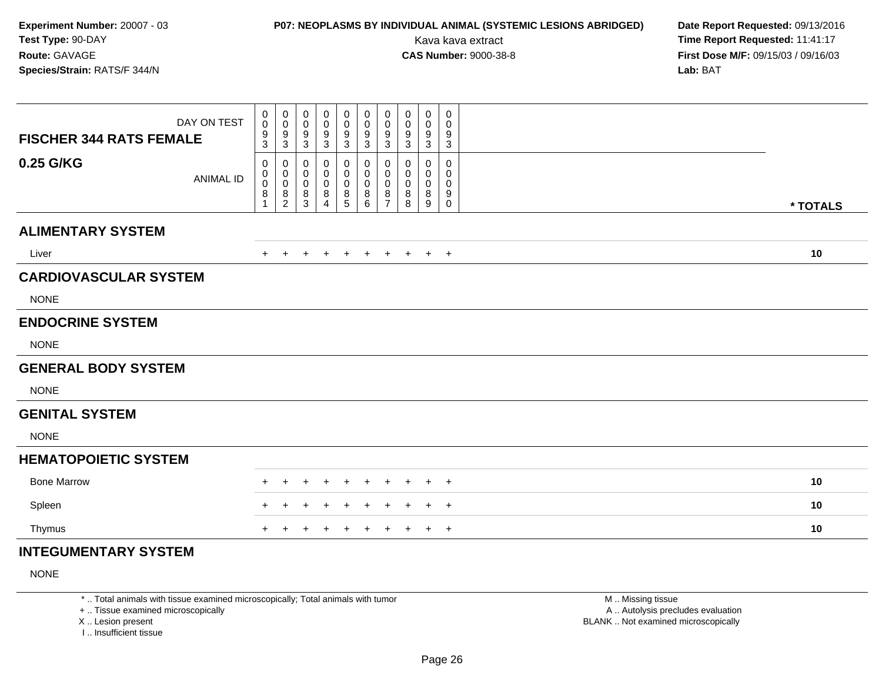## **P07: NEOPLASMS BY INDIVIDUAL ANIMAL (SYSTEMIC LESIONS ABRIDGED) Date Report Requested:** 09/13/2016

Kava kava extract **Time Report Requested:** 11:41:17<br>**CAS Number:** 9000-38-8 **Time Report Requested:** 11:41:17 **First Dose M/F:** 09/15/03 / 09/16/03<br>Lab: BAT **Lab:** BAT

| DAY ON TEST<br><b>FISCHER 344 RATS FEMALE</b> | 0<br>$\pmb{0}$<br>$\boldsymbol{9}$<br>3       | 0<br>$\mathbf 0$<br>$\boldsymbol{9}$<br>$\sqrt{3}$     | 0<br>0<br>9<br>$\mathbf{3}$              | 0<br>0<br>9<br>$\mathbf{3}$                  | 0<br>0<br>$\boldsymbol{9}$<br>$\mathbf{3}$ | 0<br>0<br>$\boldsymbol{9}$<br>3      | 0<br>0<br>$\boldsymbol{9}$<br>$\sqrt{3}$                        | 0<br>0<br>9<br>3      | 0<br>0<br>9<br>$\mathbf{3}$   | 0<br>0<br>9<br>3              |          |
|-----------------------------------------------|-----------------------------------------------|--------------------------------------------------------|------------------------------------------|----------------------------------------------|--------------------------------------------|--------------------------------------|-----------------------------------------------------------------|-----------------------|-------------------------------|-------------------------------|----------|
| 0.25 G/KG<br><b>ANIMAL ID</b>                 | 0<br>$\pmb{0}$<br>$\mathbf 0$<br>$\bf 8$<br>1 | 0<br>$\pmb{0}$<br>$\,0\,$<br>$\,8\,$<br>$\overline{2}$ | 0<br>0<br>$\mathbf 0$<br>8<br>$\sqrt{3}$ | 0<br>0<br>$\mathbf 0$<br>8<br>$\overline{4}$ | 0<br>0<br>$\pmb{0}$<br>$^8$ 5              | 0<br>0<br>$\boldsymbol{0}$<br>8<br>6 | 0<br>$\boldsymbol{0}$<br>$\pmb{0}$<br>$\bf 8$<br>$\overline{7}$ | 0<br>0<br>0<br>8<br>8 | 0<br>0<br>$\pmb{0}$<br>8<br>9 | 0<br>0<br>0<br>9<br>$\pmb{0}$ | * TOTALS |
| <b>ALIMENTARY SYSTEM</b>                      |                                               |                                                        |                                          |                                              |                                            |                                      |                                                                 |                       |                               |                               |          |
| Liver                                         | $+$                                           | $\pm$                                                  | $\ddot{}$                                | $\ddot{}$                                    | $+$                                        | $+$                                  | $+$                                                             | $+$                   |                               | $+$ $+$                       | 10       |
| <b>CARDIOVASCULAR SYSTEM</b>                  |                                               |                                                        |                                          |                                              |                                            |                                      |                                                                 |                       |                               |                               |          |
| <b>NONE</b>                                   |                                               |                                                        |                                          |                                              |                                            |                                      |                                                                 |                       |                               |                               |          |
| <b>ENDOCRINE SYSTEM</b>                       |                                               |                                                        |                                          |                                              |                                            |                                      |                                                                 |                       |                               |                               |          |
| <b>NONE</b>                                   |                                               |                                                        |                                          |                                              |                                            |                                      |                                                                 |                       |                               |                               |          |
| <b>GENERAL BODY SYSTEM</b>                    |                                               |                                                        |                                          |                                              |                                            |                                      |                                                                 |                       |                               |                               |          |
| <b>NONE</b>                                   |                                               |                                                        |                                          |                                              |                                            |                                      |                                                                 |                       |                               |                               |          |
| <b>GENITAL SYSTEM</b>                         |                                               |                                                        |                                          |                                              |                                            |                                      |                                                                 |                       |                               |                               |          |
| <b>NONE</b>                                   |                                               |                                                        |                                          |                                              |                                            |                                      |                                                                 |                       |                               |                               |          |
| <b>HEMATOPOIETIC SYSTEM</b>                   |                                               |                                                        |                                          |                                              |                                            |                                      |                                                                 |                       |                               |                               |          |
| <b>Bone Marrow</b>                            |                                               |                                                        |                                          |                                              |                                            |                                      |                                                                 |                       |                               | $+$                           | 10       |
| Spleen                                        |                                               |                                                        |                                          |                                              |                                            |                                      |                                                                 |                       |                               | $+$                           | 10       |
| Thymus                                        |                                               |                                                        |                                          |                                              | $\pm$                                      | $\ddot{}$                            |                                                                 |                       | $\ddot{}$                     | $+$                           | 10       |
| <b>INTEGUMENTARY SYSTEM</b>                   |                                               |                                                        |                                          |                                              |                                            |                                      |                                                                 |                       |                               |                               |          |

NONE

\* .. Total animals with tissue examined microscopically; Total animals with tumor

+ .. Tissue examined microscopically

X .. Lesion present

I .. Insufficient tissue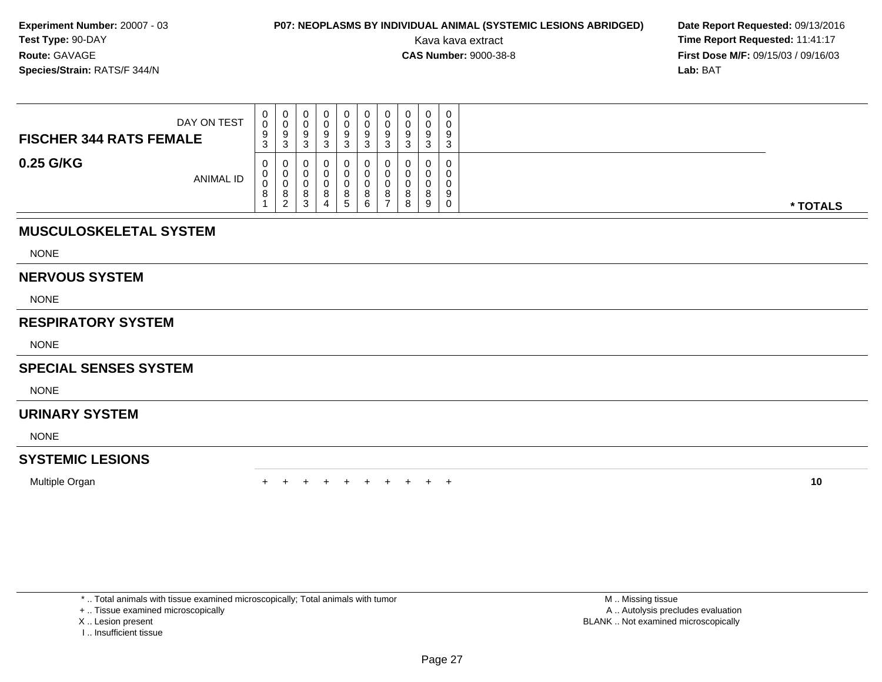## **P07: NEOPLASMS BY INDIVIDUAL ANIMAL (SYSTEMIC LESIONS ABRIDGED) Date Report Requested: 09/13/2016<br>Kava kava extract <b>Time Report Requested:** 11:41:17

Kava kava extract **Time Report Requested:** 11:41:17<br>**CAS Number:** 9000-38-8 **Time Report Requested:** 11:41:17 **First Dose M/F:** 09/15/03 / 09/16/03<br>**Lab:** BAT **Lab:** BAT

| DAY ON TEST<br><b>FISCHER 344 RATS FEMALE</b> | U<br>U<br>9<br>3 | U<br>v<br>-9<br>3                  | 0<br>U<br>9<br>◠<br>◡ |   |         | U<br>9            | υ<br>9<br>-3 | U            | 0<br>0<br>$\Omega$<br>◡<br>3 | v |          |
|-----------------------------------------------|------------------|------------------------------------|-----------------------|---|---------|-------------------|--------------|--------------|------------------------------|---|----------|
| 0.25 G/KG<br>ANIMAL ID                        | U<br>U<br>J<br>8 | U<br>U<br>$\circ$<br>ົ<br><u>_</u> | 0<br>0<br>0<br>8<br>3 | റ | 8<br>C. | $\circ$<br>o<br>ь | 0<br>$\circ$ | $\circ$<br>8 | $\mathbf 0$<br>8<br>9        | 9 | * TOTALS |

### **MUSCULOSKELETAL SYSTEM**

NONE

#### **NERVOUS SYSTEM**

NONE

### **RESPIRATORY SYSTEM**

NONE

### **SPECIAL SENSES SYSTEM**

**NONE** 

### **URINARY SYSTEM**

NONE

### **SYSTEMIC LESIONS**

Multiple Organn  $+$ 

<sup>+</sup> <sup>+</sup> <sup>+</sup> <sup>+</sup> <sup>+</sup> <sup>+</sup> <sup>+</sup> <sup>+</sup> <sup>+</sup> **<sup>10</sup>**

\* .. Total animals with tissue examined microscopically; Total animals with tumor

+ .. Tissue examined microscopically

- X .. Lesion present
- I .. Insufficient tissue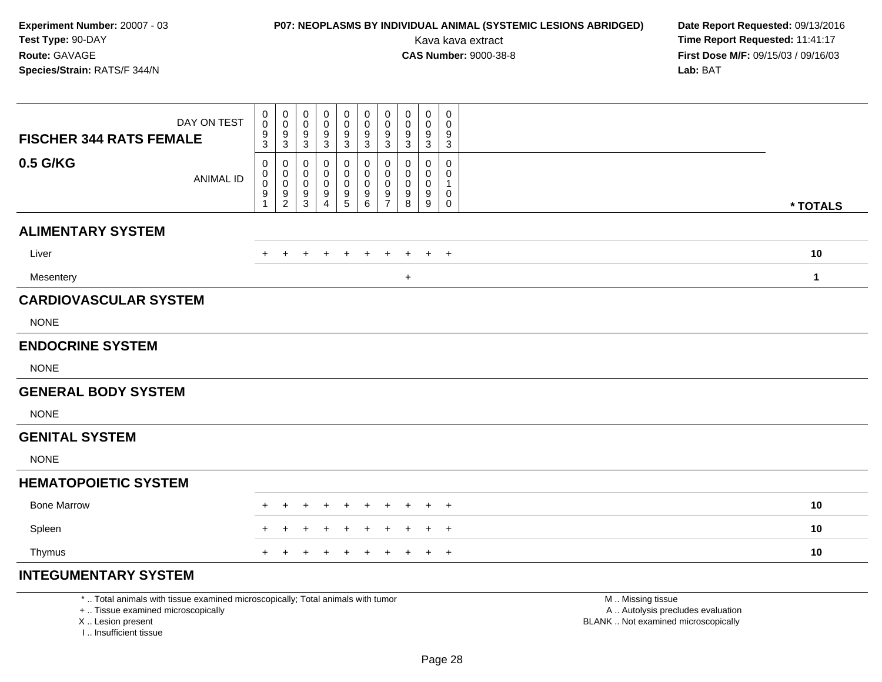## **P07: NEOPLASMS BY INDIVIDUAL ANIMAL (SYSTEMIC LESIONS ABRIDGED) Date Report Requested:** 09/13/2016

Kava kava extract **Time Report Requested:** 11:41:17<br>**CAS Number:** 9000-38-8 **Time Report Requested:** 11:41:17 **First Dose M/F:** 09/15/03 / 09/16/03<br>Lab: BAT **Lab:** BAT

| <b>FISCHER 344 RATS FEMALE</b> | DAY ON TEST                                                                     | 0<br>0<br>9           | 0<br>$\mathbf 0$<br>9                                             | 0<br>0<br>9                | 0<br>0<br>9                | 0<br>0<br>9                                                                       | 0<br>0<br>9                                             | 0<br>$\mathbf 0$<br>9<br>$\sqrt{3}$ | 0<br>0<br>9           | 0<br>0<br>9                | 0<br>0<br>9                                   |                   |              |
|--------------------------------|---------------------------------------------------------------------------------|-----------------------|-------------------------------------------------------------------|----------------------------|----------------------------|-----------------------------------------------------------------------------------|---------------------------------------------------------|-------------------------------------|-----------------------|----------------------------|-----------------------------------------------|-------------------|--------------|
| 0.5 G/KG                       | <b>ANIMAL ID</b>                                                                | 3<br>0<br>0<br>0<br>9 | $\mathbf{3}$<br>0<br>0<br>0<br>$\boldsymbol{9}$<br>$\overline{c}$ | 3<br>0<br>0<br>0<br>9<br>3 | 3<br>0<br>0<br>0<br>9<br>4 | $\ensuremath{\mathsf{3}}$<br>0<br>0<br>0<br>$\begin{array}{c} 9 \\ 5 \end{array}$ | $\mathbf{3}$<br>0<br>$\mathbf{0}$<br>0<br>$\frac{9}{6}$ | 0<br>0<br>0<br>9<br>$\overline{7}$  | 3<br>0<br>0<br>9<br>8 | 3<br>0<br>0<br>0<br>9<br>9 | $\ensuremath{\mathsf{3}}$<br>0<br>0<br>0<br>0 |                   | * TOTALS     |
| <b>ALIMENTARY SYSTEM</b>       |                                                                                 |                       |                                                                   |                            |                            |                                                                                   |                                                         |                                     |                       |                            |                                               |                   |              |
| Liver                          |                                                                                 | ÷.                    | $+$                                                               | $\ddot{}$                  | $\ddot{}$                  | $^{+}$                                                                            | $\ddot{}$                                               | $\ddot{}$                           | +                     | $+$                        | $+$                                           |                   | 10           |
| Mesentery                      |                                                                                 |                       |                                                                   |                            |                            |                                                                                   |                                                         |                                     | $\ddot{}$             |                            |                                               |                   | $\mathbf{1}$ |
| <b>CARDIOVASCULAR SYSTEM</b>   |                                                                                 |                       |                                                                   |                            |                            |                                                                                   |                                                         |                                     |                       |                            |                                               |                   |              |
| <b>NONE</b>                    |                                                                                 |                       |                                                                   |                            |                            |                                                                                   |                                                         |                                     |                       |                            |                                               |                   |              |
| <b>ENDOCRINE SYSTEM</b>        |                                                                                 |                       |                                                                   |                            |                            |                                                                                   |                                                         |                                     |                       |                            |                                               |                   |              |
| <b>NONE</b>                    |                                                                                 |                       |                                                                   |                            |                            |                                                                                   |                                                         |                                     |                       |                            |                                               |                   |              |
| <b>GENERAL BODY SYSTEM</b>     |                                                                                 |                       |                                                                   |                            |                            |                                                                                   |                                                         |                                     |                       |                            |                                               |                   |              |
| <b>NONE</b>                    |                                                                                 |                       |                                                                   |                            |                            |                                                                                   |                                                         |                                     |                       |                            |                                               |                   |              |
| <b>GENITAL SYSTEM</b>          |                                                                                 |                       |                                                                   |                            |                            |                                                                                   |                                                         |                                     |                       |                            |                                               |                   |              |
| <b>NONE</b>                    |                                                                                 |                       |                                                                   |                            |                            |                                                                                   |                                                         |                                     |                       |                            |                                               |                   |              |
| <b>HEMATOPOIETIC SYSTEM</b>    |                                                                                 |                       |                                                                   |                            |                            |                                                                                   |                                                         |                                     |                       |                            |                                               |                   |              |
| <b>Bone Marrow</b>             |                                                                                 |                       |                                                                   |                            |                            |                                                                                   |                                                         |                                     |                       |                            | $^+$                                          |                   | 10           |
| Spleen                         |                                                                                 |                       |                                                                   |                            |                            |                                                                                   |                                                         |                                     |                       |                            | $^{+}$                                        |                   | 10           |
| Thymus                         |                                                                                 |                       |                                                                   |                            |                            |                                                                                   |                                                         |                                     |                       | $\pm$                      | $+$                                           |                   | 10           |
| <b>INTEGUMENTARY SYSTEM</b>    |                                                                                 |                       |                                                                   |                            |                            |                                                                                   |                                                         |                                     |                       |                            |                                               |                   |              |
|                                | *  Total animals with tissue examined microscopically; Total animals with tumor |                       |                                                                   |                            |                            |                                                                                   |                                                         |                                     |                       |                            |                                               | M  Missing tissue |              |

+ .. Tissue examined microscopically

X .. Lesion present

I .. Insufficient tissue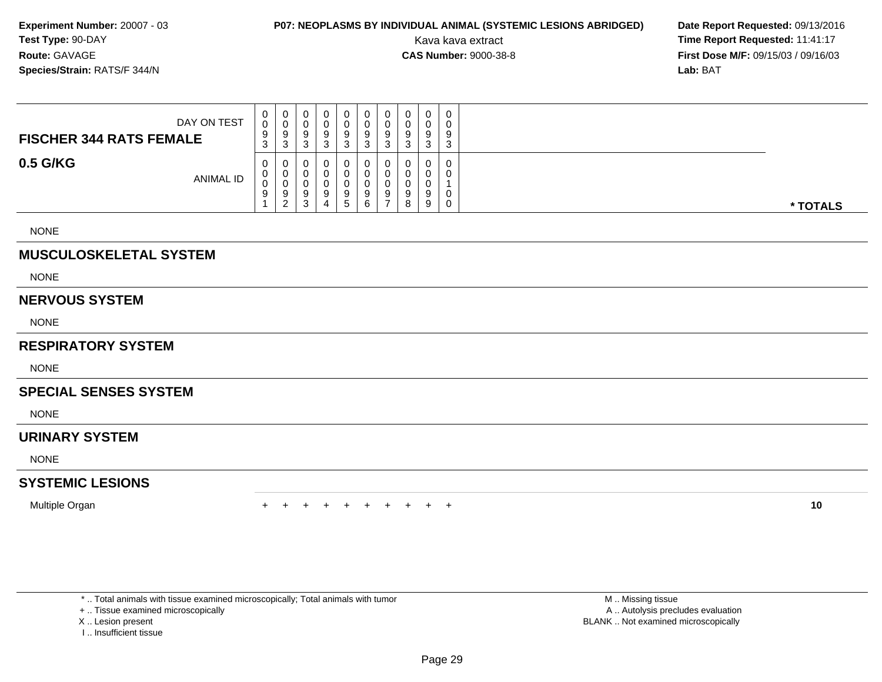## **P07: NEOPLASMS BY INDIVIDUAL ANIMAL (SYSTEMIC LESIONS ABRIDGED) Date Report Requested: 09/13/2016<br>Kava kava extract <b>Time Report Requested:** 11:41:17

Kava kava extract **Time Report Requested:** 11:41:17<br>**CAS Number:** 9000-38-8 **Time Report Requested:** 11:41:17 **First Dose M/F:** 09/15/03 / 09/16/03<br>**Lab:** BAT **Lab:** BAT

| DAY ON TEST<br><b>FISCHER 344 RATS FEMALE</b> | U<br>9<br>ა | 0<br>ν<br>9<br>ა                  | 0<br>9                 | 0      | 0<br>υ<br>9<br>◠<br>ت  | υ<br>ື<br>9<br>J | 9      | 0<br>0<br>9<br>3      | $\mathbf{0}$<br>0<br>9<br>$\sim$<br>ັ |          |
|-----------------------------------------------|-------------|-----------------------------------|------------------------|--------|------------------------|------------------|--------|-----------------------|---------------------------------------|----------|
| 0.5 G/KG<br><b>ANIMAL ID</b>                  | U<br>υ<br>U | 0<br>U<br>υ<br>9<br>◠<br><u>_</u> | 0<br>0<br>υ<br>9<br>د. | 0<br>4 | 0<br>υ<br>υ<br>9<br>G. | u<br>9           | 9<br>8 | 0<br>0<br>0<br>9<br>9 | 0<br>0<br>0<br>0                      | * TOTALS |

NONE

### **MUSCULOSKELETAL SYSTEM**

NONE

#### **NERVOUS SYSTEM**

NONE

#### **RESPIRATORY SYSTEM**

NONE

#### **SPECIAL SENSES SYSTEM**

NONE

#### **URINARY SYSTEM**

NONE

### **SYSTEMIC LESIONS**

Multiple Organ

n  $+$ <sup>+</sup> <sup>+</sup> <sup>+</sup> <sup>+</sup> <sup>+</sup> <sup>+</sup> <sup>+</sup> <sup>+</sup> <sup>+</sup> **<sup>10</sup>**

\* .. Total animals with tissue examined microscopically; Total animals with tumor

+ .. Tissue examined microscopically

X .. Lesion present

I .. Insufficient tissue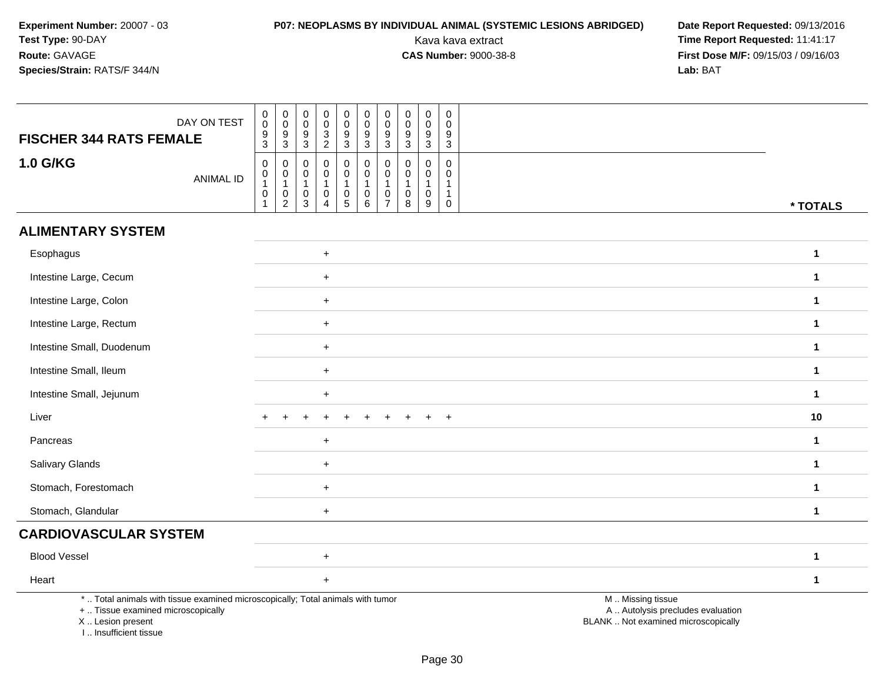# **P07: NEOPLASMS BY INDIVIDUAL ANIMAL (SYSTEMIC LESIONS ABRIDGED) Date Report Requested: 09/13/2016<br>Kava kava extract <b>Time Report Requested:** 11:41:17

| <b>FISCHER 344 RATS FEMALE</b>                                                                                                                                      | DAY ON TEST      | $\begin{matrix} 0 \\ 0 \\ 9 \\ 3 \end{matrix}$                                           | $\pmb{0}$<br>$\mathsf 0$<br>9<br>$\mathbf{3}$                             | $\pmb{0}$<br>$\boldsymbol{0}$<br>9<br>$\sqrt{3}$ | $\mathbf 0$<br>$\mathsf{O}\xspace$<br>$\frac{3}{2}$                       | $\begin{smallmatrix}0\0\0\end{smallmatrix}$<br>$\boldsymbol{9}$<br>3 | $\mathbf 0$<br>$\pmb{0}$<br>$9\,$<br>$\mathbf{3}$            | $\mathbf 0$<br>$\pmb{0}$<br>9<br>$\sqrt{3}$                 | $\pmb{0}$<br>$\mathbf 0$<br>9<br>$\sqrt{3}$ | $\pmb{0}$<br>$\mathsf 0$<br>9<br>$\sqrt{3}$                                   | 0<br>$\mathbf 0$<br>9<br>3                    |                                                                                               |
|---------------------------------------------------------------------------------------------------------------------------------------------------------------------|------------------|------------------------------------------------------------------------------------------|---------------------------------------------------------------------------|--------------------------------------------------|---------------------------------------------------------------------------|----------------------------------------------------------------------|--------------------------------------------------------------|-------------------------------------------------------------|---------------------------------------------|-------------------------------------------------------------------------------|-----------------------------------------------|-----------------------------------------------------------------------------------------------|
| <b>1.0 G/KG</b>                                                                                                                                                     | <b>ANIMAL ID</b> | $\mathbf 0$<br>$\begin{smallmatrix}0\\1\end{smallmatrix}$<br>$\pmb{0}$<br>$\overline{1}$ | $\mathbf 0$<br>$\pmb{0}$<br>$\overline{1}$<br>$\pmb{0}$<br>$\overline{2}$ | 0<br>$\boldsymbol{0}$<br>$\mathbf{1}$<br>0<br>3  | $\mathbf 0$<br>$\mathbf 0$<br>$\mathbf{1}$<br>$\pmb{0}$<br>$\overline{4}$ | $\pmb{0}$<br>$\mathsf{O}\xspace$<br>$\mathbf{1}$<br>$\frac{0}{5}$    | $\mathbf 0$<br>$\mathbf 0$<br>$\mathbf{1}$<br>$_{6}^{\rm 0}$ | $\mathbf 0$<br>$\pmb{0}$<br>$\overline{1}$<br>$\frac{0}{7}$ | $\Omega$<br>0<br>$\overline{1}$<br>0<br>8   | $\mathbf 0$<br>$\mathbf 0$<br>$\mathbf{1}$<br>$\mathbf 0$<br>$\boldsymbol{9}$ | 0<br>$\mathbf 0$<br>$\mathbf{1}$<br>$\pmb{0}$ | * TOTALS                                                                                      |
| <b>ALIMENTARY SYSTEM</b>                                                                                                                                            |                  |                                                                                          |                                                                           |                                                  |                                                                           |                                                                      |                                                              |                                                             |                                             |                                                                               |                                               |                                                                                               |
| Esophagus                                                                                                                                                           |                  |                                                                                          |                                                                           |                                                  | $\ddot{}$                                                                 |                                                                      |                                                              |                                                             |                                             |                                                                               |                                               | $\mathbf{1}$                                                                                  |
| Intestine Large, Cecum                                                                                                                                              |                  |                                                                                          |                                                                           |                                                  | $+$                                                                       |                                                                      |                                                              |                                                             |                                             |                                                                               |                                               | $\mathbf{1}$                                                                                  |
| Intestine Large, Colon                                                                                                                                              |                  |                                                                                          |                                                                           |                                                  | $+$                                                                       |                                                                      |                                                              |                                                             |                                             |                                                                               |                                               | $\mathbf 1$                                                                                   |
| Intestine Large, Rectum                                                                                                                                             |                  |                                                                                          |                                                                           |                                                  | $+$                                                                       |                                                                      |                                                              |                                                             |                                             |                                                                               |                                               | $\mathbf{1}$                                                                                  |
| Intestine Small, Duodenum                                                                                                                                           |                  |                                                                                          |                                                                           |                                                  | $+$                                                                       |                                                                      |                                                              |                                                             |                                             |                                                                               |                                               | $\mathbf{1}$                                                                                  |
| Intestine Small, Ileum                                                                                                                                              |                  |                                                                                          |                                                                           |                                                  | $\ddot{}$                                                                 |                                                                      |                                                              |                                                             |                                             |                                                                               |                                               | $\mathbf{1}$                                                                                  |
| Intestine Small, Jejunum                                                                                                                                            |                  |                                                                                          |                                                                           |                                                  | $+$                                                                       |                                                                      |                                                              |                                                             |                                             |                                                                               |                                               | $\mathbf{1}$                                                                                  |
| Liver                                                                                                                                                               |                  |                                                                                          |                                                                           |                                                  |                                                                           |                                                                      |                                                              |                                                             |                                             |                                                                               | $\overline{ }$                                | 10                                                                                            |
| Pancreas                                                                                                                                                            |                  |                                                                                          |                                                                           |                                                  | $+$                                                                       |                                                                      |                                                              |                                                             |                                             |                                                                               |                                               | $\mathbf{1}$                                                                                  |
| Salivary Glands                                                                                                                                                     |                  |                                                                                          |                                                                           |                                                  | $\ddot{}$                                                                 |                                                                      |                                                              |                                                             |                                             |                                                                               |                                               | $\mathbf{1}$                                                                                  |
| Stomach, Forestomach                                                                                                                                                |                  |                                                                                          |                                                                           |                                                  | $+$                                                                       |                                                                      |                                                              |                                                             |                                             |                                                                               |                                               | $\mathbf{1}$                                                                                  |
| Stomach, Glandular                                                                                                                                                  |                  |                                                                                          |                                                                           |                                                  | $+$                                                                       |                                                                      |                                                              |                                                             |                                             |                                                                               |                                               | $\mathbf{1}$                                                                                  |
| <b>CARDIOVASCULAR SYSTEM</b>                                                                                                                                        |                  |                                                                                          |                                                                           |                                                  |                                                                           |                                                                      |                                                              |                                                             |                                             |                                                                               |                                               |                                                                                               |
| <b>Blood Vessel</b>                                                                                                                                                 |                  |                                                                                          |                                                                           |                                                  | $\ddot{}$                                                                 |                                                                      |                                                              |                                                             |                                             |                                                                               |                                               | $\mathbf{1}$                                                                                  |
| Heart                                                                                                                                                               |                  |                                                                                          |                                                                           |                                                  | $+$                                                                       |                                                                      |                                                              |                                                             |                                             |                                                                               |                                               | $\mathbf 1$                                                                                   |
| *  Total animals with tissue examined microscopically; Total animals with tumor<br>+  Tissue examined microscopically<br>X  Lesion present<br>I Insufficient tissue |                  |                                                                                          |                                                                           |                                                  |                                                                           |                                                                      |                                                              |                                                             |                                             |                                                                               |                                               | M  Missing tissue<br>A  Autolysis precludes evaluation<br>BLANK  Not examined microscopically |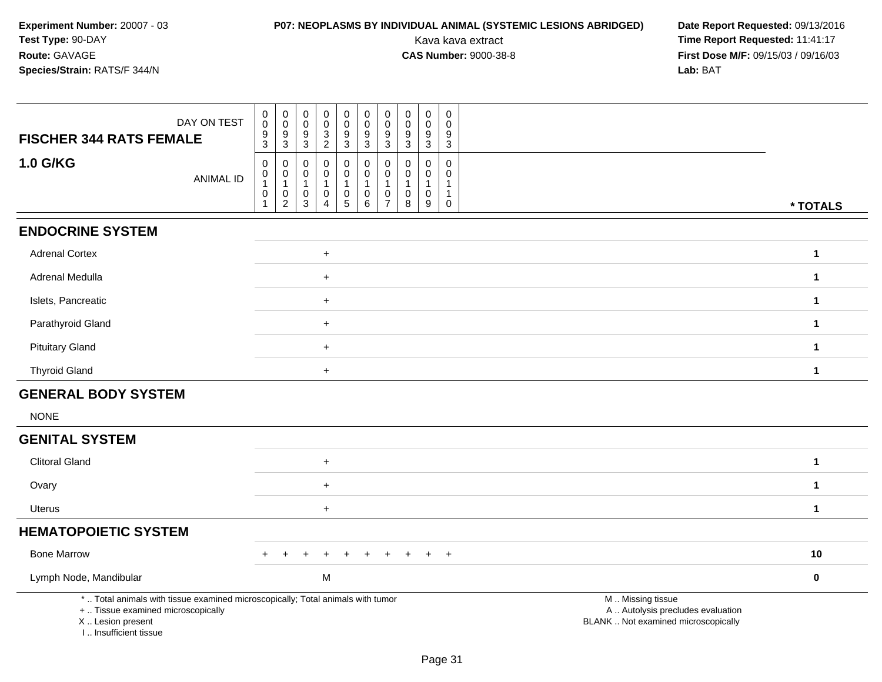# **P07: NEOPLASMS BY INDIVIDUAL ANIMAL (SYSTEMIC LESIONS ABRIDGED) Date Report Requested: 09/13/2016<br>Kava kava extract <b>Time Report Requested:** 11:41:17

| DAY ON TEST<br><b>FISCHER 344 RATS FEMALE</b>                                                                                                                       | 0<br>$\mathbf 0$<br>$\frac{9}{3}$                  | $\pmb{0}$<br>$\overline{0}$<br>$\frac{9}{3}$                              | 0<br>0<br>9<br>3                                     | $\mathbf 0$<br>$\mathsf{O}\xspace$<br>$\frac{3}{2}$                         | $\pmb{0}$<br>$\pmb{0}$<br>9<br>$\overline{3}$ | $\pmb{0}$<br>$\mathbf 0$<br>9<br>$\mathbf{3}$        | $\pmb{0}$<br>$\pmb{0}$<br>9<br>$\overline{3}$           | $\pmb{0}$<br>$\mathbf 0$<br>9<br>$\mathbf{3}$ | $\mathbf 0$<br>$\mathbf 0$<br>9<br>3                           | 0<br>$\mathbf{0}$<br>9<br>3                                    |                                                                                               |  |
|---------------------------------------------------------------------------------------------------------------------------------------------------------------------|----------------------------------------------------|---------------------------------------------------------------------------|------------------------------------------------------|-----------------------------------------------------------------------------|-----------------------------------------------|------------------------------------------------------|---------------------------------------------------------|-----------------------------------------------|----------------------------------------------------------------|----------------------------------------------------------------|-----------------------------------------------------------------------------------------------|--|
| <b>1.0 G/KG</b><br><b>ANIMAL ID</b>                                                                                                                                 | 0<br>$\boldsymbol{0}$<br>$\mathbf{1}$<br>$\pmb{0}$ | $\mathbf 0$<br>$\pmb{0}$<br>$\mathbf{1}$<br>$\mathbf 0$<br>$\overline{2}$ | 0<br>$\mathbf 0$<br>$\mathbf{1}$<br>$\mathbf 0$<br>3 | $\mathbf 0$<br>$\mathbf 0$<br>$\mathbf{1}$<br>$\mathbf 0$<br>$\overline{4}$ | 0<br>$\mathsf{O}$<br>1<br>$\pmb{0}$<br>5      | 0<br>$\mathbf 0$<br>$\overline{1}$<br>$\pmb{0}$<br>6 | 0<br>0<br>$\mathbf{1}$<br>$\mathbf 0$<br>$\overline{7}$ | $\mathbf 0$<br>0<br>-1<br>$\mathbf 0$<br>8    | $\mathbf 0$<br>$\mathbf 0$<br>$\mathbf{1}$<br>$\mathbf 0$<br>9 | $\mathbf 0$<br>0<br>$\mathbf{1}$<br>$\mathbf 1$<br>$\mathbf 0$ | * TOTALS                                                                                      |  |
| <b>ENDOCRINE SYSTEM</b>                                                                                                                                             |                                                    |                                                                           |                                                      |                                                                             |                                               |                                                      |                                                         |                                               |                                                                |                                                                |                                                                                               |  |
| <b>Adrenal Cortex</b>                                                                                                                                               |                                                    |                                                                           |                                                      | $\ddot{}$                                                                   |                                               |                                                      |                                                         |                                               |                                                                |                                                                | $\mathbf{1}$                                                                                  |  |
| Adrenal Medulla                                                                                                                                                     |                                                    |                                                                           |                                                      | $+$                                                                         |                                               |                                                      |                                                         |                                               |                                                                |                                                                | $\mathbf{1}$                                                                                  |  |
| Islets, Pancreatic                                                                                                                                                  |                                                    |                                                                           |                                                      | $\ddot{}$                                                                   |                                               |                                                      |                                                         |                                               |                                                                |                                                                | $\mathbf{1}$                                                                                  |  |
| Parathyroid Gland                                                                                                                                                   |                                                    |                                                                           |                                                      | $\ddot{}$                                                                   |                                               |                                                      |                                                         |                                               |                                                                |                                                                | $\mathbf{1}$                                                                                  |  |
| <b>Pituitary Gland</b>                                                                                                                                              |                                                    |                                                                           |                                                      | $\ddot{}$                                                                   |                                               |                                                      |                                                         |                                               |                                                                |                                                                | $\mathbf{1}$                                                                                  |  |
| <b>Thyroid Gland</b>                                                                                                                                                |                                                    |                                                                           |                                                      | $+$                                                                         |                                               |                                                      |                                                         |                                               |                                                                |                                                                | $\mathbf{1}$                                                                                  |  |
| <b>GENERAL BODY SYSTEM</b>                                                                                                                                          |                                                    |                                                                           |                                                      |                                                                             |                                               |                                                      |                                                         |                                               |                                                                |                                                                |                                                                                               |  |
| <b>NONE</b>                                                                                                                                                         |                                                    |                                                                           |                                                      |                                                                             |                                               |                                                      |                                                         |                                               |                                                                |                                                                |                                                                                               |  |
| <b>GENITAL SYSTEM</b>                                                                                                                                               |                                                    |                                                                           |                                                      |                                                                             |                                               |                                                      |                                                         |                                               |                                                                |                                                                |                                                                                               |  |
| <b>Clitoral Gland</b>                                                                                                                                               |                                                    |                                                                           |                                                      | $+$                                                                         |                                               |                                                      |                                                         |                                               |                                                                |                                                                | $\mathbf{1}$                                                                                  |  |
| Ovary                                                                                                                                                               |                                                    |                                                                           |                                                      | $\ddot{}$                                                                   |                                               |                                                      |                                                         |                                               |                                                                |                                                                | $\mathbf{1}$                                                                                  |  |
| <b>Uterus</b>                                                                                                                                                       |                                                    |                                                                           |                                                      | $\ddot{}$                                                                   |                                               |                                                      |                                                         |                                               |                                                                |                                                                | $\mathbf{1}$                                                                                  |  |
| <b>HEMATOPOIETIC SYSTEM</b>                                                                                                                                         |                                                    |                                                                           |                                                      |                                                                             |                                               |                                                      |                                                         |                                               |                                                                |                                                                |                                                                                               |  |
| <b>Bone Marrow</b>                                                                                                                                                  |                                                    |                                                                           | +                                                    |                                                                             |                                               |                                                      | $\ddot{}$                                               | $\ddot{}$                                     | $\ddot{}$                                                      | $+$                                                            | 10                                                                                            |  |
| Lymph Node, Mandibular                                                                                                                                              |                                                    |                                                                           |                                                      | M                                                                           |                                               |                                                      |                                                         |                                               |                                                                |                                                                | $\mathbf 0$                                                                                   |  |
| *  Total animals with tissue examined microscopically; Total animals with tumor<br>+  Tissue examined microscopically<br>X  Lesion present<br>I Insufficient tissue |                                                    |                                                                           |                                                      |                                                                             |                                               |                                                      |                                                         |                                               |                                                                |                                                                | M  Missing tissue<br>A  Autolysis precludes evaluation<br>BLANK  Not examined microscopically |  |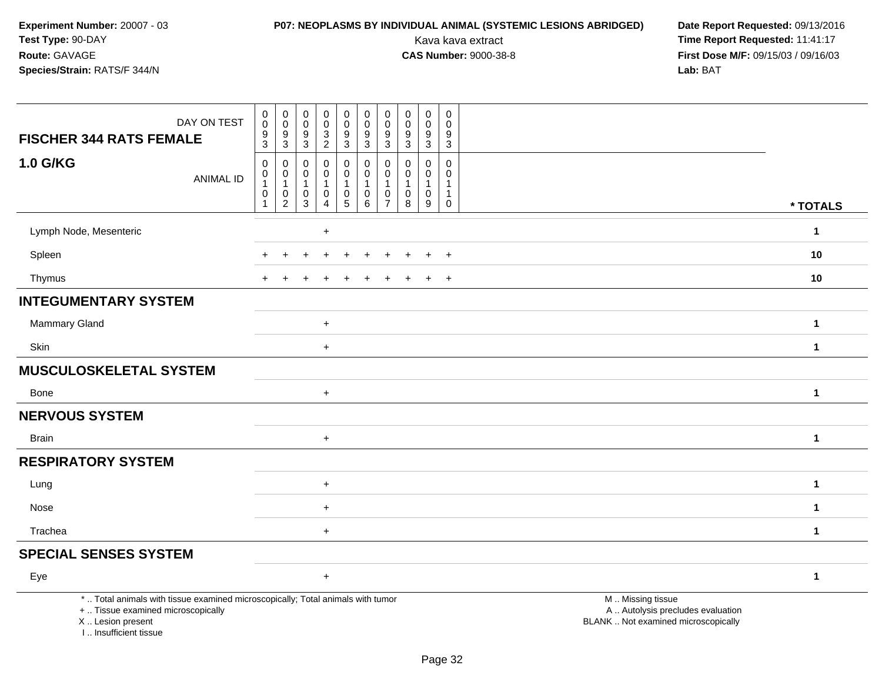# **P07: NEOPLASMS BY INDIVIDUAL ANIMAL (SYSTEMIC LESIONS ABRIDGED) Date Report Requested: 09/13/2016<br>Kava kava extract <b>Time Report Requested:** 11:41:17

| DAY ON TEST<br><b>FISCHER 344 RATS FEMALE</b>                                                                                                                       | $\,0\,$<br>$\mathbf 0$<br>9<br>$\overline{3}$                             | $\boldsymbol{0}$<br>$\pmb{0}$<br>9<br>$\overline{3}$                                     | $\pmb{0}$<br>$\mathbf 0$<br>9<br>$\mathbf{3}$ | $\pmb{0}$<br>$\mathbf 0$<br>3<br>$\overline{2}$                 | 0<br>$\pmb{0}$<br>$\frac{9}{3}$                                              | $\mathsf 0$<br>$\mathsf{O}\xspace$<br>9<br>$\overline{3}$               | $\mathbf 0$<br>$\mathbf 0$<br>9<br>3 | $\pmb{0}$<br>$\mathbf 0$<br>9<br>$\overline{3}$                     | $\pmb{0}$<br>$\mathbf 0$<br>$9\,$<br>$\mathbf{3}$                 | $\mathsf 0$<br>$\mathbf 0$<br>9<br>$\mathbf{3}$     |                                                                                               |              |
|---------------------------------------------------------------------------------------------------------------------------------------------------------------------|---------------------------------------------------------------------------|------------------------------------------------------------------------------------------|-----------------------------------------------|-----------------------------------------------------------------|------------------------------------------------------------------------------|-------------------------------------------------------------------------|--------------------------------------|---------------------------------------------------------------------|-------------------------------------------------------------------|-----------------------------------------------------|-----------------------------------------------------------------------------------------------|--------------|
| 1.0 G/KG<br><b>ANIMAL ID</b>                                                                                                                                        | $\mathbf 0$<br>$\pmb{0}$<br>$\overline{1}$<br>$\pmb{0}$<br>$\overline{1}$ | $\mathbf 0$<br>$\begin{smallmatrix}0\\1\end{smallmatrix}$<br>$\pmb{0}$<br>$\overline{2}$ | $\mathbf 0$<br>0<br>$\mathbf{1}$<br>0<br>3    | 0<br>$\mathbf 0$<br>$\mathbf{1}$<br>$\pmb{0}$<br>$\overline{4}$ | 0<br>$\overline{0}$<br>$\mathbf{1}$<br>$\begin{array}{c} 0 \\ 5 \end{array}$ | $\mathbf 0$<br>$\pmb{0}$<br>$\mathbf{1}$<br>$\pmb{0}$<br>$\overline{6}$ | $\Omega$<br>0<br>0<br>$\overline{7}$ | $\mathbf 0$<br>$\mathbf 0$<br>$\mathbf{1}$<br>$\boldsymbol{0}$<br>8 | 0<br>$\mathbf 0$<br>$\mathbf{1}$<br>$\pmb{0}$<br>$\boldsymbol{9}$ | $\mathbf 0$<br>$\mathbf 0$<br>1<br>1<br>$\mathbf 0$ |                                                                                               | * TOTALS     |
| Lymph Node, Mesenteric                                                                                                                                              |                                                                           |                                                                                          |                                               | $\ddot{}$                                                       |                                                                              |                                                                         |                                      |                                                                     |                                                                   |                                                     |                                                                                               | $\mathbf{1}$ |
| Spleen                                                                                                                                                              |                                                                           |                                                                                          |                                               |                                                                 |                                                                              |                                                                         |                                      |                                                                     |                                                                   | $\ddot{}$                                           |                                                                                               | 10           |
| Thymus                                                                                                                                                              |                                                                           |                                                                                          |                                               |                                                                 |                                                                              |                                                                         |                                      |                                                                     |                                                                   | $\overline{ }$                                      |                                                                                               | 10           |
| <b>INTEGUMENTARY SYSTEM</b>                                                                                                                                         |                                                                           |                                                                                          |                                               |                                                                 |                                                                              |                                                                         |                                      |                                                                     |                                                                   |                                                     |                                                                                               |              |
| Mammary Gland                                                                                                                                                       |                                                                           |                                                                                          |                                               | $\ddot{}$                                                       |                                                                              |                                                                         |                                      |                                                                     |                                                                   |                                                     |                                                                                               | $\mathbf{1}$ |
| Skin                                                                                                                                                                |                                                                           |                                                                                          |                                               | $\ddot{}$                                                       |                                                                              |                                                                         |                                      |                                                                     |                                                                   |                                                     |                                                                                               | $\mathbf{1}$ |
| <b>MUSCULOSKELETAL SYSTEM</b>                                                                                                                                       |                                                                           |                                                                                          |                                               |                                                                 |                                                                              |                                                                         |                                      |                                                                     |                                                                   |                                                     |                                                                                               |              |
| Bone                                                                                                                                                                |                                                                           |                                                                                          |                                               | $+$                                                             |                                                                              |                                                                         |                                      |                                                                     |                                                                   |                                                     |                                                                                               | $\mathbf{1}$ |
| <b>NERVOUS SYSTEM</b>                                                                                                                                               |                                                                           |                                                                                          |                                               |                                                                 |                                                                              |                                                                         |                                      |                                                                     |                                                                   |                                                     |                                                                                               |              |
| <b>Brain</b>                                                                                                                                                        |                                                                           |                                                                                          |                                               | $\ddot{}$                                                       |                                                                              |                                                                         |                                      |                                                                     |                                                                   |                                                     |                                                                                               | $\mathbf{1}$ |
| <b>RESPIRATORY SYSTEM</b>                                                                                                                                           |                                                                           |                                                                                          |                                               |                                                                 |                                                                              |                                                                         |                                      |                                                                     |                                                                   |                                                     |                                                                                               |              |
| Lung                                                                                                                                                                |                                                                           |                                                                                          |                                               | $\ddot{}$                                                       |                                                                              |                                                                         |                                      |                                                                     |                                                                   |                                                     |                                                                                               | $\mathbf{1}$ |
| Nose                                                                                                                                                                |                                                                           |                                                                                          |                                               | $\ddot{}$                                                       |                                                                              |                                                                         |                                      |                                                                     |                                                                   |                                                     |                                                                                               | $\mathbf{1}$ |
| Trachea                                                                                                                                                             |                                                                           |                                                                                          |                                               | $\ddot{}$                                                       |                                                                              |                                                                         |                                      |                                                                     |                                                                   |                                                     |                                                                                               | $\mathbf{1}$ |
| <b>SPECIAL SENSES SYSTEM</b>                                                                                                                                        |                                                                           |                                                                                          |                                               |                                                                 |                                                                              |                                                                         |                                      |                                                                     |                                                                   |                                                     |                                                                                               |              |
| Eye                                                                                                                                                                 |                                                                           |                                                                                          |                                               | $\ddot{}$                                                       |                                                                              |                                                                         |                                      |                                                                     |                                                                   |                                                     |                                                                                               | $\mathbf{1}$ |
| *  Total animals with tissue examined microscopically; Total animals with tumor<br>+  Tissue examined microscopically<br>X  Lesion present<br>I Insufficient tissue |                                                                           |                                                                                          |                                               |                                                                 |                                                                              |                                                                         |                                      |                                                                     |                                                                   |                                                     | M  Missing tissue<br>A  Autolysis precludes evaluation<br>BLANK  Not examined microscopically |              |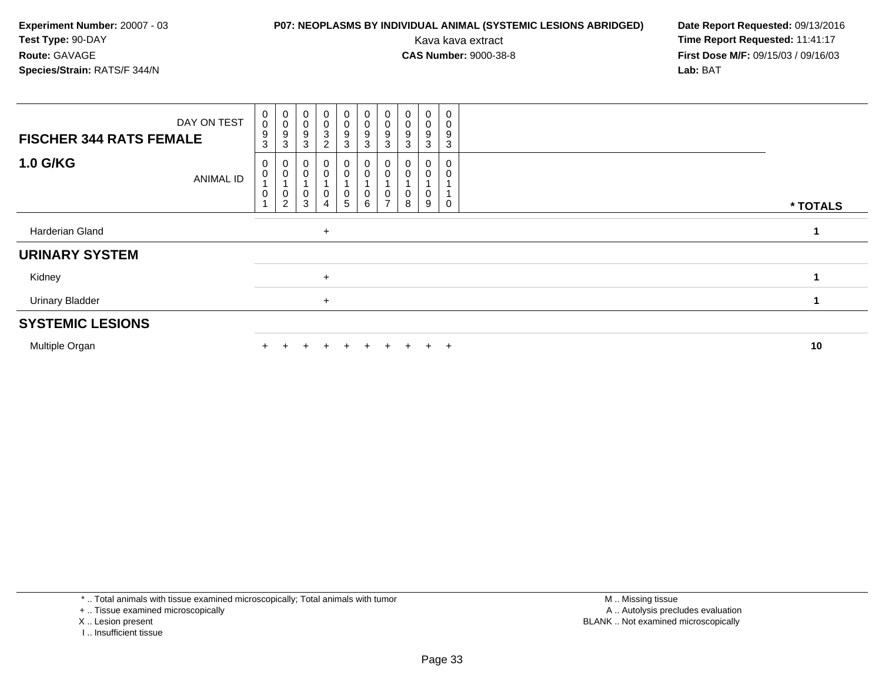## **P07: NEOPLASMS BY INDIVIDUAL ANIMAL (SYSTEMIC LESIONS ABRIDGED) Date Report Requested: 09/13/2016<br>Kava kava extract <b>Time Report Requested:** 11:41:17

| <b>FISCHER 344 RATS FEMALE</b> | DAY ON TEST | $_{\rm 0}^{\rm 0}$<br>9<br>3 | $_{\rm 0}^{\rm 0}$<br>9<br>3  | $\boldsymbol{0}$<br>$\pmb{0}$<br>$\boldsymbol{9}$<br>3 | $_0^0$<br>$\ensuremath{\mathsf{3}}$<br>$\overline{c}$              | $_0^0$<br>$\frac{9}{3}$                         | $\begin{smallmatrix} 0\\0 \end{smallmatrix}$<br>$\frac{9}{3}$                         | $\pmb{0}$<br>$\pmb{0}$<br>9<br>$\mathbf{3}$ | $\pmb{0}$<br>$\boldsymbol{0}$<br>9<br>3 | 0<br>0<br>9<br>3 | 0<br>$\mathbf 0$<br>9<br>3 |          |
|--------------------------------|-------------|------------------------------|-------------------------------|--------------------------------------------------------|--------------------------------------------------------------------|-------------------------------------------------|---------------------------------------------------------------------------------------|---------------------------------------------|-----------------------------------------|------------------|----------------------------|----------|
| <b>1.0 G/KG</b>                | ANIMAL ID   | 0<br>$\,0\,$<br>$\mathbf 0$  | 0<br>0<br>0<br>$\overline{2}$ | 0<br>3                                                 | $\begin{smallmatrix}0\0\0\end{smallmatrix}$<br>0<br>$\overline{4}$ | 0<br>0<br>$\begin{array}{c} 0 \\ 5 \end{array}$ | $\begin{smallmatrix} 0\\0 \end{smallmatrix}$<br>$\begin{array}{c} 0 \\ 6 \end{array}$ | υ<br>$\overline{ }$                         | 8                                       | 9                | 0                          | * TOTALS |
| Harderian Gland                |             |                              |                               |                                                        | $\ddot{}$                                                          |                                                 |                                                                                       |                                             |                                         |                  |                            |          |
| <b>URINARY SYSTEM</b>          |             |                              |                               |                                                        |                                                                    |                                                 |                                                                                       |                                             |                                         |                  |                            |          |
| Kidney                         |             |                              |                               |                                                        | $\ddot{}$                                                          |                                                 |                                                                                       |                                             |                                         |                  |                            |          |
| <b>Urinary Bladder</b>         |             |                              |                               |                                                        | $+$                                                                |                                                 |                                                                                       |                                             |                                         |                  |                            |          |
| <b>SYSTEMIC LESIONS</b>        |             |                              |                               |                                                        |                                                                    |                                                 |                                                                                       |                                             |                                         |                  |                            |          |
| Multiple Organ                 |             |                              |                               |                                                        | $\pm$                                                              | $+$                                             |                                                                                       | $\ddot{}$                                   | $+$                                     | $+$              | $+$                        | 10       |

- X .. Lesion present
- I .. Insufficient tissue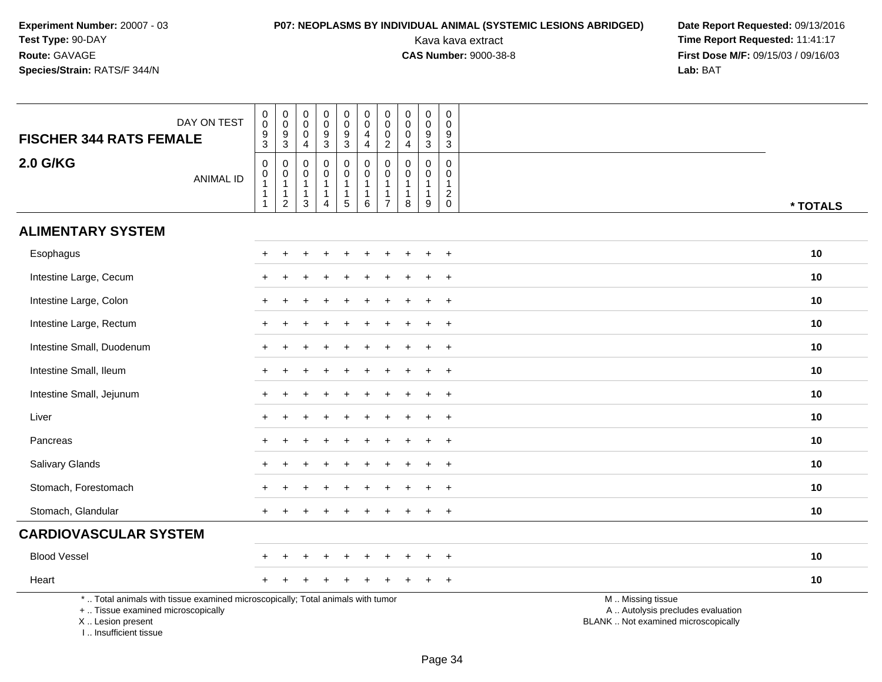# **P07: NEOPLASMS BY INDIVIDUAL ANIMAL (SYSTEMIC LESIONS ABRIDGED) Date Report Requested:** 09/13/2016

| DAY ON TEST<br><b>FISCHER 344 RATS FEMALE</b>                                                                                                                         |                  | $\pmb{0}$<br>$\ddot{\mathbf{0}}$<br>$\frac{9}{3}$                                        | $_{\rm 0}^{\rm 0}$<br>$\frac{9}{3}$                                    | $\boldsymbol{0}$<br>$\ddot{\mathbf{0}}$<br>$\boldsymbol{0}$<br>$\overline{4}$ | $\pmb{0}$<br>$\mathsf{O}\xspace$<br>$\frac{9}{3}$                  | $\pmb{0}$<br>$\pmb{0}$<br>$\frac{9}{3}$                              | $\pmb{0}$<br>$\ddot{\mathbf{0}}$<br>$\overline{4}$<br>$\overline{4}$             | $\pmb{0}$<br>$\mathbf 0$<br>$\mathbf 0$<br>$\overline{2}$         | $\pmb{0}$<br>$\mathsf{O}\xspace$<br>0<br>$\overline{4}$ | $\begin{smallmatrix} 0\\0 \end{smallmatrix}$<br>$\boldsymbol{9}$<br>$\overline{3}$ | 0<br>$\Omega$<br>9<br>$\mathbf{3}$                            |                                                                                               |          |
|-----------------------------------------------------------------------------------------------------------------------------------------------------------------------|------------------|------------------------------------------------------------------------------------------|------------------------------------------------------------------------|-------------------------------------------------------------------------------|--------------------------------------------------------------------|----------------------------------------------------------------------|----------------------------------------------------------------------------------|-------------------------------------------------------------------|---------------------------------------------------------|------------------------------------------------------------------------------------|---------------------------------------------------------------|-----------------------------------------------------------------------------------------------|----------|
| <b>2.0 G/KG</b>                                                                                                                                                       | <b>ANIMAL ID</b> | $\mathbf 0$<br>$\begin{smallmatrix}0\1\end{smallmatrix}$<br>$\mathbf{1}$<br>$\mathbf{1}$ | $\pmb{0}$<br>$\mathsf 0$<br>$\mathbf{1}$<br>$\mathbf{1}$<br>$\sqrt{2}$ | $\mathbf 0$<br>$\mathbf 0$<br>$\overline{1}$<br>$\overline{1}$<br>3           | $\mathsf 0$<br>0<br>$\mathbf{1}$<br>$\mathbf{1}$<br>$\overline{4}$ | $\boldsymbol{0}$<br>$\mathbf 0$<br>$\mathbf{1}$<br>$\mathbf{1}$<br>5 | $\begin{smallmatrix}0\0\0\end{smallmatrix}$<br>$\mathbf{1}$<br>$\mathbf{1}$<br>6 | $\mathbf 0$<br>$\mathbf 0$<br>$\mathbf{1}$<br>1<br>$\overline{7}$ | $\mathbf 0$<br>0<br>-1<br>8                             | $\pmb{0}$<br>$\mathbf 0$<br>$\mathbf{1}$<br>$\mathbf{1}$<br>9                      | 0<br>0<br>$\overline{1}$<br>$\sqrt{2}$<br>$\mathsf{O}\xspace$ |                                                                                               | * TOTALS |
| <b>ALIMENTARY SYSTEM</b>                                                                                                                                              |                  |                                                                                          |                                                                        |                                                                               |                                                                    |                                                                      |                                                                                  |                                                                   |                                                         |                                                                                    |                                                               |                                                                                               |          |
| Esophagus                                                                                                                                                             |                  | $\pm$                                                                                    | $\ddot{}$                                                              |                                                                               |                                                                    | $\ddot{}$                                                            |                                                                                  | ÷                                                                 |                                                         |                                                                                    | $+$                                                           |                                                                                               | 10       |
| Intestine Large, Cecum                                                                                                                                                |                  |                                                                                          |                                                                        |                                                                               |                                                                    |                                                                      |                                                                                  |                                                                   |                                                         |                                                                                    | $\overline{ }$                                                |                                                                                               | 10       |
| Intestine Large, Colon                                                                                                                                                |                  |                                                                                          |                                                                        |                                                                               |                                                                    |                                                                      |                                                                                  |                                                                   |                                                         |                                                                                    | $\ddot{}$                                                     |                                                                                               | 10       |
| Intestine Large, Rectum                                                                                                                                               |                  | $+$                                                                                      |                                                                        |                                                                               |                                                                    |                                                                      |                                                                                  |                                                                   |                                                         |                                                                                    | $+$                                                           |                                                                                               | 10       |
| Intestine Small, Duodenum                                                                                                                                             |                  |                                                                                          |                                                                        |                                                                               |                                                                    |                                                                      |                                                                                  |                                                                   |                                                         |                                                                                    | $\overline{ }$                                                |                                                                                               | 10       |
| Intestine Small, Ileum                                                                                                                                                |                  |                                                                                          |                                                                        |                                                                               |                                                                    |                                                                      |                                                                                  |                                                                   |                                                         |                                                                                    | $\ddot{}$                                                     |                                                                                               | 10       |
| Intestine Small, Jejunum                                                                                                                                              |                  | $\pm$                                                                                    |                                                                        |                                                                               |                                                                    |                                                                      |                                                                                  |                                                                   |                                                         | $\div$                                                                             | $+$                                                           |                                                                                               | 10       |
| Liver                                                                                                                                                                 |                  |                                                                                          |                                                                        |                                                                               |                                                                    |                                                                      |                                                                                  |                                                                   |                                                         |                                                                                    | $+$                                                           |                                                                                               | 10       |
| Pancreas                                                                                                                                                              |                  |                                                                                          |                                                                        |                                                                               |                                                                    |                                                                      |                                                                                  |                                                                   |                                                         |                                                                                    | $\ddot{}$                                                     |                                                                                               | 10       |
| Salivary Glands                                                                                                                                                       |                  |                                                                                          |                                                                        |                                                                               |                                                                    |                                                                      |                                                                                  |                                                                   |                                                         |                                                                                    | $\overline{ }$                                                |                                                                                               | 10       |
| Stomach, Forestomach                                                                                                                                                  |                  |                                                                                          |                                                                        |                                                                               |                                                                    |                                                                      |                                                                                  |                                                                   |                                                         |                                                                                    | $\overline{+}$                                                |                                                                                               | 10       |
| Stomach, Glandular                                                                                                                                                    |                  | $+$                                                                                      |                                                                        |                                                                               |                                                                    |                                                                      |                                                                                  |                                                                   |                                                         |                                                                                    | $+$                                                           |                                                                                               | 10       |
| <b>CARDIOVASCULAR SYSTEM</b>                                                                                                                                          |                  |                                                                                          |                                                                        |                                                                               |                                                                    |                                                                      |                                                                                  |                                                                   |                                                         |                                                                                    |                                                               |                                                                                               |          |
| <b>Blood Vessel</b>                                                                                                                                                   |                  |                                                                                          |                                                                        |                                                                               |                                                                    |                                                                      |                                                                                  |                                                                   |                                                         |                                                                                    | $\overline{ }$                                                |                                                                                               | 10       |
| Heart                                                                                                                                                                 |                  |                                                                                          |                                                                        |                                                                               |                                                                    |                                                                      |                                                                                  |                                                                   |                                                         |                                                                                    | $+$                                                           |                                                                                               | 10       |
| *  Total animals with tissue examined microscopically; Total animals with tumor<br>+  Tissue examined microscopically<br>X  Lesion present<br>I., Insufficient tissue |                  |                                                                                          |                                                                        |                                                                               |                                                                    |                                                                      |                                                                                  |                                                                   |                                                         |                                                                                    |                                                               | M  Missing tissue<br>A  Autolysis precludes evaluation<br>BLANK  Not examined microscopically |          |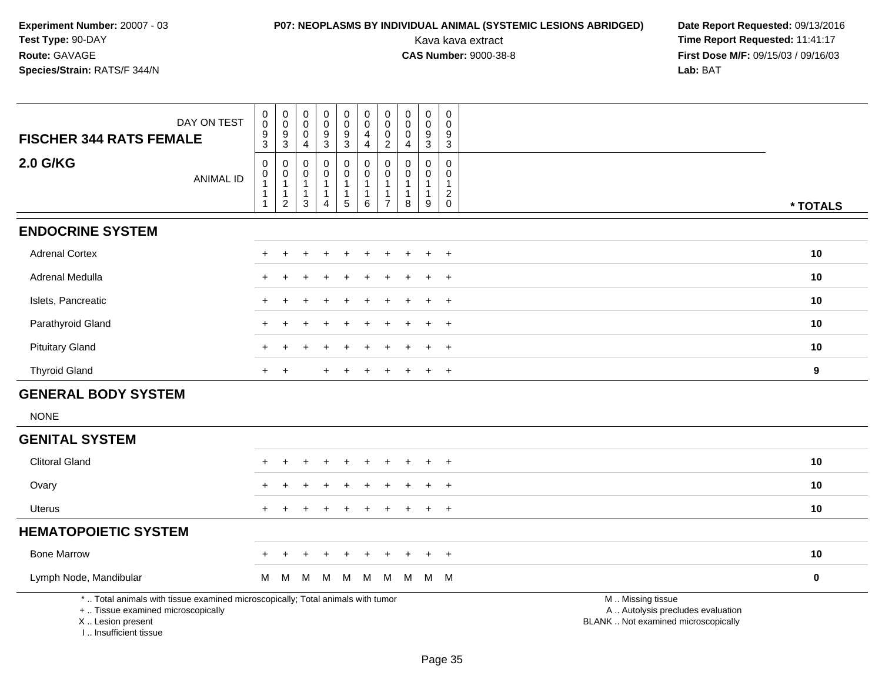## **P07: NEOPLASMS BY INDIVIDUAL ANIMAL (SYSTEMIC LESIONS ABRIDGED) Date Report Requested:** 09/13/2016

Kava kava extract **Time Report Requested:** 11:41:17<br>**CAS Number:** 9000-38-8 **Time Report Requested:** 11:41:17 **First Dose M/F:** 09/15/03 / 09/16/03<br>Lab: BAT **Lab:** BAT

| DAY ON TEST<br><b>FISCHER 344 RATS FEMALE</b>                                                                                              | $_{\rm 0}^{\rm 0}$<br>$\frac{9}{3}$ | $\pmb{0}$<br>$\mathbf 0$<br>$9\,$          | $\pmb{0}$<br>$\Omega$<br>0      | $\boldsymbol{0}$<br>$\mathbf 0$<br>9           | $\boldsymbol{0}$<br>$\boldsymbol{0}$<br>9 | $\pmb{0}$<br>$\pmb{0}$<br>4            | $\pmb{0}$<br>$\mathbf 0$<br>$\mathbf 0$    | $\boldsymbol{0}$<br>$\mathbf 0$<br>0 | $\pmb{0}$<br>$\mathbf 0$<br>9     | $\pmb{0}$<br>$\Omega$<br>9                    |                                                                                               |             |
|--------------------------------------------------------------------------------------------------------------------------------------------|-------------------------------------|--------------------------------------------|---------------------------------|------------------------------------------------|-------------------------------------------|----------------------------------------|--------------------------------------------|--------------------------------------|-----------------------------------|-----------------------------------------------|-----------------------------------------------------------------------------------------------|-------------|
| <b>2.0 G/KG</b><br><b>ANIMAL ID</b>                                                                                                        | 0<br>$\mathbf 0$                    | $\mathbf{3}$<br>0<br>$\mathbf 0$           | $\overline{4}$<br>$\Omega$<br>0 | 3<br>$\mathbf 0$<br>$\mathbf 0$                | 3<br>$\mathbf 0$<br>$\boldsymbol{0}$      | 4<br>$\pmb{0}$<br>$\boldsymbol{0}$     | $\overline{2}$<br>$\mathbf 0$<br>$\pmb{0}$ | $\overline{4}$<br>0<br>$\mathbf 0$   | 3<br>$\mathbf 0$<br>$\mathbf 0$   | 3<br>$\mathbf 0$<br>$\mathbf 0$               |                                                                                               |             |
|                                                                                                                                            | $\overline{1}$<br>-1<br>-1          | $\mathbf{1}$<br>$\mathbf{1}$<br>$\sqrt{2}$ | $\mathbf{1}$<br>1<br>3          | $\mathbf{1}$<br>$\mathbf{1}$<br>$\overline{4}$ | $\mathbf{1}$<br>$\mathbf{1}$<br>5         | $\mathbf{1}$<br>$\mathbf 1$<br>$\,6\,$ | $\overline{1}$<br>-1<br>$\overline{7}$     | $\overline{1}$<br>-1<br>8            | $\mathbf{1}$<br>$\mathbf{1}$<br>9 | $\mathbf{1}$<br>$\overline{c}$<br>$\mathbf 0$ |                                                                                               | * TOTALS    |
| <b>ENDOCRINE SYSTEM</b>                                                                                                                    |                                     |                                            |                                 |                                                |                                           |                                        |                                            |                                      |                                   |                                               |                                                                                               |             |
| <b>Adrenal Cortex</b>                                                                                                                      |                                     |                                            |                                 |                                                |                                           |                                        |                                            |                                      |                                   | $\ddot{}$                                     |                                                                                               | 10          |
| Adrenal Medulla                                                                                                                            |                                     |                                            |                                 |                                                |                                           |                                        |                                            |                                      |                                   | $\overline{+}$                                |                                                                                               | 10          |
| Islets, Pancreatic                                                                                                                         |                                     |                                            |                                 |                                                |                                           |                                        |                                            |                                      |                                   | $\overline{+}$                                |                                                                                               | 10          |
| Parathyroid Gland                                                                                                                          |                                     |                                            |                                 |                                                |                                           |                                        |                                            |                                      |                                   | $\ddot{}$                                     |                                                                                               | 10          |
| <b>Pituitary Gland</b>                                                                                                                     |                                     |                                            |                                 |                                                |                                           |                                        |                                            |                                      | ÷.                                | $+$                                           |                                                                                               | 10          |
| <b>Thyroid Gland</b>                                                                                                                       | $\ddot{}$                           | $\ddot{}$                                  |                                 |                                                |                                           |                                        |                                            |                                      |                                   | $+$                                           |                                                                                               | 9           |
| <b>GENERAL BODY SYSTEM</b>                                                                                                                 |                                     |                                            |                                 |                                                |                                           |                                        |                                            |                                      |                                   |                                               |                                                                                               |             |
| <b>NONE</b>                                                                                                                                |                                     |                                            |                                 |                                                |                                           |                                        |                                            |                                      |                                   |                                               |                                                                                               |             |
| <b>GENITAL SYSTEM</b>                                                                                                                      |                                     |                                            |                                 |                                                |                                           |                                        |                                            |                                      |                                   |                                               |                                                                                               |             |
| <b>Clitoral Gland</b>                                                                                                                      |                                     |                                            |                                 |                                                |                                           |                                        |                                            |                                      |                                   | $\ddot{}$                                     |                                                                                               | 10          |
| Ovary                                                                                                                                      |                                     |                                            |                                 |                                                |                                           |                                        |                                            |                                      |                                   | $\overline{+}$                                |                                                                                               | 10          |
| <b>Uterus</b>                                                                                                                              |                                     |                                            |                                 |                                                |                                           |                                        |                                            |                                      |                                   | $+$                                           |                                                                                               | 10          |
| <b>HEMATOPOIETIC SYSTEM</b>                                                                                                                |                                     |                                            |                                 |                                                |                                           |                                        |                                            |                                      |                                   |                                               |                                                                                               |             |
| <b>Bone Marrow</b>                                                                                                                         |                                     |                                            |                                 |                                                |                                           |                                        |                                            |                                      | $\div$                            | $+$                                           |                                                                                               | 10          |
| Lymph Node, Mandibular                                                                                                                     | M                                   | M                                          | M                               | M                                              | M                                         | M                                      | M                                          | M                                    |                                   | M M                                           |                                                                                               | $\mathbf 0$ |
| *  Total animals with tissue examined microscopically; Total animals with tumor<br>+  Tissue examined microscopically<br>X  Lesion present |                                     |                                            |                                 |                                                |                                           |                                        |                                            |                                      |                                   |                                               | M  Missing tissue<br>A  Autolysis precludes evaluation<br>BLANK  Not examined microscopically |             |

I .. Insufficient tissue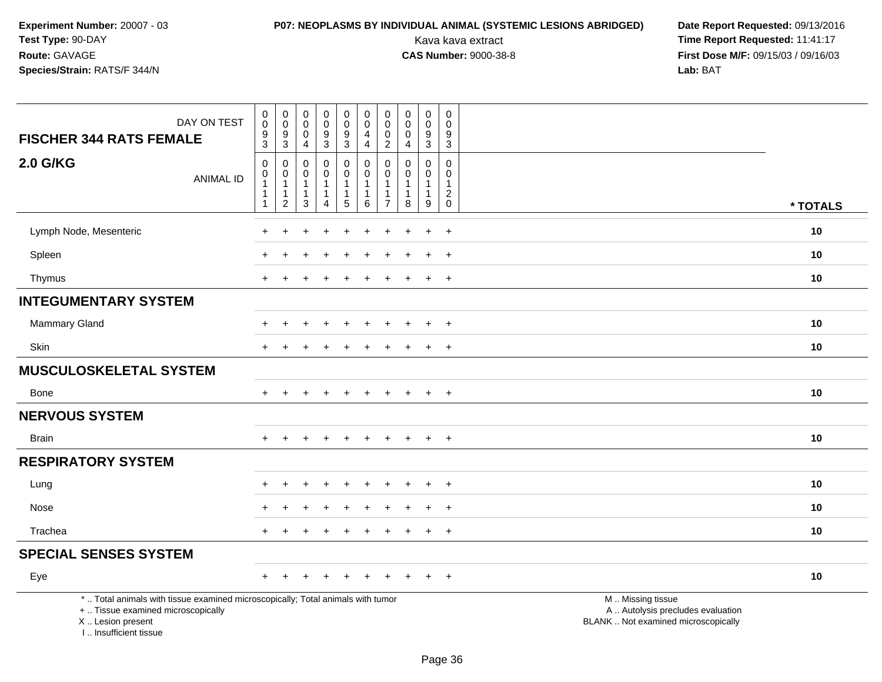# **P07: NEOPLASMS BY INDIVIDUAL ANIMAL (SYSTEMIC LESIONS ABRIDGED) Date Report Requested:** 09/13/2016

| DAY ON TEST<br><b>FISCHER 344 RATS FEMALE</b>                                                                                                                       | $\mathbf 0$<br>$\overline{0}$<br>9<br>3                                    | $\mathbf 0$<br>$\mathbf 0$<br>9<br>3                               | $\mathsf{O}\xspace$<br>$\overline{0}$<br>$\mathbf 0$<br>4     | $\mathbf 0$<br>$\ddot{\mathbf{0}}$<br>$\boldsymbol{9}$<br>$\mathbf{3}$ | $\mathbf 0$<br>$\mathbf 0$<br>$\boldsymbol{9}$<br>$\mathbf{3}$             | $\mathsf 0$<br>$\overline{0}$<br>4<br>4                       | 0<br>0<br>0<br>$\overline{2}$                                   | $\pmb{0}$<br>$\overline{0}$<br>$\mathbf 0$<br>4               | $\pmb{0}$<br>$\pmb{0}$<br>$\boldsymbol{9}$<br>3     | $\mathsf 0$<br>$\mathbf 0$<br>9<br>$\sqrt{3}$                  |                                                                                               |          |
|---------------------------------------------------------------------------------------------------------------------------------------------------------------------|----------------------------------------------------------------------------|--------------------------------------------------------------------|---------------------------------------------------------------|------------------------------------------------------------------------|----------------------------------------------------------------------------|---------------------------------------------------------------|-----------------------------------------------------------------|---------------------------------------------------------------|-----------------------------------------------------|----------------------------------------------------------------|-----------------------------------------------------------------------------------------------|----------|
| <b>2.0 G/KG</b><br><b>ANIMAL ID</b>                                                                                                                                 | $\mathbf 0$<br>$\mathbf 0$<br>$\mathbf{1}$<br>$\mathbf{1}$<br>$\mathbf{1}$ | $\mathbf 0$<br>0<br>$\mathbf{1}$<br>$\mathbf{1}$<br>$\overline{2}$ | $\mathbf 0$<br>$\pmb{0}$<br>$\mathbf{1}$<br>$\mathbf{1}$<br>3 | 0<br>$\mathbf 0$<br>$\mathbf{1}$<br>$\mathbf{1}$<br>4                  | $\mathbf 0$<br>$\pmb{0}$<br>$\mathbf{1}$<br>$\mathbf 1$<br>$5\phantom{.0}$ | $\mathbf 0$<br>$\pmb{0}$<br>$\mathbf{1}$<br>$\mathbf{1}$<br>6 | $\Omega$<br>0<br>$\mathbf{1}$<br>$\mathbf{1}$<br>$\overline{7}$ | $\mathbf 0$<br>$\pmb{0}$<br>$\mathbf{1}$<br>$\mathbf{1}$<br>8 | 0<br>$\pmb{0}$<br>$\mathbf{1}$<br>$\mathbf{1}$<br>9 | $\Omega$<br>0<br>$\mathbf{1}$<br>$\overline{c}$<br>$\mathbf 0$ |                                                                                               | * TOTALS |
| Lymph Node, Mesenteric                                                                                                                                              | $\ddot{}$                                                                  |                                                                    |                                                               |                                                                        |                                                                            |                                                               |                                                                 |                                                               | $\ddot{}$                                           | $\overline{+}$                                                 |                                                                                               | 10       |
| Spleen                                                                                                                                                              |                                                                            |                                                                    |                                                               |                                                                        |                                                                            |                                                               |                                                                 |                                                               |                                                     | $\ddot{}$                                                      |                                                                                               | 10       |
| Thymus                                                                                                                                                              | $\ddot{}$                                                                  |                                                                    |                                                               |                                                                        |                                                                            |                                                               |                                                                 |                                                               | $\ddot{}$                                           | $\overline{+}$                                                 |                                                                                               | 10       |
| <b>INTEGUMENTARY SYSTEM</b>                                                                                                                                         |                                                                            |                                                                    |                                                               |                                                                        |                                                                            |                                                               |                                                                 |                                                               |                                                     |                                                                |                                                                                               |          |
| <b>Mammary Gland</b>                                                                                                                                                | $\ddot{}$                                                                  | $\ddot{}$                                                          | $\ddot{}$                                                     | $\ddot{}$                                                              |                                                                            | $\ddot{}$                                                     | $\ddot{}$                                                       | $\ddot{}$                                                     | $\ddot{}$                                           | $+$                                                            |                                                                                               | 10       |
| Skin                                                                                                                                                                | $\ddot{}$                                                                  |                                                                    |                                                               |                                                                        |                                                                            |                                                               |                                                                 |                                                               |                                                     | $\ddot{}$                                                      |                                                                                               | 10       |
| <b>MUSCULOSKELETAL SYSTEM</b>                                                                                                                                       |                                                                            |                                                                    |                                                               |                                                                        |                                                                            |                                                               |                                                                 |                                                               |                                                     |                                                                |                                                                                               |          |
| Bone                                                                                                                                                                | $+$                                                                        | $+$                                                                | $+$                                                           | $+$                                                                    | $+$                                                                        | $+$                                                           | $+$                                                             | $+$                                                           | $+$                                                 | $+$                                                            |                                                                                               | 10       |
| <b>NERVOUS SYSTEM</b>                                                                                                                                               |                                                                            |                                                                    |                                                               |                                                                        |                                                                            |                                                               |                                                                 |                                                               |                                                     |                                                                |                                                                                               |          |
| <b>Brain</b>                                                                                                                                                        | $\ddot{}$                                                                  |                                                                    |                                                               |                                                                        |                                                                            | $\div$                                                        | $\pm$                                                           | $\ddot{}$                                                     | $+$                                                 | $+$                                                            |                                                                                               | 10       |
| <b>RESPIRATORY SYSTEM</b>                                                                                                                                           |                                                                            |                                                                    |                                                               |                                                                        |                                                                            |                                                               |                                                                 |                                                               |                                                     |                                                                |                                                                                               |          |
| Lung                                                                                                                                                                |                                                                            |                                                                    |                                                               |                                                                        |                                                                            |                                                               |                                                                 |                                                               |                                                     | $\overline{ }$                                                 |                                                                                               | 10       |
| Nose                                                                                                                                                                | $\div$                                                                     |                                                                    |                                                               |                                                                        |                                                                            |                                                               |                                                                 |                                                               | $\ddot{}$                                           | $^{+}$                                                         |                                                                                               | 10       |
| Trachea                                                                                                                                                             | $\ddot{}$                                                                  |                                                                    |                                                               |                                                                        |                                                                            |                                                               |                                                                 |                                                               | $\ddot{}$                                           | $+$                                                            |                                                                                               | 10       |
| <b>SPECIAL SENSES SYSTEM</b>                                                                                                                                        |                                                                            |                                                                    |                                                               |                                                                        |                                                                            |                                                               |                                                                 |                                                               |                                                     |                                                                |                                                                                               |          |
| Eye                                                                                                                                                                 | $\pm$                                                                      |                                                                    |                                                               |                                                                        |                                                                            |                                                               |                                                                 |                                                               |                                                     | $\pm$                                                          |                                                                                               | 10       |
| *  Total animals with tissue examined microscopically; Total animals with tumor<br>+  Tissue examined microscopically<br>X  Lesion present<br>I Insufficient tissue |                                                                            |                                                                    |                                                               |                                                                        |                                                                            |                                                               |                                                                 |                                                               |                                                     |                                                                | M  Missing tissue<br>A  Autolysis precludes evaluation<br>BLANK  Not examined microscopically |          |